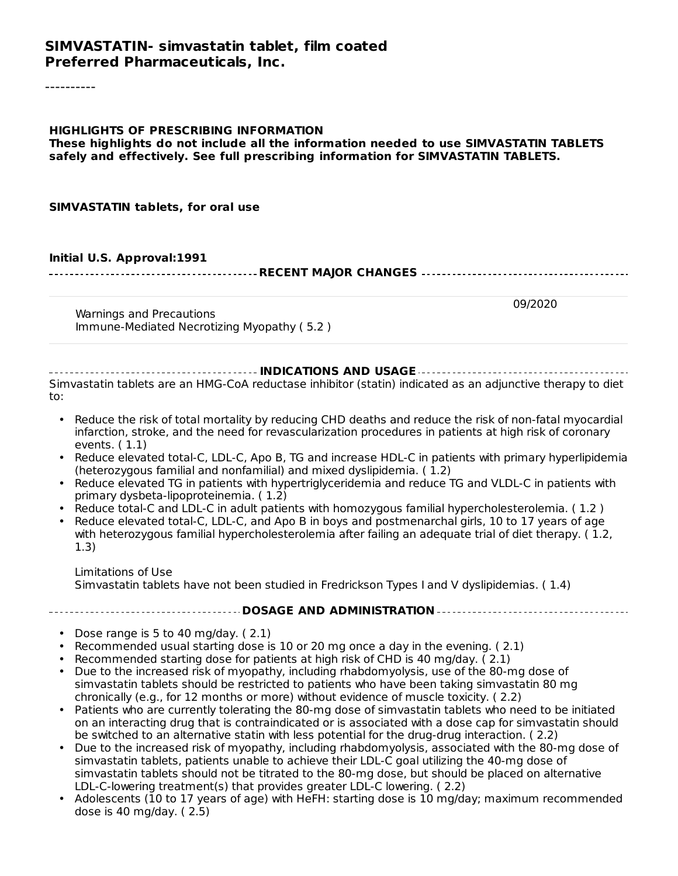#### **SIMVASTATIN- simvastatin tablet, film coated Preferred Pharmaceuticals, Inc.**

----------

**HIGHLIGHTS OF PRESCRIBING INFORMATION These highlights do not include all the information needed to use SIMVASTATIN TABLETS safely and effectively. See full prescribing information for SIMVASTATIN TABLETS.**

**SIMVASTATIN tablets, for oral use**

#### **Initial U.S. Approval:1991**

**RECENT MAJOR CHANGES**

09/2020

Warnings and Precautions Immune-Mediated Necrotizing Myopathy ( 5.2 )

#### **INDICATIONS AND USAGE** Simvastatin tablets are an HMG-CoA reductase inhibitor (statin) indicated as an adjunctive therapy to diet to:

- Reduce the risk of total mortality by reducing CHD deaths and reduce the risk of non-fatal myocardial infarction, stroke, and the need for revascularization procedures in patients at high risk of coronary events. ( 1.1)
- Reduce elevated total-C, LDL-C, Apo B, TG and increase HDL-C in patients with primary hyperlipidemia (heterozygous familial and nonfamilial) and mixed dyslipidemia. ( 1.2)
- Reduce elevated TG in patients with hypertriglyceridemia and reduce TG and VLDL-C in patients with primary dysbeta-lipoproteinemia. ( 1.2)
- Reduce total-C and LDL-C in adult patients with homozygous familial hypercholesterolemia. ( 1.2 )
- Reduce elevated total-C, LDL-C, and Apo B in boys and postmenarchal girls, 10 to 17 years of age with heterozygous familial hypercholesterolemia after failing an adequate trial of diet therapy. ( 1.2, 1.3)

Limitations of Use Simvastatin tablets have not been studied in Fredrickson Types I and V dyslipidemias. ( 1.4)

#### **DOSAGE AND ADMINISTRATION**

- Dose range is 5 to 40 mg/day. ( 2.1)
- Recommended usual starting dose is 10 or 20 mg once a day in the evening. ( 2.1)
- Recommended starting dose for patients at high risk of CHD is 40 mg/day. ( 2.1)
- Due to the increased risk of myopathy, including rhabdomyolysis, use of the 80-mg dose of simvastatin tablets should be restricted to patients who have been taking simvastatin 80 mg chronically (e.g., for 12 months or more) without evidence of muscle toxicity. ( 2.2)
- Patients who are currently tolerating the 80-mg dose of simvastatin tablets who need to be initiated on an interacting drug that is contraindicated or is associated with a dose cap for simvastatin should be switched to an alternative statin with less potential for the drug-drug interaction. ( 2.2)
- Due to the increased risk of myopathy, including rhabdomyolysis, associated with the 80-mg dose of simvastatin tablets, patients unable to achieve their LDL-C goal utilizing the 40-mg dose of simvastatin tablets should not be titrated to the 80-mg dose, but should be placed on alternative LDL-C-lowering treatment(s) that provides greater LDL-C lowering. ( 2.2)
- Adolescents (10 to 17 years of age) with HeFH: starting dose is 10 mg/day; maximum recommended dose is 40 mg/day. ( 2.5)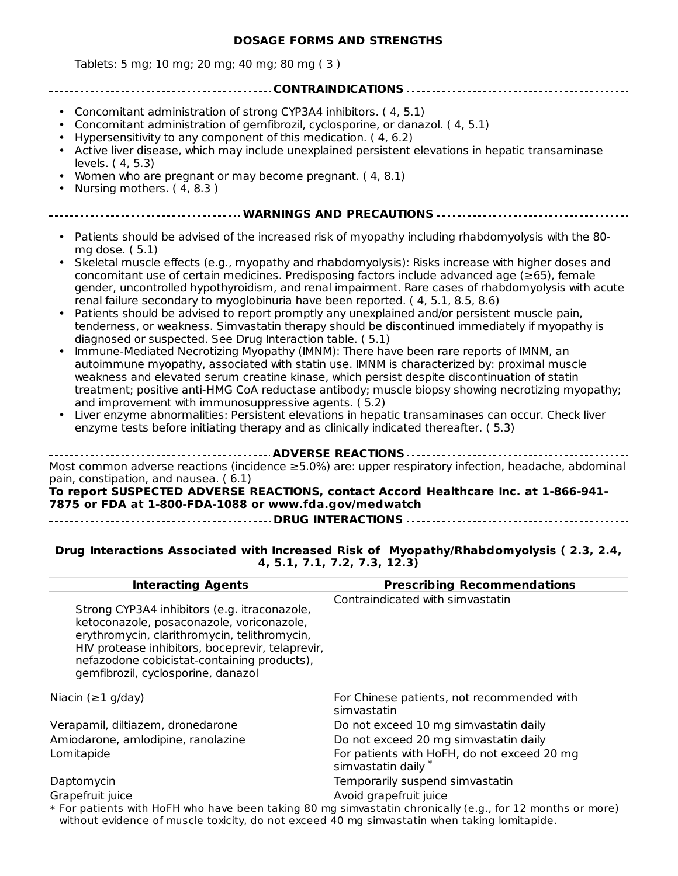| ----------------------- DOSAGE FORMS AND STRENGTHS ------------------------------                                                                                                                                                                                                                                                                                                                                                                                                                                                                                                                                                                                                                                                                                                                                                                                                                                                                                                                                                                                                                                                                                                                                                                                                                                                                                                                                                                                                                              |
|----------------------------------------------------------------------------------------------------------------------------------------------------------------------------------------------------------------------------------------------------------------------------------------------------------------------------------------------------------------------------------------------------------------------------------------------------------------------------------------------------------------------------------------------------------------------------------------------------------------------------------------------------------------------------------------------------------------------------------------------------------------------------------------------------------------------------------------------------------------------------------------------------------------------------------------------------------------------------------------------------------------------------------------------------------------------------------------------------------------------------------------------------------------------------------------------------------------------------------------------------------------------------------------------------------------------------------------------------------------------------------------------------------------------------------------------------------------------------------------------------------------|
| Tablets: 5 mg; 10 mg; 20 mg; 40 mg; 80 mg (3)                                                                                                                                                                                                                                                                                                                                                                                                                                                                                                                                                                                                                                                                                                                                                                                                                                                                                                                                                                                                                                                                                                                                                                                                                                                                                                                                                                                                                                                                  |
|                                                                                                                                                                                                                                                                                                                                                                                                                                                                                                                                                                                                                                                                                                                                                                                                                                                                                                                                                                                                                                                                                                                                                                                                                                                                                                                                                                                                                                                                                                                |
| Concomitant administration of strong CYP3A4 inhibitors. (4, 5.1)<br>$\bullet$<br>Concomitant administration of gemfibrozil, cyclosporine, or danazol. (4, 5.1)<br>$\bullet$<br>Hypersensitivity to any component of this medication. (4, 6.2)<br>$\bullet$<br>Active liver disease, which may include unexplained persistent elevations in hepatic transaminase<br>levels. (4, 5.3)<br>Women who are pregnant or may become pregnant. (4, 8.1)<br>Nursing mothers. (4, 8.3)                                                                                                                                                                                                                                                                                                                                                                                                                                                                                                                                                                                                                                                                                                                                                                                                                                                                                                                                                                                                                                    |
| ----------------------------- WARNINGS AND PRECAUTIONS ------------------------------                                                                                                                                                                                                                                                                                                                                                                                                                                                                                                                                                                                                                                                                                                                                                                                                                                                                                                                                                                                                                                                                                                                                                                                                                                                                                                                                                                                                                          |
| Patients should be advised of the increased risk of myopathy including rhabdomyolysis with the 80-<br>$\bullet$<br>mg dose. (5.1)<br>Skeletal muscle effects (e.g., myopathy and rhabdomyolysis): Risks increase with higher doses and<br>$\bullet$<br>concomitant use of certain medicines. Predisposing factors include advanced age ( $\geq$ 65), female<br>gender, uncontrolled hypothyroidism, and renal impairment. Rare cases of rhabdomyolysis with acute<br>renal failure secondary to myoglobinuria have been reported. (4, 5.1, 8.5, 8.6)<br>Patients should be advised to report promptly any unexplained and/or persistent muscle pain,<br>tenderness, or weakness. Simvastatin therapy should be discontinued immediately if myopathy is<br>diagnosed or suspected. See Drug Interaction table. (5.1)<br>Immune-Mediated Necrotizing Myopathy (IMNM): There have been rare reports of IMNM, an<br>$\bullet$<br>autoimmune myopathy, associated with statin use. IMNM is characterized by: proximal muscle<br>weakness and elevated serum creatine kinase, which persist despite discontinuation of statin<br>treatment; positive anti-HMG CoA reductase antibody; muscle biopsy showing necrotizing myopathy;<br>and improvement with immunosuppressive agents. (5.2)<br>Liver enzyme abnormalities: Persistent elevations in hepatic transaminases can occur. Check liver<br>enzyme tests before initiating therapy and as clinically indicated thereafter. (5.3)<br><b> ADVERSE REACTIONS.</b> |
| Most common adverse reactions (incidence $\geq 5.0\%$ ) are: upper respiratory infection, headache, abdominal                                                                                                                                                                                                                                                                                                                                                                                                                                                                                                                                                                                                                                                                                                                                                                                                                                                                                                                                                                                                                                                                                                                                                                                                                                                                                                                                                                                                  |

pain, constipation, and nausea. ( 6.1)

**To report SUSPECTED ADVERSE REACTIONS, contact Accord Healthcare Inc. at 1-866-941- 7875 or FDA at 1-800-FDA-1088 or www.fda.gov/medwatch DRUG INTERACTIONS** <u>. . . . . . . . .</u>

#### **Drug Interactions Associated with Increased Risk of Myopathy/Rhabdomyolysis ( 2.3, 2.4, 4, 5.1, 7.1, 7.2, 7.3, 12.3)**

| <b>Interacting Agents</b>                                                                                                                                                                                                                                                          | <b>Prescribing Recommendations</b>                                |
|------------------------------------------------------------------------------------------------------------------------------------------------------------------------------------------------------------------------------------------------------------------------------------|-------------------------------------------------------------------|
| Strong CYP3A4 inhibitors (e.g. itraconazole,<br>ketoconazole, posaconazole, voriconazole,<br>erythromycin, clarithromycin, telithromycin,<br>HIV protease inhibitors, boceprevir, telaprevir,<br>nefazodone cobicistat-containing products),<br>gemfibrozil, cyclosporine, danazol | Contraindicated with simvastatin                                  |
| Niacin ( $\geq$ 1 g/day)                                                                                                                                                                                                                                                           | For Chinese patients, not recommended with<br>simvastatin         |
| Verapamil, diltiazem, dronedarone                                                                                                                                                                                                                                                  | Do not exceed 10 mg simvastatin daily                             |
| Amiodarone, amlodipine, ranolazine                                                                                                                                                                                                                                                 | Do not exceed 20 mg simvastatin daily                             |
| Lomitapide                                                                                                                                                                                                                                                                         | For patients with HoFH, do not exceed 20 mg<br>simvastatin daily* |
| Daptomycin                                                                                                                                                                                                                                                                         | Temporarily suspend simvastatin                                   |
| Grapefruit juice                                                                                                                                                                                                                                                                   | Avoid grapefruit juice                                            |

\* For patients with HoFH who have been taking 80 mg simvastatin chronically (e.g., for 12 months or more) without evidence of muscle toxicity, do not exceed 40 mg simvastatin when taking lomitapide.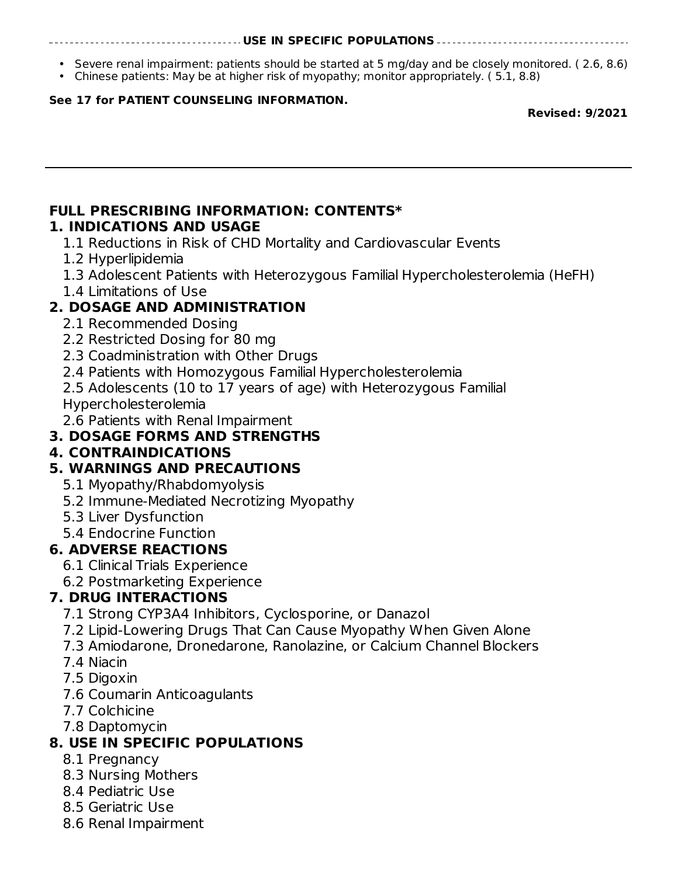#### **USE IN SPECIFIC POPULATIONS**

- Severe renal impairment: patients should be started at 5 mg/day and be closely monitored. ( 2.6, 8.6)
- Chinese patients: May be at higher risk of myopathy; monitor appropriately. ( 5.1, 8.8)

#### **See 17 for PATIENT COUNSELING INFORMATION.**

#### **Revised: 9/2021**

#### **FULL PRESCRIBING INFORMATION: CONTENTS\* 1. INDICATIONS AND USAGE**

- 1.1 Reductions in Risk of CHD Mortality and Cardiovascular Events
- 1.2 Hyperlipidemia
- 1.3 Adolescent Patients with Heterozygous Familial Hypercholesterolemia (HeFH)
- 1.4 Limitations of Use

#### **2. DOSAGE AND ADMINISTRATION**

- 2.1 Recommended Dosing
- 2.2 Restricted Dosing for 80 mg
- 2.3 Coadministration with Other Drugs
- 2.4 Patients with Homozygous Familial Hypercholesterolemia
- 2.5 Adolescents (10 to 17 years of age) with Heterozygous Familial Hypercholesterolemia
- 2.6 Patients with Renal Impairment

### **3. DOSAGE FORMS AND STRENGTHS**

#### **4. CONTRAINDICATIONS**

#### **5. WARNINGS AND PRECAUTIONS**

- 5.1 Myopathy/Rhabdomyolysis
- 5.2 Immune-Mediated Necrotizing Myopathy
- 5.3 Liver Dysfunction
- 5.4 Endocrine Function

#### **6. ADVERSE REACTIONS**

- 6.1 Clinical Trials Experience
- 6.2 Postmarketing Experience

#### **7. DRUG INTERACTIONS**

- 7.1 Strong CYP3A4 Inhibitors, Cyclosporine, or Danazol
- 7.2 Lipid-Lowering Drugs That Can Cause Myopathy When Given Alone
- 7.3 Amiodarone, Dronedarone, Ranolazine, or Calcium Channel Blockers
- 7.4 Niacin
- 7.5 Digoxin
- 7.6 Coumarin Anticoagulants
- 7.7 Colchicine
- 7.8 Daptomycin

#### **8. USE IN SPECIFIC POPULATIONS**

- 8.1 Pregnancy
- 8.3 Nursing Mothers
- 8.4 Pediatric Use
- 8.5 Geriatric Use
- 8.6 Renal Impairment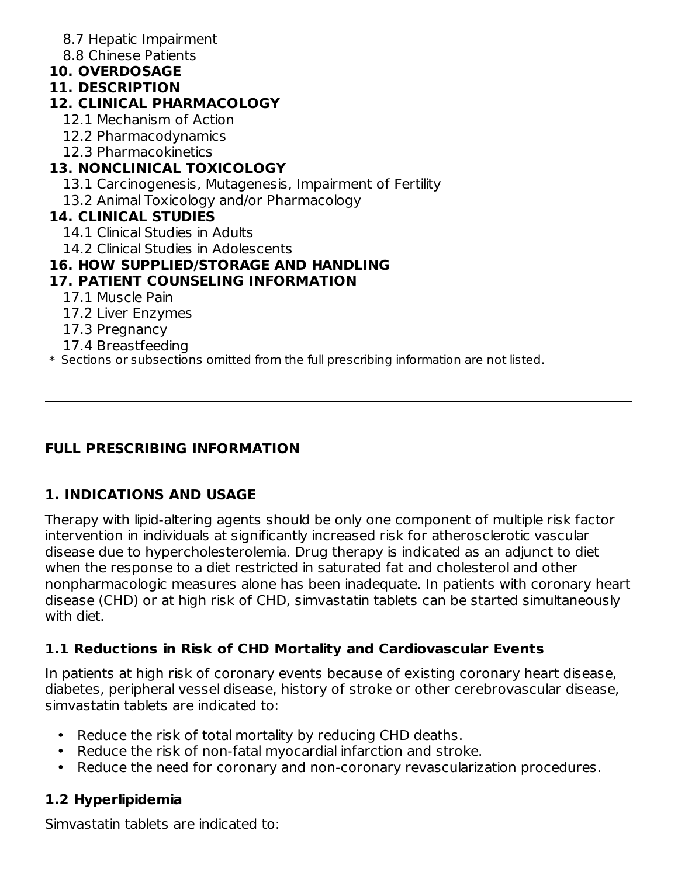- 8.7 Hepatic Impairment
- 8.8 Chinese Patients
- **10. OVERDOSAGE**

#### **11. DESCRIPTION**

### **12. CLINICAL PHARMACOLOGY**

- 12.1 Mechanism of Action
- 12.2 Pharmacodynamics
- 12.3 Pharmacokinetics

# **13. NONCLINICAL TOXICOLOGY**

- 13.1 Carcinogenesis, Mutagenesis, Impairment of Fertility
- 13.2 Animal Toxicology and/or Pharmacology

### **14. CLINICAL STUDIES**

- 14.1 Clinical Studies in Adults
- 14.2 Clinical Studies in Adolescents

### **16. HOW SUPPLIED/STORAGE AND HANDLING**

# **17. PATIENT COUNSELING INFORMATION**

- 17.1 Muscle Pain
- 17.2 Liver Enzymes
- 17.3 Pregnancy
- 17.4 Breastfeeding
- \* Sections or subsections omitted from the full prescribing information are not listed.

# **FULL PRESCRIBING INFORMATION**

# **1. INDICATIONS AND USAGE**

Therapy with lipid-altering agents should be only one component of multiple risk factor intervention in individuals at significantly increased risk for atherosclerotic vascular disease due to hypercholesterolemia. Drug therapy is indicated as an adjunct to diet when the response to a diet restricted in saturated fat and cholesterol and other nonpharmacologic measures alone has been inadequate. In patients with coronary heart disease (CHD) or at high risk of CHD, simvastatin tablets can be started simultaneously with diet.

# **1.1 Reductions in Risk of CHD Mortality and Cardiovascular Events**

In patients at high risk of coronary events because of existing coronary heart disease, diabetes, peripheral vessel disease, history of stroke or other cerebrovascular disease, simvastatin tablets are indicated to:

- Reduce the risk of total mortality by reducing CHD deaths.
- Reduce the risk of non-fatal myocardial infarction and stroke.
- Reduce the need for coronary and non-coronary revascularization procedures.

# **1.2 Hyperlipidemia**

Simvastatin tablets are indicated to: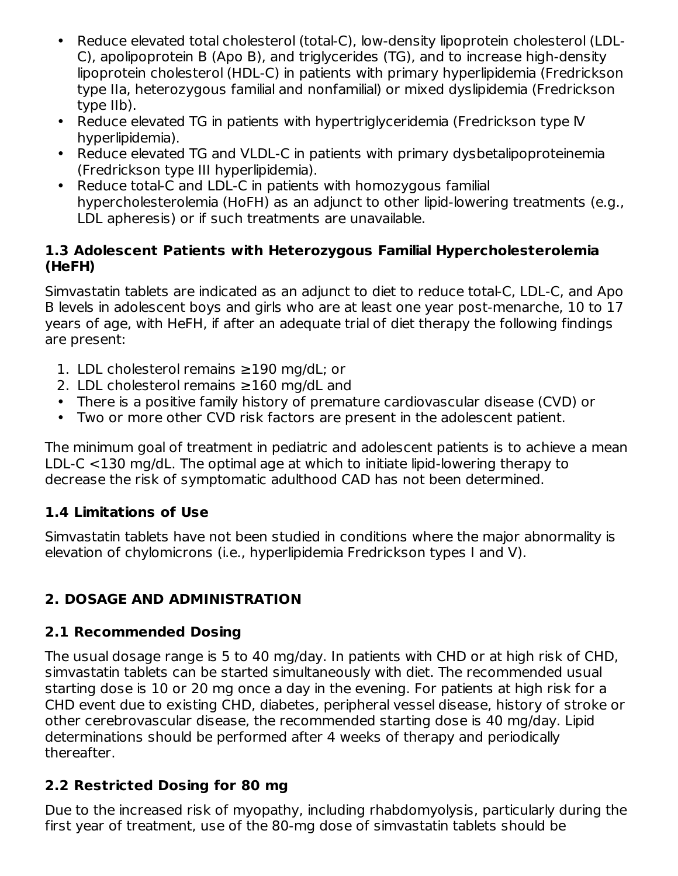- Reduce elevated total cholesterol (total-C), low-density lipoprotein cholesterol (LDL-C), apolipoprotein B (Apo B), and triglycerides (TG), and to increase high-density lipoprotein cholesterol (HDL-C) in patients with primary hyperlipidemia (Fredrickson type IIa, heterozygous familial and nonfamilial) or mixed dyslipidemia (Fredrickson type IIb).
- Reduce elevated TG in patients with hypertriglyceridemia (Fredrickson type IV hyperlipidemia).
- Reduce elevated TG and VLDL-C in patients with primary dysbetalipoproteinemia (Fredrickson type III hyperlipidemia).
- Reduce total-C and LDL-C in patients with homozygous familial hypercholesterolemia (HoFH) as an adjunct to other lipid-lowering treatments (e.g., LDL apheresis) or if such treatments are unavailable.

#### **1.3 Adolescent Patients with Heterozygous Familial Hypercholesterolemia (HeFH)**

Simvastatin tablets are indicated as an adjunct to diet to reduce total-C, LDL-C, and Apo B levels in adolescent boys and girls who are at least one year post-menarche, 10 to 17 years of age, with HeFH, if after an adequate trial of diet therapy the following findings are present:

- 1. LDL cholesterol remains ≥190 mg/dL; or
- 2. LDL cholesterol remains ≥160 mg/dL and
- There is a positive family history of premature cardiovascular disease (CVD) or
- Two or more other CVD risk factors are present in the adolescent patient.

The minimum goal of treatment in pediatric and adolescent patients is to achieve a mean LDL-C <130 mg/dL. The optimal age at which to initiate lipid-lowering therapy to decrease the risk of symptomatic adulthood CAD has not been determined.

# **1.4 Limitations of Use**

Simvastatin tablets have not been studied in conditions where the major abnormality is elevation of chylomicrons (i.e., hyperlipidemia Fredrickson types I and V).

# **2. DOSAGE AND ADMINISTRATION**

# **2.1 Recommended Dosing**

The usual dosage range is 5 to 40 mg/day. In patients with CHD or at high risk of CHD, simvastatin tablets can be started simultaneously with diet. The recommended usual starting dose is 10 or 20 mg once a day in the evening. For patients at high risk for a CHD event due to existing CHD, diabetes, peripheral vessel disease, history of stroke or other cerebrovascular disease, the recommended starting dose is 40 mg/day. Lipid determinations should be performed after 4 weeks of therapy and periodically thereafter.

# **2.2 Restricted Dosing for 80 mg**

Due to the increased risk of myopathy, including rhabdomyolysis, particularly during the first year of treatment, use of the 80-mg dose of simvastatin tablets should be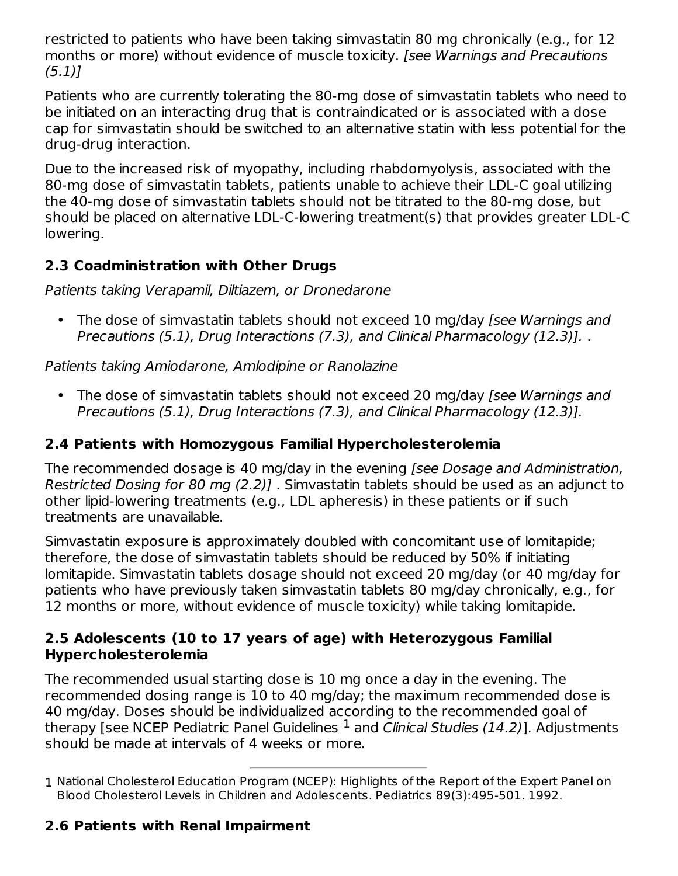restricted to patients who have been taking simvastatin 80 mg chronically (e.g., for 12 months or more) without evidence of muscle toxicity. [see Warnings and Precautions (5.1)]

Patients who are currently tolerating the 80-mg dose of simvastatin tablets who need to be initiated on an interacting drug that is contraindicated or is associated with a dose cap for simvastatin should be switched to an alternative statin with less potential for the drug-drug interaction.

Due to the increased risk of myopathy, including rhabdomyolysis, associated with the 80-mg dose of simvastatin tablets, patients unable to achieve their LDL-C goal utilizing the 40-mg dose of simvastatin tablets should not be titrated to the 80-mg dose, but should be placed on alternative LDL-C-lowering treatment(s) that provides greater LDL-C lowering.

### **2.3 Coadministration with Other Drugs**

Patients taking Verapamil, Diltiazem, or Dronedarone

• The dose of simvastatin tablets should not exceed 10 mg/day [see Warnings and Precautions (5.1), Drug Interactions (7.3), and Clinical Pharmacology (12.3)]. .

#### Patients taking Amiodarone, Amlodipine or Ranolazine

• The dose of simvastatin tablets should not exceed 20 mg/day [see Warnings and Precautions (5.1), Drug Interactions (7.3), and Clinical Pharmacology (12.3)].

#### **2.4 Patients with Homozygous Familial Hypercholesterolemia**

The recommended dosage is 40 mg/day in the evening [see Dosage and Administration, Restricted Dosing for 80 mg (2.2)] . Simvastatin tablets should be used as an adjunct to other lipid-lowering treatments (e.g., LDL apheresis) in these patients or if such treatments are unavailable.

Simvastatin exposure is approximately doubled with concomitant use of lomitapide; therefore, the dose of simvastatin tablets should be reduced by 50% if initiating lomitapide. Simvastatin tablets dosage should not exceed 20 mg/day (or 40 mg/day for patients who have previously taken simvastatin tablets 80 mg/day chronically, e.g., for 12 months or more, without evidence of muscle toxicity) while taking lomitapide.

#### **2.5 Adolescents (10 to 17 years of age) with Heterozygous Familial Hypercholesterolemia**

The recommended usual starting dose is 10 mg once a day in the evening. The recommended dosing range is 10 to 40 mg/day; the maximum recommended dose is 40 mg/day. Doses should be individualized according to the recommended goal of therapy [see NCEP Pediatric Panel Guidelines  $^1$  and *Clinical Studies (14.2)*]. Adjustments should be made at intervals of 4 weeks or more.

#### **2.6 Patients with Renal Impairment**

<sup>1</sup> National Cholesterol Education Program (NCEP): Highlights of the Report of the Expert Panel on Blood Cholesterol Levels in Children and Adolescents. Pediatrics 89(3):495-501. 1992.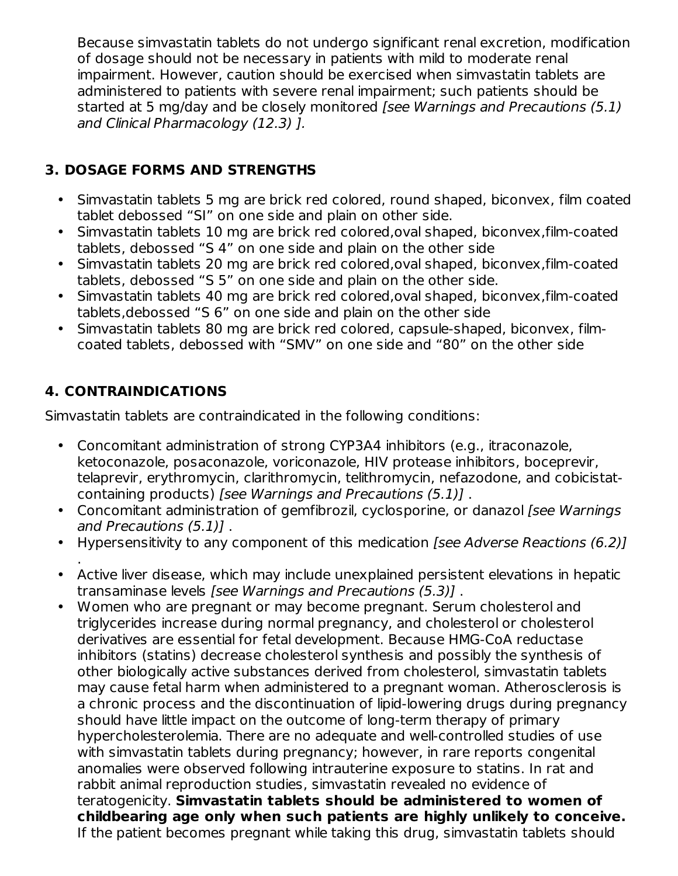Because simvastatin tablets do not undergo significant renal excretion, modification of dosage should not be necessary in patients with mild to moderate renal impairment. However, caution should be exercised when simvastatin tablets are administered to patients with severe renal impairment; such patients should be started at 5 mg/day and be closely monitored [see Warnings and Precautions (5.1) and Clinical Pharmacology (12.3) ].

### **3. DOSAGE FORMS AND STRENGTHS**

- Simvastatin tablets 5 mg are brick red colored, round shaped, biconvex, film coated tablet debossed "SI" on one side and plain on other side.
- Simvastatin tablets 10 mg are brick red colored,oval shaped, biconvex,film-coated tablets, debossed "S 4" on one side and plain on the other side
- Simvastatin tablets 20 mg are brick red colored,oval shaped, biconvex,film-coated tablets, debossed "S 5" on one side and plain on the other side.
- Simvastatin tablets 40 mg are brick red colored,oval shaped, biconvex,film-coated tablets,debossed "S 6" on one side and plain on the other side
- Simvastatin tablets 80 mg are brick red colored, capsule-shaped, biconvex, filmcoated tablets, debossed with "SMV" on one side and "80" on the other side

### **4. CONTRAINDICATIONS**

Simvastatin tablets are contraindicated in the following conditions:

- Concomitant administration of strong CYP3A4 inhibitors (e.g., itraconazole, ketoconazole, posaconazole, voriconazole, HIV protease inhibitors, boceprevir, telaprevir, erythromycin, clarithromycin, telithromycin, nefazodone, and cobicistatcontaining products) [see Warnings and Precautions (5.1)] .
- Concomitant administration of gemfibrozil, cyclosporine, or danazol [see Warnings] and Precautions (5.1)] .
- Hypersensitivity to any component of this medication [see Adverse Reactions (6.2)]
- Active liver disease, which may include unexplained persistent elevations in hepatic . transaminase levels [see Warnings and Precautions (5.3)] .
- Women who are pregnant or may become pregnant. Serum cholesterol and triglycerides increase during normal pregnancy, and cholesterol or cholesterol derivatives are essential for fetal development. Because HMG-CoA reductase inhibitors (statins) decrease cholesterol synthesis and possibly the synthesis of other biologically active substances derived from cholesterol, simvastatin tablets may cause fetal harm when administered to a pregnant woman. Atherosclerosis is a chronic process and the discontinuation of lipid-lowering drugs during pregnancy should have little impact on the outcome of long-term therapy of primary hypercholesterolemia. There are no adequate and well-controlled studies of use with simvastatin tablets during pregnancy; however, in rare reports congenital anomalies were observed following intrauterine exposure to statins. In rat and rabbit animal reproduction studies, simvastatin revealed no evidence of teratogenicity. **Simvastatin tablets should be administered to women of childbearing age only when such patients are highly unlikely to conceive.** If the patient becomes pregnant while taking this drug, simvastatin tablets should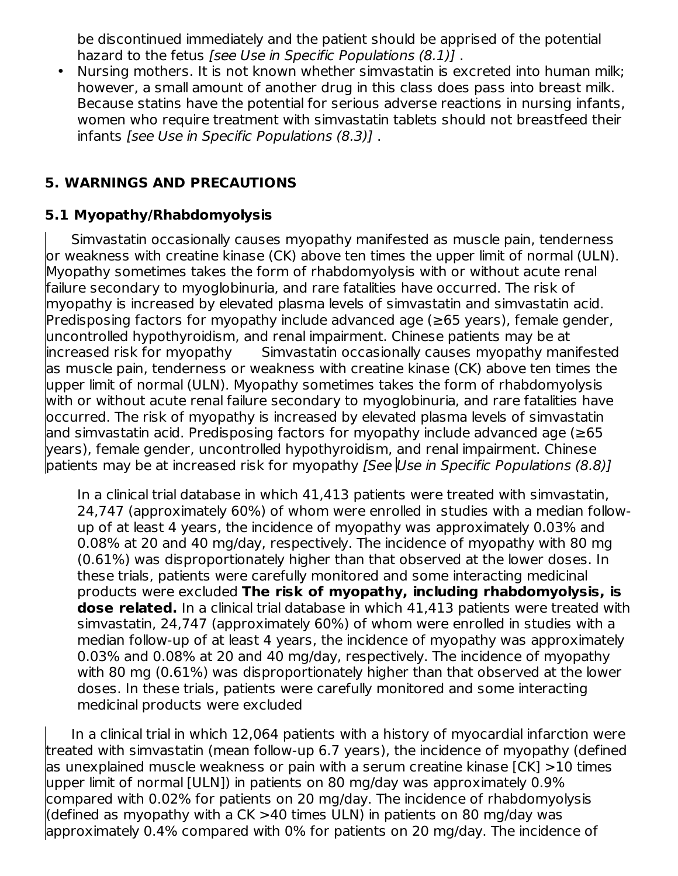be discontinued immediately and the patient should be apprised of the potential hazard to the fetus [see Use in Specific Populations (8.1)].

• Nursing mothers. It is not known whether simvastatin is excreted into human milk; however, a small amount of another drug in this class does pass into breast milk. Because statins have the potential for serious adverse reactions in nursing infants, women who require treatment with simvastatin tablets should not breastfeed their infants [see Use in Specific Populations (8.3)] .

#### **5. WARNINGS AND PRECAUTIONS**

#### **5.1 Myopathy/Rhabdomyolysis**

Simvastatin occasionally causes myopathy manifested as muscle pain, tenderness or weakness with creatine kinase (CK) above ten times the upper limit of normal (ULN). Myopathy sometimes takes the form of rhabdomyolysis with or without acute renal failure secondary to myoglobinuria, and rare fatalities have occurred. The risk of myopathy is increased by elevated plasma levels of simvastatin and simvastatin acid. Predisposing factors for myopathy include advanced age (≥65 years), female gender, uncontrolled hypothyroidism, and renal impairment. Chinese patients may be at increased risk for myopathy Simvastatin occasionally causes myopathy manifested as muscle pain, tenderness or weakness with creatine kinase (CK) above ten times the upper limit of normal (ULN). Myopathy sometimes takes the form of rhabdomyolysis with or without acute renal failure secondary to myoglobinuria, and rare fatalities have occurred. The risk of myopathy is increased by elevated plasma levels of simvastatin and simvastatin acid. Predisposing factors for myopathy include advanced age (≥65 years), female gender, uncontrolled hypothyroidism, and renal impairment. Chinese patients may be at increased risk for myopathy *[See Use in Specific Populations (8.8)]* 

In a clinical trial database in which 41,413 patients were treated with simvastatin, 24,747 (approximately 60%) of whom were enrolled in studies with a median followup of at least 4 years, the incidence of myopathy was approximately 0.03% and 0.08% at 20 and 40 mg/day, respectively. The incidence of myopathy with 80 mg (0.61%) was disproportionately higher than that observed at the lower doses. In these trials, patients were carefully monitored and some interacting medicinal products were excluded **The risk of myopathy, including rhabdomyolysis, is dose related.** In a clinical trial database in which 41,413 patients were treated with simvastatin, 24,747 (approximately 60%) of whom were enrolled in studies with a median follow-up of at least 4 years, the incidence of myopathy was approximately 0.03% and 0.08% at 20 and 40 mg/day, respectively. The incidence of myopathy with 80 mg (0.61%) was disproportionately higher than that observed at the lower doses. In these trials, patients were carefully monitored and some interacting medicinal products were excluded

In a clinical trial in which 12,064 patients with a history of myocardial infarction were treated with simvastatin (mean follow-up 6.7 years), the incidence of myopathy (defined as unexplained muscle weakness or pain with a serum creatine kinase [CK] >10 times upper limit of normal [ULN]) in patients on 80 mg/day was approximately 0.9% compared with 0.02% for patients on 20 mg/day. The incidence of rhabdomyolysis (defined as myopathy with a CK >40 times ULN) in patients on 80 mg/day was approximately 0.4% compared with 0% for patients on 20 mg/day. The incidence of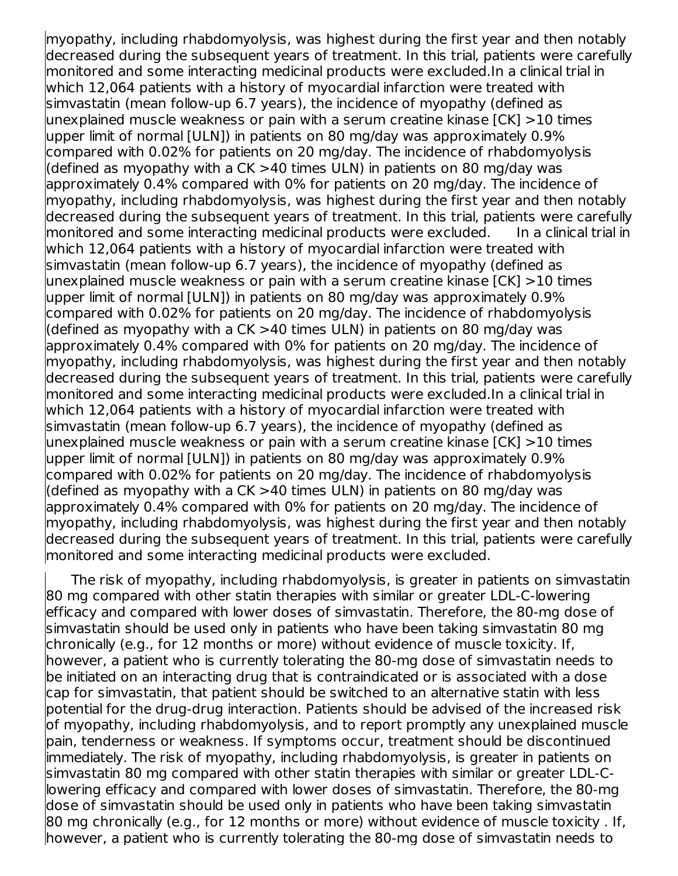myopathy, including rhabdomyolysis, was highest during the first year and then notably decreased during the subsequent years of treatment. In this trial, patients were carefully monitored and some interacting medicinal products were excluded.In a clinical trial in which 12,064 patients with a history of myocardial infarction were treated with simvastatin (mean follow-up 6.7 years), the incidence of myopathy (defined as unexplained muscle weakness or pain with a serum creatine kinase [CK] >10 times upper limit of normal [ULN]) in patients on 80 mg/day was approximately 0.9% compared with 0.02% for patients on 20 mg/day. The incidence of rhabdomyolysis (defined as myopathy with a CK >40 times ULN) in patients on 80 mg/day was approximately 0.4% compared with 0% for patients on 20 mg/day. The incidence of myopathy, including rhabdomyolysis, was highest during the first year and then notably decreased during the subsequent years of treatment. In this trial, patients were carefully monitored and some interacting medicinal products were excluded. In a clinical trial in which 12,064 patients with a history of myocardial infarction were treated with simvastatin (mean follow-up 6.7 years), the incidence of myopathy (defined as unexplained muscle weakness or pain with a serum creatine kinase [CK] >10 times upper limit of normal [ULN]) in patients on 80 mg/day was approximately 0.9% compared with 0.02% for patients on 20 mg/day. The incidence of rhabdomyolysis (defined as myopathy with a CK  $>40$  times ULN) in patients on 80 mg/day was approximately 0.4% compared with 0% for patients on 20 mg/day. The incidence of myopathy, including rhabdomyolysis, was highest during the first year and then notably decreased during the subsequent years of treatment. In this trial, patients were carefully monitored and some interacting medicinal products were excluded.In a clinical trial in which 12,064 patients with a history of myocardial infarction were treated with simvastatin (mean follow-up 6.7 years), the incidence of myopathy (defined as unexplained muscle weakness or pain with a serum creatine kinase [CK] >10 times upper limit of normal [ULN]) in patients on 80 mg/day was approximately 0.9% compared with 0.02% for patients on 20 mg/day. The incidence of rhabdomyolysis (defined as myopathy with a CK >40 times ULN) in patients on 80 mg/day was approximately 0.4% compared with 0% for patients on 20 mg/day. The incidence of myopathy, including rhabdomyolysis, was highest during the first year and then notably decreased during the subsequent years of treatment. In this trial, patients were carefully monitored and some interacting medicinal products were excluded.

The risk of myopathy, including rhabdomyolysis, is greater in patients on simvastatin 80 mg compared with other statin therapies with similar or greater LDL-C-lowering efficacy and compared with lower doses of simvastatin. Therefore, the 80-mg dose of simvastatin should be used only in patients who have been taking simvastatin 80 mg chronically (e.g., for 12 months or more) without evidence of muscle toxicity. If, however, a patient who is currently tolerating the 80-mg dose of simvastatin needs to be initiated on an interacting drug that is contraindicated or is associated with a dose cap for simvastatin, that patient should be switched to an alternative statin with less potential for the drug-drug interaction. Patients should be advised of the increased risk of myopathy, including rhabdomyolysis, and to report promptly any unexplained muscle pain, tenderness or weakness. If symptoms occur, treatment should be discontinued immediately. The risk of myopathy, including rhabdomyolysis, is greater in patients on simvastatin 80 mg compared with other statin therapies with similar or greater LDL-Clowering efficacy and compared with lower doses of simvastatin. Therefore, the 80-mg dose of simvastatin should be used only in patients who have been taking simvastatin 80 mg chronically (e.g., for 12 months or more) without evidence of muscle toxicity . If, however, a patient who is currently tolerating the 80-mg dose of simvastatin needs to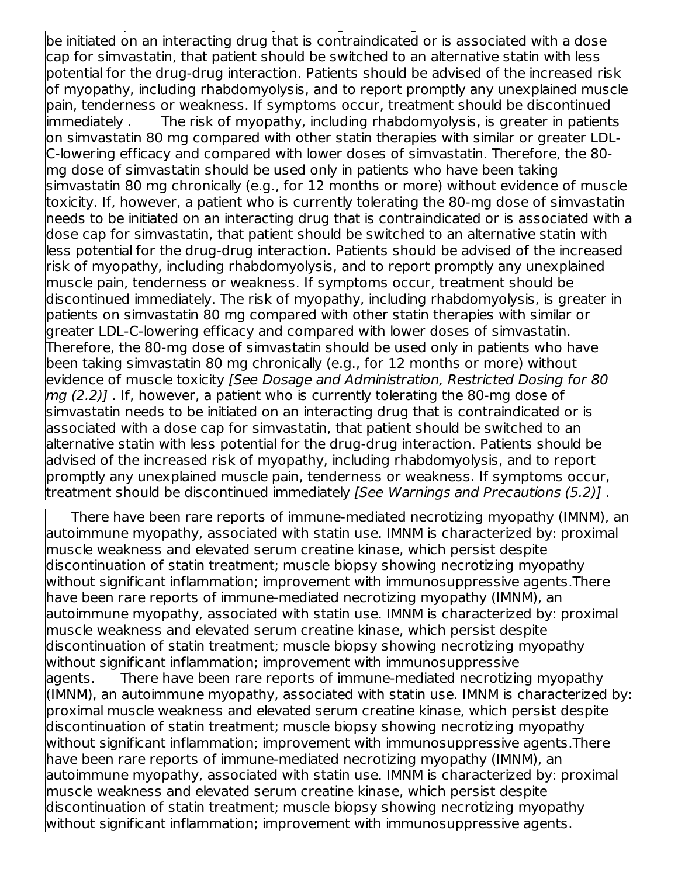however, a patient who is currently tolerating the 80-mg dose of simvastatin needs to be initiated on an interacting drug that is contraindicated or is associated with a dose cap for simvastatin, that patient should be switched to an alternative statin with less potential for the drug-drug interaction. Patients should be advised of the increased risk of myopathy, including rhabdomyolysis, and to report promptly any unexplained muscle pain, tenderness or weakness. If symptoms occur, treatment should be discontinued immediately . The risk of myopathy, including rhabdomyolysis, is greater in patients on simvastatin 80 mg compared with other statin therapies with similar or greater LDL-C-lowering efficacy and compared with lower doses of simvastatin. Therefore, the 80 mg dose of simvastatin should be used only in patients who have been taking simvastatin 80 mg chronically (e.g., for 12 months or more) without evidence of muscle toxicity. If, however, a patient who is currently tolerating the 80-mg dose of simvastatin needs to be initiated on an interacting drug that is contraindicated or is associated with a dose cap for simvastatin, that patient should be switched to an alternative statin with less potential for the drug-drug interaction. Patients should be advised of the increased risk of myopathy, including rhabdomyolysis, and to report promptly any unexplained muscle pain, tenderness or weakness. If symptoms occur, treatment should be discontinued immediately. The risk of myopathy, including rhabdomyolysis, is greater in patients on simvastatin 80 mg compared with other statin therapies with similar or greater LDL-C-lowering efficacy and compared with lower doses of simvastatin. Therefore, the 80-mg dose of simvastatin should be used only in patients who have been taking simvastatin 80 mg chronically (e.g., for 12 months or more) without evidence of muscle toxicity [See Dosage and Administration, Restricted Dosing for 80  $mg(2.2)$ ]. If, however, a patient who is currently tolerating the 80-mg dose of simvastatin needs to be initiated on an interacting drug that is contraindicated or is associated with a dose cap for simvastatin, that patient should be switched to an alternative statin with less potential for the drug-drug interaction. Patients should be advised of the increased risk of myopathy, including rhabdomyolysis, and to report promptly any unexplained muscle pain, tenderness or weakness. If symptoms occur, treatment should be discontinued immediately [See Warnings and Precautions (5.2)] .

There have been rare reports of immune-mediated necrotizing myopathy (IMNM), an autoimmune myopathy, associated with statin use. IMNM is characterized by: proximal muscle weakness and elevated serum creatine kinase, which persist despite discontinuation of statin treatment; muscle biopsy showing necrotizing myopathy without significant inflammation; improvement with immunosuppressive agents.There have been rare reports of immune-mediated necrotizing myopathy (IMNM), an autoimmune myopathy, associated with statin use. IMNM is characterized by: proximal muscle weakness and elevated serum creatine kinase, which persist despite discontinuation of statin treatment; muscle biopsy showing necrotizing myopathy without significant inflammation; improvement with immunosuppressive agents. There have been rare reports of immune-mediated necrotizing myopathy (IMNM), an autoimmune myopathy, associated with statin use. IMNM is characterized by: proximal muscle weakness and elevated serum creatine kinase, which persist despite discontinuation of statin treatment; muscle biopsy showing necrotizing myopathy without significant inflammation; improvement with immunosuppressive agents.There have been rare reports of immune-mediated necrotizing myopathy (IMNM), an autoimmune myopathy, associated with statin use. IMNM is characterized by: proximal muscle weakness and elevated serum creatine kinase, which persist despite discontinuation of statin treatment; muscle biopsy showing necrotizing myopathy without significant inflammation; improvement with immunosuppressive agents.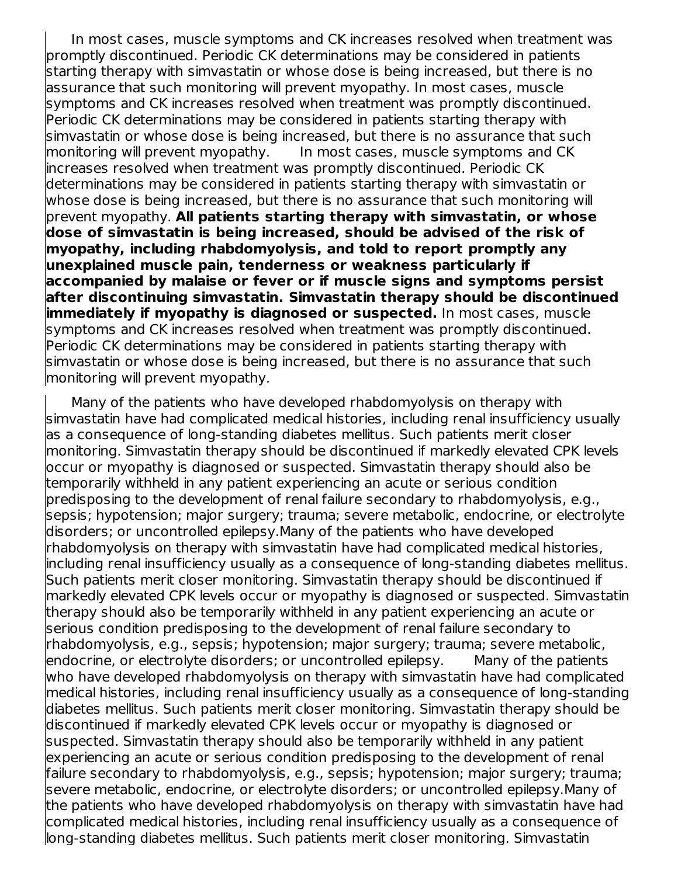In most cases, muscle symptoms and CK increases resolved when treatment was promptly discontinued. Periodic CK determinations may be considered in patients starting therapy with simvastatin or whose dose is being increased, but there is no assurance that such monitoring will prevent myopathy. In most cases, muscle symptoms and CK increases resolved when treatment was promptly discontinued. Periodic CK determinations may be considered in patients starting therapy with simvastatin or whose dose is being increased, but there is no assurance that such monitoring will prevent myopathy. In most cases, muscle symptoms and CK increases resolved when treatment was promptly discontinued. Periodic CK determinations may be considered in patients starting therapy with simvastatin or whose dose is being increased, but there is no assurance that such monitoring will prevent myopathy. **All patients starting therapy with simvastatin, or whose dose of simvastatin is being increased, should be advised of the risk of myopathy, including rhabdomyolysis, and told to report promptly any unexplained muscle pain, tenderness or weakness particularly if accompanied by malaise or fever or if muscle signs and symptoms persist after discontinuing simvastatin. Simvastatin therapy should be discontinued immediately if myopathy is diagnosed or suspected.** In most cases, muscle symptoms and CK increases resolved when treatment was promptly discontinued. Periodic CK determinations may be considered in patients starting therapy with simvastatin or whose dose is being increased, but there is no assurance that such monitoring will prevent myopathy.

Many of the patients who have developed rhabdomyolysis on therapy with simvastatin have had complicated medical histories, including renal insufficiency usually as a consequence of long-standing diabetes mellitus. Such patients merit closer monitoring. Simvastatin therapy should be discontinued if markedly elevated CPK levels occur or myopathy is diagnosed or suspected. Simvastatin therapy should also be temporarily withheld in any patient experiencing an acute or serious condition predisposing to the development of renal failure secondary to rhabdomyolysis, e.g., sepsis; hypotension; major surgery; trauma; severe metabolic, endocrine, or electrolyte disorders; or uncontrolled epilepsy.Many of the patients who have developed rhabdomyolysis on therapy with simvastatin have had complicated medical histories, including renal insufficiency usually as a consequence of long-standing diabetes mellitus. Such patients merit closer monitoring. Simvastatin therapy should be discontinued if markedly elevated CPK levels occur or myopathy is diagnosed or suspected. Simvastatin therapy should also be temporarily withheld in any patient experiencing an acute or serious condition predisposing to the development of renal failure secondary to rhabdomyolysis, e.g., sepsis; hypotension; major surgery; trauma; severe metabolic, endocrine, or electrolyte disorders; or uncontrolled epilepsy. Many of the patients who have developed rhabdomyolysis on therapy with simvastatin have had complicated medical histories, including renal insufficiency usually as a consequence of long-standing diabetes mellitus. Such patients merit closer monitoring. Simvastatin therapy should be discontinued if markedly elevated CPK levels occur or myopathy is diagnosed or suspected. Simvastatin therapy should also be temporarily withheld in any patient experiencing an acute or serious condition predisposing to the development of renal failure secondary to rhabdomyolysis, e.g., sepsis; hypotension; major surgery; trauma; severe metabolic, endocrine, or electrolyte disorders; or uncontrolled epilepsy.Many of the patients who have developed rhabdomyolysis on therapy with simvastatin have had complicated medical histories, including renal insufficiency usually as a consequence of long-standing diabetes mellitus. Such patients merit closer monitoring. Simvastatin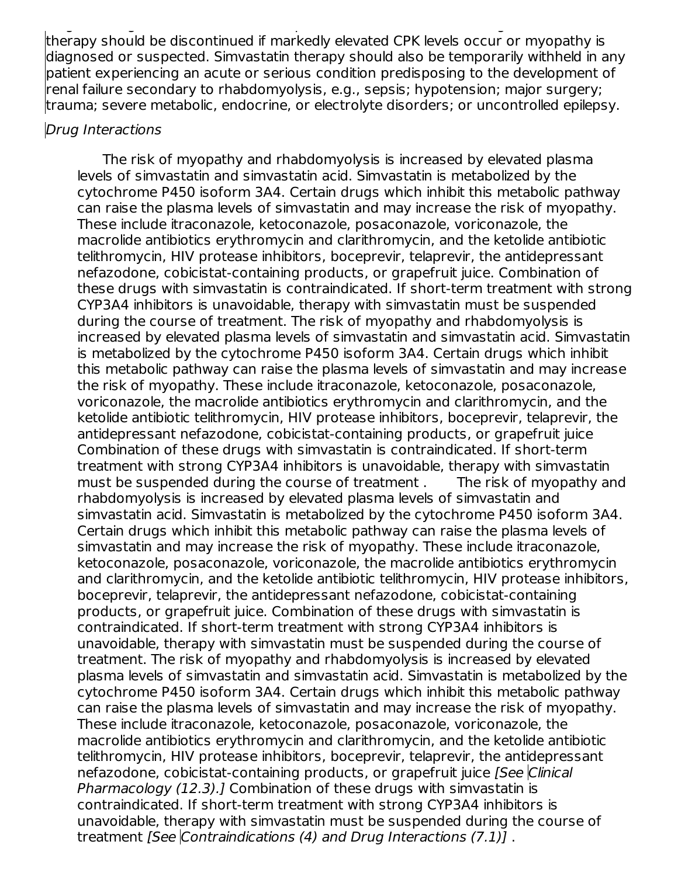long-standing diabetes mellitus. Such patients merit closer monitoring. Simvastatin therapy should be discontinued if markedly elevated CPK levels occur or myopathy is diagnosed or suspected. Simvastatin therapy should also be temporarily withheld in any patient experiencing an acute or serious condition predisposing to the development of renal failure secondary to rhabdomyolysis, e.g., sepsis; hypotension; major surgery; trauma; severe metabolic, endocrine, or electrolyte disorders; or uncontrolled epilepsy.

#### Drug Interactions

The risk of myopathy and rhabdomyolysis is increased by elevated plasma levels of simvastatin and simvastatin acid. Simvastatin is metabolized by the cytochrome P450 isoform 3A4. Certain drugs which inhibit this metabolic pathway can raise the plasma levels of simvastatin and may increase the risk of myopathy. These include itraconazole, ketoconazole, posaconazole, voriconazole, the macrolide antibiotics erythromycin and clarithromycin, and the ketolide antibiotic telithromycin, HIV protease inhibitors, boceprevir, telaprevir, the antidepressant nefazodone, cobicistat-containing products, or grapefruit juice. Combination of these drugs with simvastatin is contraindicated. If short-term treatment with strong CYP3A4 inhibitors is unavoidable, therapy with simvastatin must be suspended during the course of treatment. The risk of myopathy and rhabdomyolysis is increased by elevated plasma levels of simvastatin and simvastatin acid. Simvastatin is metabolized by the cytochrome P450 isoform 3A4. Certain drugs which inhibit this metabolic pathway can raise the plasma levels of simvastatin and may increase the risk of myopathy. These include itraconazole, ketoconazole, posaconazole, voriconazole, the macrolide antibiotics erythromycin and clarithromycin, and the ketolide antibiotic telithromycin, HIV protease inhibitors, boceprevir, telaprevir, the antidepressant nefazodone, cobicistat-containing products, or grapefruit juice Combination of these drugs with simvastatin is contraindicated. If short-term treatment with strong CYP3A4 inhibitors is unavoidable, therapy with simvastatin must be suspended during the course of treatment . The risk of myopathy and rhabdomyolysis is increased by elevated plasma levels of simvastatin and simvastatin acid. Simvastatin is metabolized by the cytochrome P450 isoform 3A4. Certain drugs which inhibit this metabolic pathway can raise the plasma levels of simvastatin and may increase the risk of myopathy. These include itraconazole, ketoconazole, posaconazole, voriconazole, the macrolide antibiotics erythromycin and clarithromycin, and the ketolide antibiotic telithromycin, HIV protease inhibitors, boceprevir, telaprevir, the antidepressant nefazodone, cobicistat-containing products, or grapefruit juice. Combination of these drugs with simvastatin is contraindicated. If short-term treatment with strong CYP3A4 inhibitors is unavoidable, therapy with simvastatin must be suspended during the course of treatment. The risk of myopathy and rhabdomyolysis is increased by elevated plasma levels of simvastatin and simvastatin acid. Simvastatin is metabolized by the cytochrome P450 isoform 3A4. Certain drugs which inhibit this metabolic pathway can raise the plasma levels of simvastatin and may increase the risk of myopathy. These include itraconazole, ketoconazole, posaconazole, voriconazole, the macrolide antibiotics erythromycin and clarithromycin, and the ketolide antibiotic telithromycin, HIV protease inhibitors, boceprevir, telaprevir, the antidepressant nefazodone, cobicistat-containing products, or grapefruit juice [See Clinical Pharmacology (12.3).] Combination of these drugs with simvastatin is contraindicated. If short-term treatment with strong CYP3A4 inhibitors is unavoidable, therapy with simvastatin must be suspended during the course of treatment [See Contraindications (4) and Drug Interactions (7.1)] .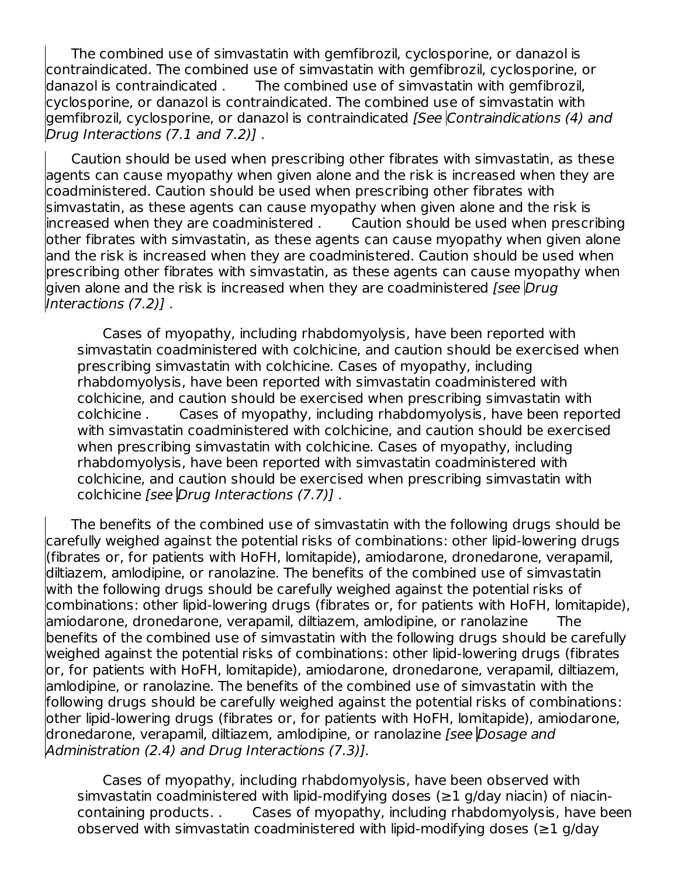The combined use of simvastatin with gemfibrozil, cyclosporine, or danazol is contraindicated. The combined use of simvastatin with gemfibrozil, cyclosporine, or danazol is contraindicated . The combined use of simvastatin with gemfibrozil, cyclosporine, or danazol is contraindicated. The combined use of simvastatin with gemfibrozil, cyclosporine, or danazol is contraindicated [See Contraindications (4) and Drug Interactions (7.1 and 7.2)] .

Caution should be used when prescribing other fibrates with simvastatin, as these agents can cause myopathy when given alone and the risk is increased when they are coadministered. Caution should be used when prescribing other fibrates with simvastatin, as these agents can cause myopathy when given alone and the risk is increased when they are coadministered . Caution should be used when prescribing other fibrates with simvastatin, as these agents can cause myopathy when given alone and the risk is increased when they are coadministered. Caution should be used when prescribing other fibrates with simvastatin, as these agents can cause myopathy when given alone and the risk is increased when they are coadministered *[see*  $Druq$ Interactions (7.2)] .

Cases of myopathy, including rhabdomyolysis, have been reported with simvastatin coadministered with colchicine, and caution should be exercised when prescribing simvastatin with colchicine. Cases of myopathy, including rhabdomyolysis, have been reported with simvastatin coadministered with colchicine, and caution should be exercised when prescribing simvastatin with colchicine . Cases of myopathy, including rhabdomyolysis, have been reported with simvastatin coadministered with colchicine, and caution should be exercised when prescribing simvastatin with colchicine. Cases of myopathy, including rhabdomyolysis, have been reported with simvastatin coadministered with colchicine, and caution should be exercised when prescribing simvastatin with colchicine [see Drug Interactions (7.7)] .

The benefits of the combined use of simvastatin with the following drugs should be carefully weighed against the potential risks of combinations: other lipid-lowering drugs (fibrates or, for patients with HoFH, lomitapide), amiodarone, dronedarone, verapamil, diltiazem, amlodipine, or ranolazine. The benefits of the combined use of simvastatin with the following drugs should be carefully weighed against the potential risks of combinations: other lipid-lowering drugs (fibrates or, for patients with HoFH, lomitapide), amiodarone, dronedarone, verapamil, diltiazem, amlodipine, or ranolazine The benefits of the combined use of simvastatin with the following drugs should be carefully weighed against the potential risks of combinations: other lipid-lowering drugs (fibrates or, for patients with HoFH, lomitapide), amiodarone, dronedarone, verapamil, diltiazem, amlodipine, or ranolazine. The benefits of the combined use of simvastatin with the following drugs should be carefully weighed against the potential risks of combinations: other lipid-lowering drugs (fibrates or, for patients with HoFH, lomitapide), amiodarone, dronedarone, verapamil, diltiazem, amlodipine, or ranolazine *[see Dosage and* Administration (2.4) and Drug Interactions (7.3)].

Cases of myopathy, including rhabdomyolysis, have been observed with simvastatin coadministered with lipid-modifying doses ( $\geq 1$  g/day niacin) of niacincontaining products. . Cases of myopathy, including rhabdomyolysis, have been observed with simvastatin coadministered with lipid-modifying doses ( $\geq 1$  g/day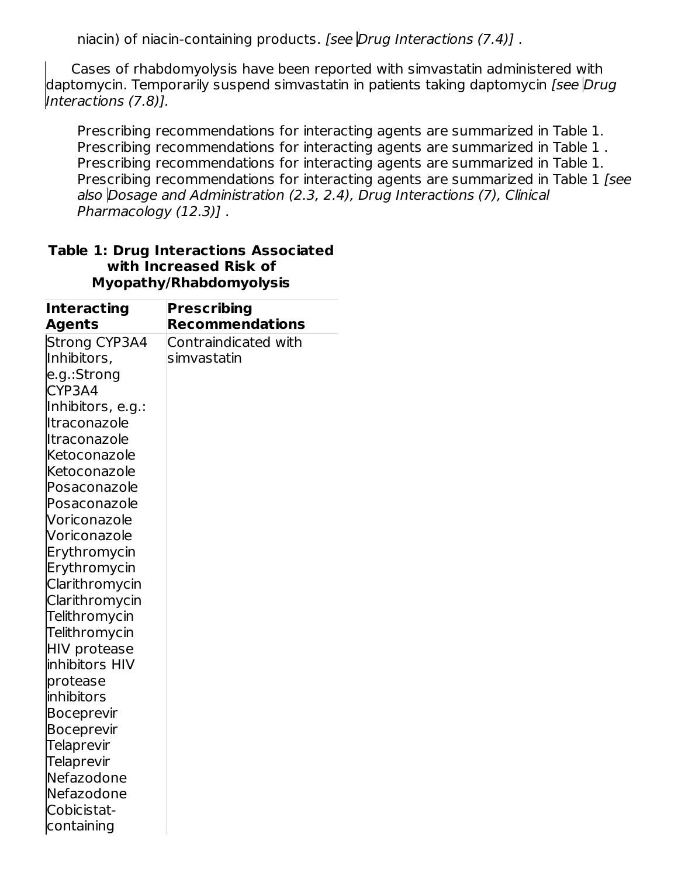niacin) of niacin-containing products. [see Drug Interactions (7.4)].

Cases of rhabdomyolysis have been reported with simvastatin administered with daptomycin. Temporarily suspend simvastatin in patients taking daptomycin [see Drug Interactions (7.8)].

Prescribing recommendations for interacting agents are summarized in Table 1. Prescribing recommendations for interacting agents are summarized in Table 1 . Prescribing recommendations for interacting agents are summarized in Table 1. Prescribing recommendations for interacting agents are summarized in Table 1 [see also Dosage and Administration (2.3, 2.4), Drug Interactions (7), Clinical Pharmacology (12.3)] .

| <b>Interacting</b>              | <b>Prescribing</b>     |
|---------------------------------|------------------------|
| <b>Agents</b>                   | <b>Recommendations</b> |
| <b>Strong CYP3A4</b>            | Contraindicated with   |
| Inhibitors,                     | simvastatin            |
| e.g.:Strong                     |                        |
| CYP3A4                          |                        |
| Inhibitors, e.g.:               |                        |
| Itraconazole                    |                        |
| Itraconazole                    |                        |
| Ketoconazole                    |                        |
| Ketoconazole                    |                        |
| Posaconazole                    |                        |
| Posaconazole                    |                        |
| Voriconazole                    |                        |
| Voriconazole                    |                        |
| Erythromycin                    |                        |
| Erythromycin                    |                        |
| Clarithromycin                  |                        |
| Clarithromycin                  |                        |
| Telithromycin                   |                        |
| Telithromycin                   |                        |
| <b>HIV protease</b>             |                        |
| inhibitors HIV                  |                        |
| protease                        |                        |
| <b>inhibitors</b>               |                        |
| <b>Boceprevir</b>               |                        |
| <b>Boceprevir</b>               |                        |
| Telaprevir                      |                        |
| <b>Telaprevir</b><br>Nefazodone |                        |
| Nefazodone                      |                        |
| Cobicistat-                     |                        |
| containing                      |                        |
|                                 |                        |

#### **Table 1: Drug Interactions Associated with Increased Risk of Myopathy/Rhabdomyolysis**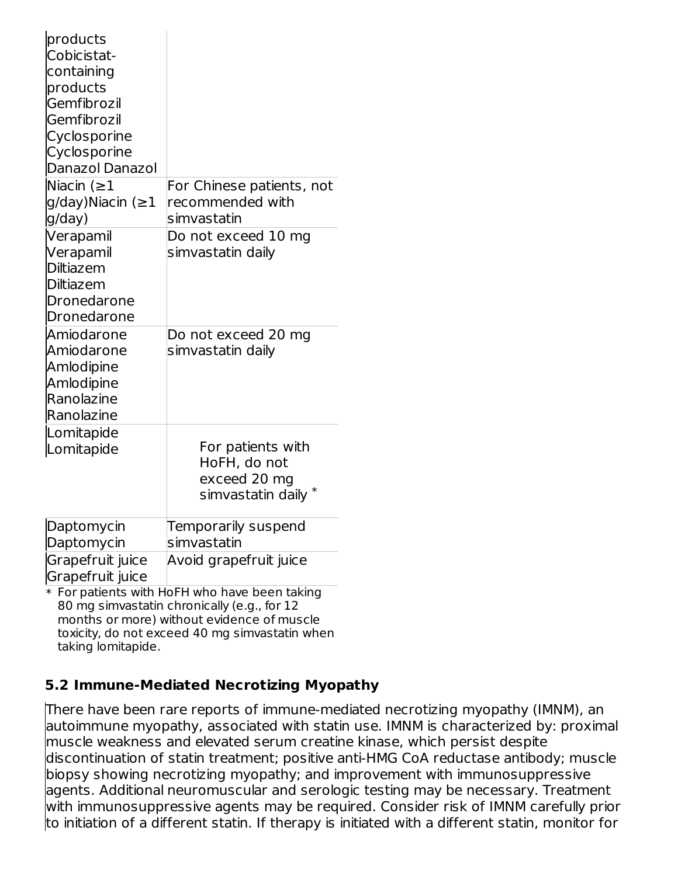| products                |                                                                                      |
|-------------------------|--------------------------------------------------------------------------------------|
| Cobicistat-             |                                                                                      |
| containing              |                                                                                      |
| products                |                                                                                      |
| Gemfibrozil             |                                                                                      |
| Gemfibrozil             |                                                                                      |
| Cyclosporine            |                                                                                      |
| Cyclosporine            |                                                                                      |
| Danazol Danazol         |                                                                                      |
| Niacin $( \geq 1$       | For Chinese patients, not                                                            |
| g/day)Niacin ( $\geq$ 1 | recommended with                                                                     |
| g/day)                  | simvastatin                                                                          |
| Verapamil               | Do not exceed 10 mg                                                                  |
| Verapamil               | simvastatin daily                                                                    |
| <b>Diltiazem</b>        |                                                                                      |
| <b>Diltiazem</b>        |                                                                                      |
| Dronedarone             |                                                                                      |
| Dronedarone             |                                                                                      |
| Amiodarone              | Do not exceed 20 mg                                                                  |
| Amiodarone              | simvastatin daily                                                                    |
| Amlodipine              |                                                                                      |
| Amlodipine              |                                                                                      |
| <b>Ranolazine</b>       |                                                                                      |
| Ranolazine              |                                                                                      |
| Lomitapide              |                                                                                      |
| Lomitapide              | For patients with                                                                    |
|                         | HoFH, do not                                                                         |
|                         | exceed 20 mg                                                                         |
|                         | simvastatin daily $^\ast$                                                            |
| Daptomycin              | Temporarily suspend                                                                  |
| Daptomycin              | simvastatin                                                                          |
| Grapefruit juice        | Avoid grapefruit juice                                                               |
| Grapefruit juice        |                                                                                      |
|                         | * For patients with HoFH who have been taking<br>catatha alevenia albu (a. a. fan 10 |

80 mg simvastatin chronically (e.g., for 12 months or more) without evidence of muscle toxicity, do not exceed 40 mg simvastatin when taking lomitapide.

#### **5.2 Immune-Mediated Necrotizing Myopathy**

There have been rare reports of immune-mediated necrotizing myopathy (IMNM), an autoimmune myopathy, associated with statin use. IMNM is characterized by: proximal muscle weakness and elevated serum creatine kinase, which persist despite discontinuation of statin treatment; positive anti-HMG CoA reductase antibody; muscle biopsy showing necrotizing myopathy; and improvement with immunosuppressive agents. Additional neuromuscular and serologic testing may be necessary. Treatment with immunosuppressive agents may be required. Consider risk of IMNM carefully prior to initiation of a different statin. If therapy is initiated with a different statin, monitor for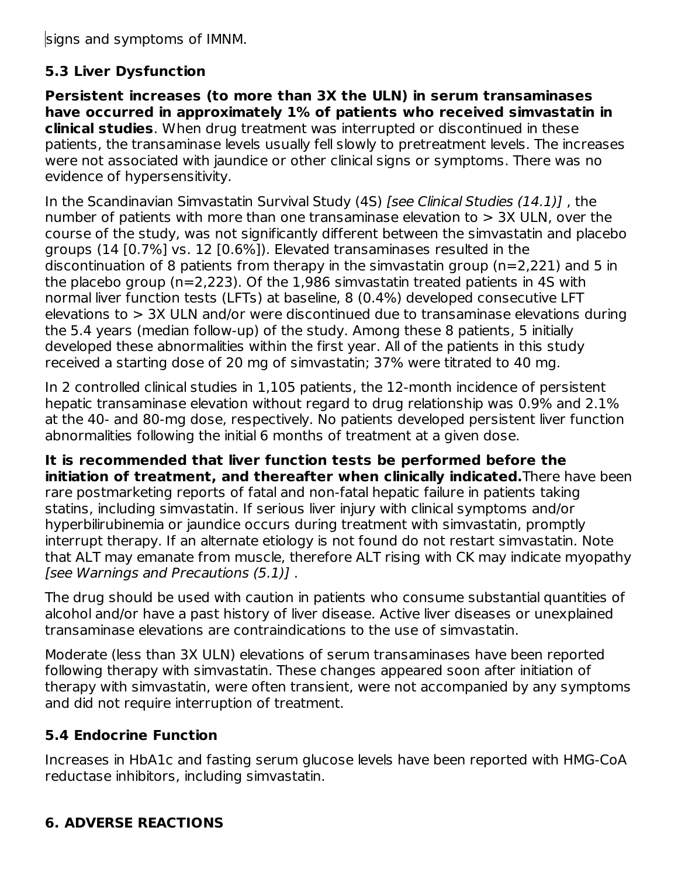signs and symptoms of IMNM.

# **5.3 Liver Dysfunction**

**Persistent increases (to more than 3X the ULN) in serum transaminases have occurred in approximately 1% of patients who received simvastatin in clinical studies**. When drug treatment was interrupted or discontinued in these patients, the transaminase levels usually fell slowly to pretreatment levels. The increases were not associated with jaundice or other clinical signs or symptoms. There was no evidence of hypersensitivity.

In the Scandinavian Simvastatin Survival Study (4S) [see Clinical Studies (14.1)], the number of patients with more than one transaminase elevation to  $>$  3X ULN, over the course of the study, was not significantly different between the simvastatin and placebo groups (14 [0.7%] vs. 12 [0.6%]). Elevated transaminases resulted in the discontinuation of 8 patients from therapy in the simvastatin group (n=2,221) and 5 in the placebo group (n=2,223). Of the 1,986 simvastatin treated patients in 4S with normal liver function tests (LFTs) at baseline, 8 (0.4%) developed consecutive LFT elevations to > 3X ULN and/or were discontinued due to transaminase elevations during the 5.4 years (median follow-up) of the study. Among these 8 patients, 5 initially developed these abnormalities within the first year. All of the patients in this study received a starting dose of 20 mg of simvastatin; 37% were titrated to 40 mg.

In 2 controlled clinical studies in 1,105 patients, the 12-month incidence of persistent hepatic transaminase elevation without regard to drug relationship was 0.9% and 2.1% at the 40- and 80-mg dose, respectively. No patients developed persistent liver function abnormalities following the initial 6 months of treatment at a given dose.

**It is recommended that liver function tests be performed before the initiation of treatment, and thereafter when clinically indicated.**There have been rare postmarketing reports of fatal and non-fatal hepatic failure in patients taking statins, including simvastatin. If serious liver injury with clinical symptoms and/or hyperbilirubinemia or jaundice occurs during treatment with simvastatin, promptly interrupt therapy. If an alternate etiology is not found do not restart simvastatin. Note that ALT may emanate from muscle, therefore ALT rising with CK may indicate myopathy [see Warnings and Precautions (5.1)] .

The drug should be used with caution in patients who consume substantial quantities of alcohol and/or have a past history of liver disease. Active liver diseases or unexplained transaminase elevations are contraindications to the use of simvastatin.

Moderate (less than 3X ULN) elevations of serum transaminases have been reported following therapy with simvastatin. These changes appeared soon after initiation of therapy with simvastatin, were often transient, were not accompanied by any symptoms and did not require interruption of treatment.

# **5.4 Endocrine Function**

Increases in HbA1c and fasting serum glucose levels have been reported with HMG-CoA reductase inhibitors, including simvastatin.

# **6. ADVERSE REACTIONS**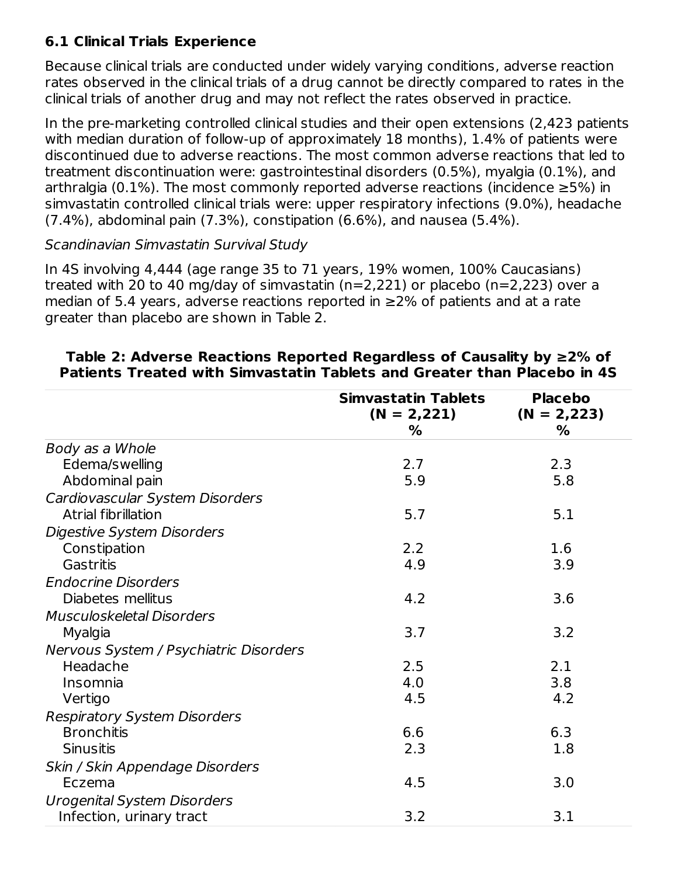### **6.1 Clinical Trials Experience**

Because clinical trials are conducted under widely varying conditions, adverse reaction rates observed in the clinical trials of a drug cannot be directly compared to rates in the clinical trials of another drug and may not reflect the rates observed in practice.

In the pre-marketing controlled clinical studies and their open extensions (2,423 patients with median duration of follow-up of approximately 18 months), 1.4% of patients were discontinued due to adverse reactions. The most common adverse reactions that led to treatment discontinuation were: gastrointestinal disorders (0.5%), myalgia (0.1%), and arthralgia (0.1%). The most commonly reported adverse reactions (incidence  $\geq$ 5%) in simvastatin controlled clinical trials were: upper respiratory infections (9.0%), headache (7.4%), abdominal pain (7.3%), constipation (6.6%), and nausea (5.4%).

#### Scandinavian Simvastatin Survival Study

In 4S involving 4,444 (age range 35 to 71 years, 19% women, 100% Caucasians) treated with 20 to 40 mg/day of simvastatin (n=2,221) or placebo (n=2,223) over a median of 5.4 years, adverse reactions reported in  $\geq$ 2% of patients and at a rate greater than placebo are shown in Table 2.

|                                        | <b>Simvastatin Tablets</b><br>$(N = 2,221)$ | <b>Placebo</b><br>$(N = 2,223)$ |
|----------------------------------------|---------------------------------------------|---------------------------------|
|                                        | %                                           | %                               |
| Body as a Whole                        |                                             |                                 |
| Edema/swelling                         | 2.7                                         | 2.3                             |
| Abdominal pain                         | 5.9                                         | 5.8                             |
| Cardiovascular System Disorders        |                                             |                                 |
| Atrial fibrillation                    | 5.7                                         | 5.1                             |
| Digestive System Disorders             |                                             |                                 |
| Constipation                           | 2.2                                         | 1.6                             |
| Gastritis                              | 4.9                                         | 3.9                             |
| <b>Endocrine Disorders</b>             |                                             |                                 |
| Diabetes mellitus                      | 4.2                                         | 3.6                             |
| <b>Musculoskeletal Disorders</b>       |                                             |                                 |
| Myalgia                                | 3.7                                         | 3.2                             |
| Nervous System / Psychiatric Disorders |                                             |                                 |
| Headache                               | 2.5                                         | 2.1                             |
| Insomnia                               | 4.0                                         | 3.8                             |
| Vertigo                                | 4.5                                         | 4.2                             |
| <b>Respiratory System Disorders</b>    |                                             |                                 |
| <b>Bronchitis</b>                      | 6.6                                         | 6.3                             |
| <b>Sinusitis</b>                       | 2.3                                         | 1.8                             |
| Skin / Skin Appendage Disorders        |                                             |                                 |
| Eczema                                 | 4.5                                         | 3.0                             |
| <b>Urogenital System Disorders</b>     |                                             |                                 |
| Infection, urinary tract               | 3.2                                         | 3.1                             |

#### **Table 2: Adverse Reactions Reported Regardless of Causality by ≥2% of Patients Treated with Simvastatin Tablets and Greater than Placebo in 4S**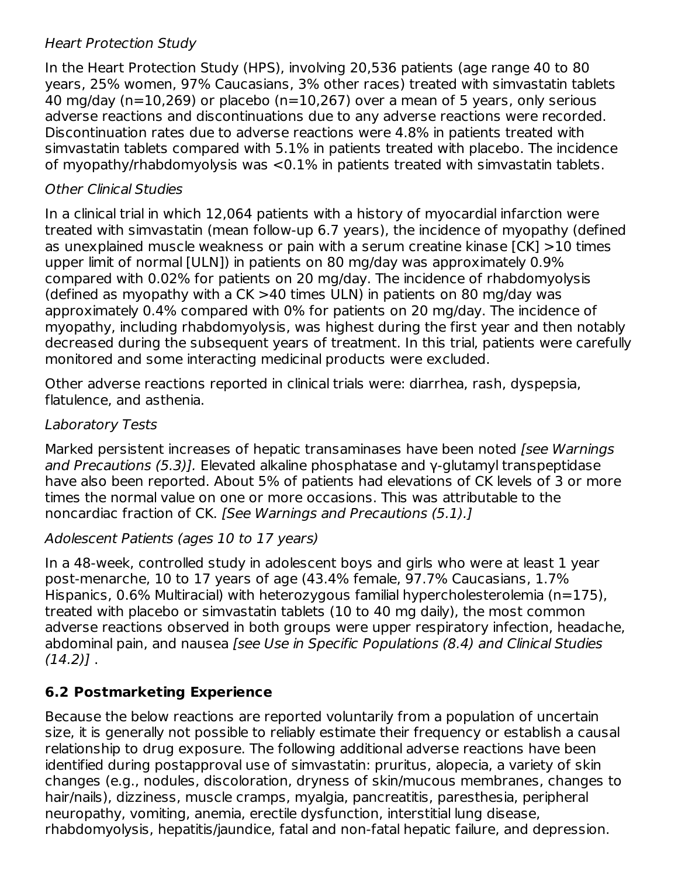#### Heart Protection Study

In the Heart Protection Study (HPS), involving 20,536 patients (age range 40 to 80 years, 25% women, 97% Caucasians, 3% other races) treated with simvastatin tablets 40 mg/day ( $n=10,269$ ) or placebo ( $n=10,267$ ) over a mean of 5 years, only serious adverse reactions and discontinuations due to any adverse reactions were recorded. Discontinuation rates due to adverse reactions were 4.8% in patients treated with simvastatin tablets compared with 5.1% in patients treated with placebo. The incidence of myopathy/rhabdomyolysis was <0.1% in patients treated with simvastatin tablets.

#### Other Clinical Studies

In a clinical trial in which 12,064 patients with a history of myocardial infarction were treated with simvastatin (mean follow-up 6.7 years), the incidence of myopathy (defined as unexplained muscle weakness or pain with a serum creatine kinase [CK] >10 times upper limit of normal [ULN]) in patients on 80 mg/day was approximately 0.9% compared with 0.02% for patients on 20 mg/day. The incidence of rhabdomyolysis (defined as myopathy with a CK >40 times ULN) in patients on 80 mg/day was approximately 0.4% compared with 0% for patients on 20 mg/day. The incidence of myopathy, including rhabdomyolysis, was highest during the first year and then notably decreased during the subsequent years of treatment. In this trial, patients were carefully monitored and some interacting medicinal products were excluded.

Other adverse reactions reported in clinical trials were: diarrhea, rash, dyspepsia, flatulence, and asthenia.

#### Laboratory Tests

Marked persistent increases of hepatic transaminases have been noted [see Warnings] and Precautions (5.3)]. Elevated alkaline phosphatase and y-glutamyl transpeptidase have also been reported. About 5% of patients had elevations of CK levels of 3 or more times the normal value on one or more occasions. This was attributable to the noncardiac fraction of CK. [See Warnings and Precautions (5.1).]

#### Adolescent Patients (ages 10 to 17 years)

In a 48-week, controlled study in adolescent boys and girls who were at least 1 year post-menarche, 10 to 17 years of age (43.4% female, 97.7% Caucasians, 1.7% Hispanics, 0.6% Multiracial) with heterozygous familial hypercholesterolemia (n=175), treated with placebo or simvastatin tablets (10 to 40 mg daily), the most common adverse reactions observed in both groups were upper respiratory infection, headache, abdominal pain, and nausea [see Use in Specific Populations (8.4) and Clinical Studies  $(14.2)$ ].

# **6.2 Postmarketing Experience**

Because the below reactions are reported voluntarily from a population of uncertain size, it is generally not possible to reliably estimate their frequency or establish a causal relationship to drug exposure. The following additional adverse reactions have been identified during postapproval use of simvastatin: pruritus, alopecia, a variety of skin changes (e.g., nodules, discoloration, dryness of skin/mucous membranes, changes to hair/nails), dizziness, muscle cramps, myalgia, pancreatitis, paresthesia, peripheral neuropathy, vomiting, anemia, erectile dysfunction, interstitial lung disease, rhabdomyolysis, hepatitis/jaundice, fatal and non-fatal hepatic failure, and depression.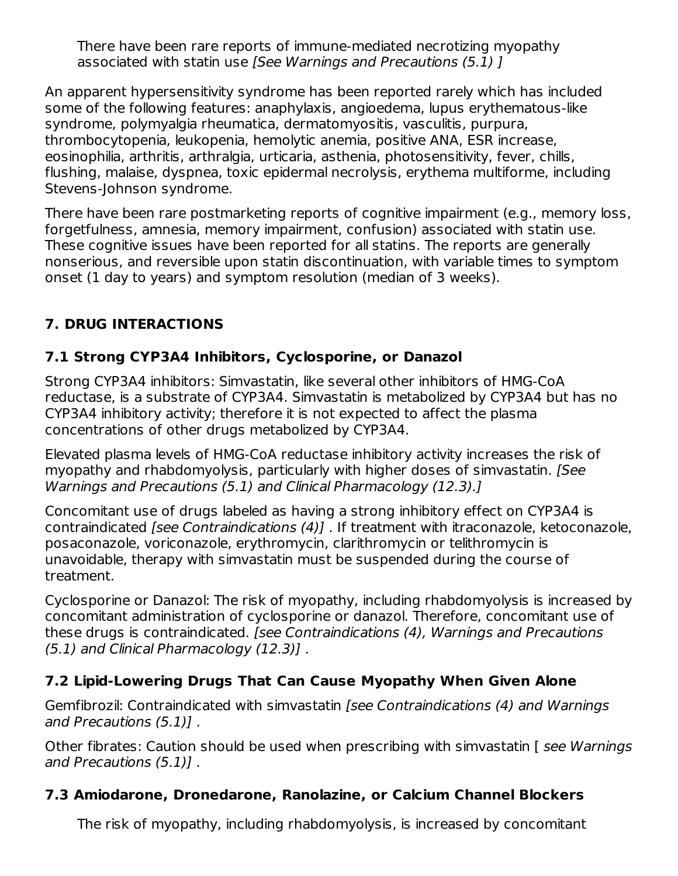There have been rare reports of immune-mediated necrotizing myopathy associated with statin use [See Warnings and Precautions (5.1) ]

An apparent hypersensitivity syndrome has been reported rarely which has included some of the following features: anaphylaxis, angioedema, lupus erythematous-like syndrome, polymyalgia rheumatica, dermatomyositis, vasculitis, purpura, thrombocytopenia, leukopenia, hemolytic anemia, positive ANA, ESR increase, eosinophilia, arthritis, arthralgia, urticaria, asthenia, photosensitivity, fever, chills, flushing, malaise, dyspnea, toxic epidermal necrolysis, erythema multiforme, including Stevens-Johnson syndrome.

There have been rare postmarketing reports of cognitive impairment (e.g., memory loss, forgetfulness, amnesia, memory impairment, confusion) associated with statin use. These cognitive issues have been reported for all statins. The reports are generally nonserious, and reversible upon statin discontinuation, with variable times to symptom onset (1 day to years) and symptom resolution (median of 3 weeks).

# **7. DRUG INTERACTIONS**

### **7.1 Strong CYP3A4 Inhibitors, Cyclosporine, or Danazol**

Strong CYP3A4 inhibitors: Simvastatin, like several other inhibitors of HMG-CoA reductase, is a substrate of CYP3A4. Simvastatin is metabolized by CYP3A4 but has no CYP3A4 inhibitory activity; therefore it is not expected to affect the plasma concentrations of other drugs metabolized by CYP3A4.

Elevated plasma levels of HMG-CoA reductase inhibitory activity increases the risk of myopathy and rhabdomyolysis, particularly with higher doses of simvastatin. [See Warnings and Precautions (5.1) and Clinical Pharmacology (12.3).]

Concomitant use of drugs labeled as having a strong inhibitory effect on CYP3A4 is contraindicated [see Contraindications (4)] . If treatment with itraconazole, ketoconazole, posaconazole, voriconazole, erythromycin, clarithromycin or telithromycin is unavoidable, therapy with simvastatin must be suspended during the course of treatment.

Cyclosporine or Danazol: The risk of myopathy, including rhabdomyolysis is increased by concomitant administration of cyclosporine or danazol. Therefore, concomitant use of these drugs is contraindicated. [see Contraindications (4), Warnings and Precautions (5.1) and Clinical Pharmacology (12.3)] .

# **7.2 Lipid-Lowering Drugs That Can Cause Myopathy When Given Alone**

Gemfibrozil: Contraindicated with simvastatin [see Contraindications (4) and Warnings and Precautions (5.1)] .

Other fibrates: Caution should be used when prescribing with simvastatin [see Warnings] and Precautions (5.1)] .

# **7.3 Amiodarone, Dronedarone, Ranolazine, or Calcium Channel Blockers**

The risk of myopathy, including rhabdomyolysis, is increased by concomitant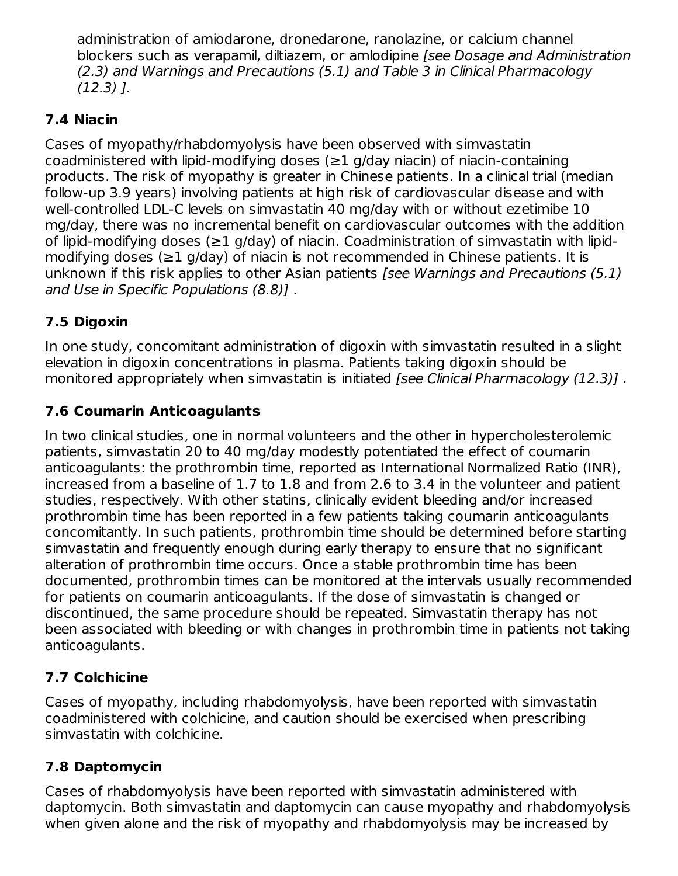administration of amiodarone, dronedarone, ranolazine, or calcium channel blockers such as verapamil, diltiazem, or amlodipine [see Dosage and Administration (2.3) and Warnings and Precautions (5.1) and Table 3 in Clinical Pharmacology  $(12.3)$   $\Gamma$ .

### **7.4 Niacin**

Cases of myopathy/rhabdomyolysis have been observed with simvastatin coadministered with lipid-modifying doses  $(\geq 1)$  g/day niacin) of niacin-containing products. The risk of myopathy is greater in Chinese patients. In a clinical trial (median follow-up 3.9 years) involving patients at high risk of cardiovascular disease and with well-controlled LDL-C levels on simvastatin 40 mg/day with or without ezetimibe 10 mg/day, there was no incremental benefit on cardiovascular outcomes with the addition of lipid-modifying doses (≥1 g/day) of niacin. Coadministration of simvastatin with lipidmodifying doses (≥1 g/day) of niacin is not recommended in Chinese patients. It is unknown if this risk applies to other Asian patients [see Warnings and Precautions (5.1) and Use in Specific Populations (8.8)] .

# **7.5 Digoxin**

In one study, concomitant administration of digoxin with simvastatin resulted in a slight elevation in digoxin concentrations in plasma. Patients taking digoxin should be monitored appropriately when simvastatin is initiated [see Clinical Pharmacology (12.3)].

### **7.6 Coumarin Anticoagulants**

In two clinical studies, one in normal volunteers and the other in hypercholesterolemic patients, simvastatin 20 to 40 mg/day modestly potentiated the effect of coumarin anticoagulants: the prothrombin time, reported as International Normalized Ratio (INR), increased from a baseline of 1.7 to 1.8 and from 2.6 to 3.4 in the volunteer and patient studies, respectively. With other statins, clinically evident bleeding and/or increased prothrombin time has been reported in a few patients taking coumarin anticoagulants concomitantly. In such patients, prothrombin time should be determined before starting simvastatin and frequently enough during early therapy to ensure that no significant alteration of prothrombin time occurs. Once a stable prothrombin time has been documented, prothrombin times can be monitored at the intervals usually recommended for patients on coumarin anticoagulants. If the dose of simvastatin is changed or discontinued, the same procedure should be repeated. Simvastatin therapy has not been associated with bleeding or with changes in prothrombin time in patients not taking anticoagulants.

# **7.7 Colchicine**

Cases of myopathy, including rhabdomyolysis, have been reported with simvastatin coadministered with colchicine, and caution should be exercised when prescribing simvastatin with colchicine.

# **7.8 Daptomycin**

Cases of rhabdomyolysis have been reported with simvastatin administered with daptomycin. Both simvastatin and daptomycin can cause myopathy and rhabdomyolysis when given alone and the risk of myopathy and rhabdomyolysis may be increased by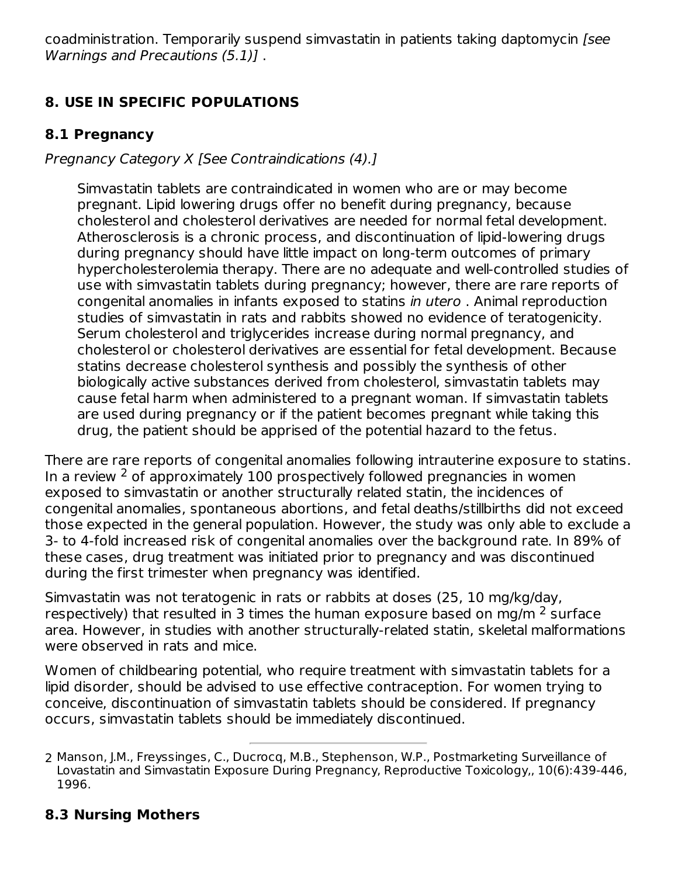coadministration. Temporarily suspend simvastatin in patients taking daptomycin [see Warnings and Precautions (5.1)] .

# **8. USE IN SPECIFIC POPULATIONS**

#### **8.1 Pregnancy**

Pregnancy Category X [See Contraindications (4).]

Simvastatin tablets are contraindicated in women who are or may become pregnant. Lipid lowering drugs offer no benefit during pregnancy, because cholesterol and cholesterol derivatives are needed for normal fetal development. Atherosclerosis is a chronic process, and discontinuation of lipid-lowering drugs during pregnancy should have little impact on long-term outcomes of primary hypercholesterolemia therapy. There are no adequate and well-controlled studies of use with simvastatin tablets during pregnancy; however, there are rare reports of congenital anomalies in infants exposed to statins in utero . Animal reproduction studies of simvastatin in rats and rabbits showed no evidence of teratogenicity. Serum cholesterol and triglycerides increase during normal pregnancy, and cholesterol or cholesterol derivatives are essential for fetal development. Because statins decrease cholesterol synthesis and possibly the synthesis of other biologically active substances derived from cholesterol, simvastatin tablets may cause fetal harm when administered to a pregnant woman. If simvastatin tablets are used during pregnancy or if the patient becomes pregnant while taking this drug, the patient should be apprised of the potential hazard to the fetus.

There are rare reports of congenital anomalies following intrauterine exposure to statins. In a review  $2$  of approximately 100 prospectively followed pregnancies in women exposed to simvastatin or another structurally related statin, the incidences of congenital anomalies, spontaneous abortions, and fetal deaths/stillbirths did not exceed those expected in the general population. However, the study was only able to exclude a 3- to 4-fold increased risk of congenital anomalies over the background rate. In 89% of these cases, drug treatment was initiated prior to pregnancy and was discontinued during the first trimester when pregnancy was identified.

Simvastatin was not teratogenic in rats or rabbits at doses (25, 10 mg/kg/day, respectively) that resulted in 3 times the human exposure based on mg/m  $^2$  surface area. However, in studies with another structurally-related statin, skeletal malformations were observed in rats and mice.

Women of childbearing potential, who require treatment with simvastatin tablets for a lipid disorder, should be advised to use effective contraception. For women trying to conceive, discontinuation of simvastatin tablets should be considered. If pregnancy occurs, simvastatin tablets should be immediately discontinued.

# **8.3 Nursing Mothers**

<sup>2</sup> Manson, J.M., Freyssinges, C., Ducrocq, M.B., Stephenson, W.P., Postmarketing Surveillance of Lovastatin and Simvastatin Exposure During Pregnancy, Reproductive Toxicology,, 10(6):439-446, 1996.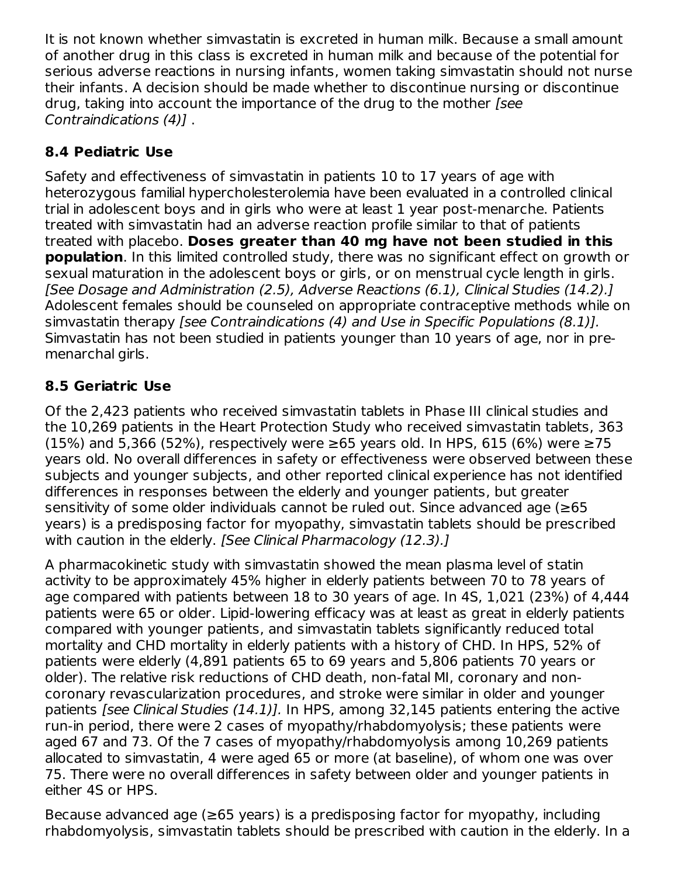It is not known whether simvastatin is excreted in human milk. Because a small amount of another drug in this class is excreted in human milk and because of the potential for serious adverse reactions in nursing infants, women taking simvastatin should not nurse their infants. A decision should be made whether to discontinue nursing or discontinue drug, taking into account the importance of the drug to the mother [see Contraindications (4)] .

# **8.4 Pediatric Use**

Safety and effectiveness of simvastatin in patients 10 to 17 years of age with heterozygous familial hypercholesterolemia have been evaluated in a controlled clinical trial in adolescent boys and in girls who were at least 1 year post-menarche. Patients treated with simvastatin had an adverse reaction profile similar to that of patients treated with placebo. **Doses greater than 40 mg have not been studied in this population**. In this limited controlled study, there was no significant effect on growth or sexual maturation in the adolescent boys or girls, or on menstrual cycle length in girls. [See Dosage and Administration (2.5), Adverse Reactions (6.1), Clinical Studies (14.2).] Adolescent females should be counseled on appropriate contraceptive methods while on simvastatin therapy [see Contraindications (4) and Use in Specific Populations (8.1)]. Simvastatin has not been studied in patients younger than 10 years of age, nor in premenarchal girls.

# **8.5 Geriatric Use**

Of the 2,423 patients who received simvastatin tablets in Phase III clinical studies and the 10,269 patients in the Heart Protection Study who received simvastatin tablets, 363 (15%) and 5,366 (52%), respectively were  $≥65$  years old. In HPS, 615 (6%) were  $≥75$ years old. No overall differences in safety or effectiveness were observed between these subjects and younger subjects, and other reported clinical experience has not identified differences in responses between the elderly and younger patients, but greater sensitivity of some older individuals cannot be ruled out. Since advanced age (≥65 years) is a predisposing factor for myopathy, simvastatin tablets should be prescribed with caution in the elderly. *[See Clinical Pharmacology (12.3).]* 

A pharmacokinetic study with simvastatin showed the mean plasma level of statin activity to be approximately 45% higher in elderly patients between 70 to 78 years of age compared with patients between 18 to 30 years of age. In 4S, 1,021 (23%) of 4,444 patients were 65 or older. Lipid-lowering efficacy was at least as great in elderly patients compared with younger patients, and simvastatin tablets significantly reduced total mortality and CHD mortality in elderly patients with a history of CHD. In HPS, 52% of patients were elderly (4,891 patients 65 to 69 years and 5,806 patients 70 years or older). The relative risk reductions of CHD death, non-fatal MI, coronary and noncoronary revascularization procedures, and stroke were similar in older and younger patients [see Clinical Studies (14.1)]. In HPS, among 32,145 patients entering the active run-in period, there were 2 cases of myopathy/rhabdomyolysis; these patients were aged 67 and 73. Of the 7 cases of myopathy/rhabdomyolysis among 10,269 patients allocated to simvastatin, 4 were aged 65 or more (at baseline), of whom one was over 75. There were no overall differences in safety between older and younger patients in either 4S or HPS.

Because advanced age ( $\geq 65$  years) is a predisposing factor for myopathy, including rhabdomyolysis, simvastatin tablets should be prescribed with caution in the elderly. In a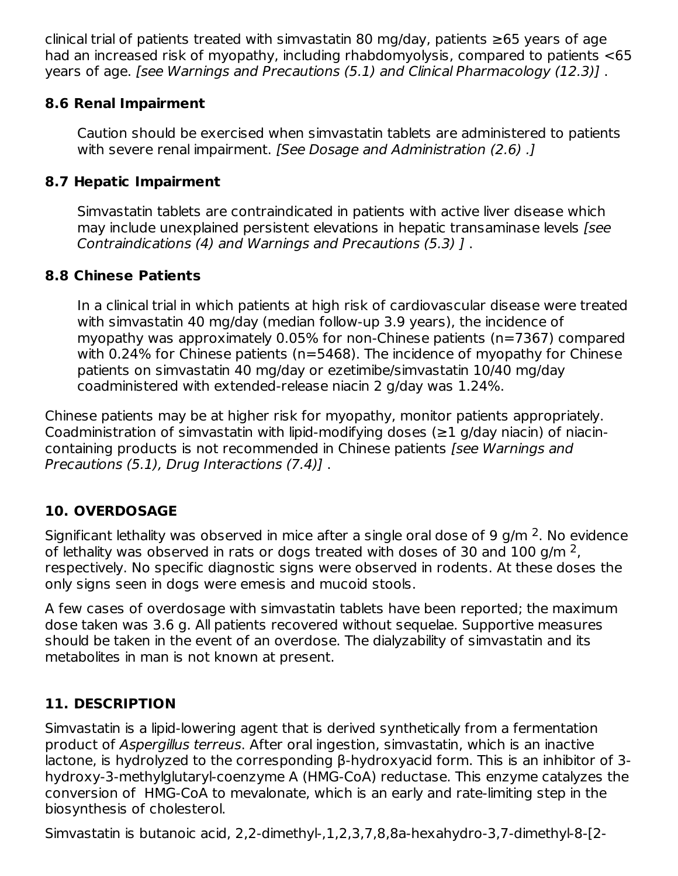clinical trial of patients treated with simvastatin 80 mg/day, patients  $\geq 65$  years of age had an increased risk of myopathy, including rhabdomyolysis, compared to patients <65 years of age. [see Warnings and Precautions (5.1) and Clinical Pharmacology (12.3)] .

#### **8.6 Renal Impairment**

Caution should be exercised when simvastatin tablets are administered to patients with severe renal impairment. [See Dosage and Administration (2.6) .]

### **8.7 Hepatic Impairment**

Simvastatin tablets are contraindicated in patients with active liver disease which may include unexplained persistent elevations in hepatic transaminase levels [see Contraindications (4) and Warnings and Precautions (5.3) ] .

### **8.8 Chinese Patients**

In a clinical trial in which patients at high risk of cardiovascular disease were treated with simvastatin 40 mg/day (median follow-up 3.9 years), the incidence of myopathy was approximately 0.05% for non-Chinese patients (n=7367) compared with 0.24% for Chinese patients (n=5468). The incidence of myopathy for Chinese patients on simvastatin 40 mg/day or ezetimibe/simvastatin 10/40 mg/day coadministered with extended-release niacin 2 g/day was 1.24%.

Chinese patients may be at higher risk for myopathy, monitor patients appropriately. Coadministration of simvastatin with lipid-modifying doses ( $\geq 1$  g/day niacin) of niacincontaining products is not recommended in Chinese patients [see Warnings and Precautions (5.1), Drug Interactions (7.4)] .

# **10. OVERDOSAGE**

Significant lethality was observed in mice after a single oral dose of 9 g/m  $^2$ . No evidence of lethality was observed in rats or dogs treated with doses of 30 and 100 g/m  $^2$ , respectively. No specific diagnostic signs were observed in rodents. At these doses the only signs seen in dogs were emesis and mucoid stools.

A few cases of overdosage with simvastatin tablets have been reported; the maximum dose taken was 3.6 g. All patients recovered without sequelae. Supportive measures should be taken in the event of an overdose. The dialyzability of simvastatin and its metabolites in man is not known at present.

# **11. DESCRIPTION**

Simvastatin is a lipid-lowering agent that is derived synthetically from a fermentation product of Aspergillus terreus. After oral ingestion, simvastatin, which is an inactive lactone, is hydrolyzed to the corresponding β-hydroxyacid form. This is an inhibitor of 3 hydroxy-3-methylglutaryl-coenzyme A (HMG-CoA) reductase. This enzyme catalyzes the conversion of HMG-CoA to mevalonate, which is an early and rate-limiting step in the biosynthesis of cholesterol.

Simvastatin is butanoic acid, 2,2-dimethyl-,1,2,3,7,8,8a-hexahydro-3,7-dimethyl-8-[2-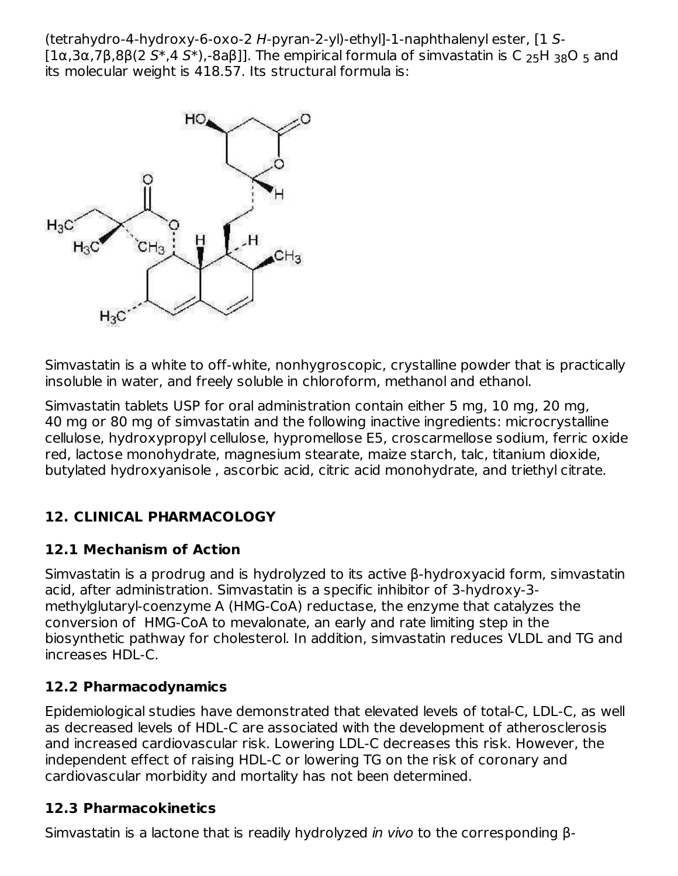(tetrahydro-4-hydroxy-6-oxo-2 H-pyran-2-yl)-ethyl]-1-naphthalenyl ester, [1 S- [1α,3α,7β,8β(2 S\*,4 S\*),-8aβ]]. The empirical formula of simvastatin is C  $_{25}$ H  $_{38}$ O  $_{5}$  and its molecular weight is 418.57. Its structural formula is:



Simvastatin is a white to off-white, nonhygroscopic, crystalline powder that is practically insoluble in water, and freely soluble in chloroform, methanol and ethanol.

Simvastatin tablets USP for oral administration contain either 5 mg, 10 mg, 20 mg, 40 mg or 80 mg of simvastatin and the following inactive ingredients: microcrystalline cellulose, hydroxypropyl cellulose, hypromellose E5, croscarmellose sodium, ferric oxide red, lactose monohydrate, magnesium stearate, maize starch, talc, titanium dioxide, butylated hydroxyanisole , ascorbic acid, citric acid monohydrate, and triethyl citrate.

# **12. CLINICAL PHARMACOLOGY**

# **12.1 Mechanism of Action**

Simvastatin is a prodrug and is hydrolyzed to its active β-hydroxyacid form, simvastatin acid, after administration. Simvastatin is a specific inhibitor of 3-hydroxy-3 methylglutaryl-coenzyme A (HMG-CoA) reductase, the enzyme that catalyzes the conversion of HMG-CoA to mevalonate, an early and rate limiting step in the biosynthetic pathway for cholesterol. In addition, simvastatin reduces VLDL and TG and increases HDL-C.

#### **12.2 Pharmacodynamics**

Epidemiological studies have demonstrated that elevated levels of total-C, LDL-C, as well as decreased levels of HDL-C are associated with the development of atherosclerosis and increased cardiovascular risk. Lowering LDL-C decreases this risk. However, the independent effect of raising HDL-C or lowering TG on the risk of coronary and cardiovascular morbidity and mortality has not been determined.

#### **12.3 Pharmacokinetics**

Simvastatin is a lactone that is readily hydrolyzed in vivo to the corresponding β-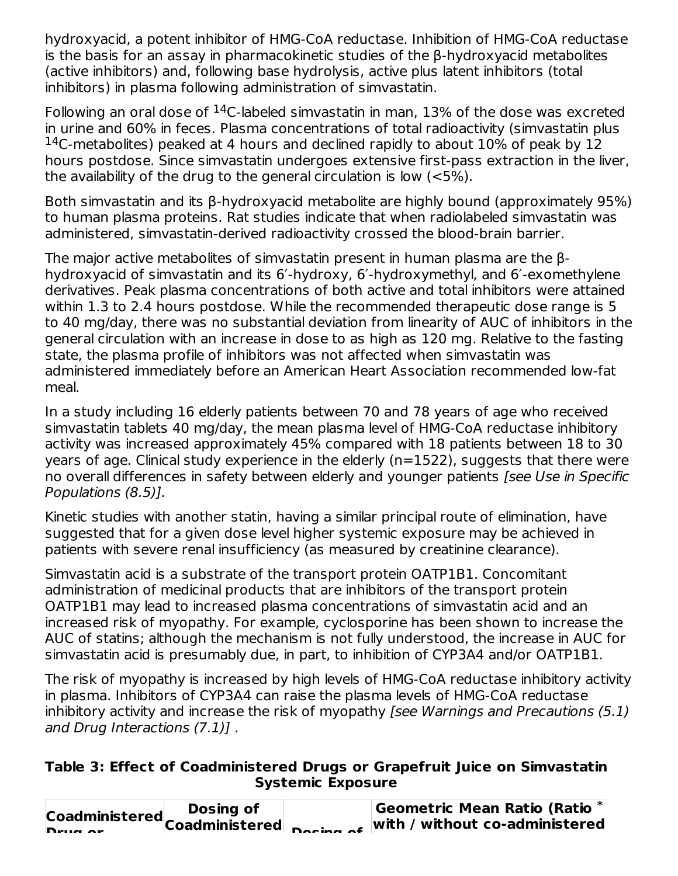hydroxyacid, a potent inhibitor of HMG-CoA reductase. Inhibition of HMG-CoA reductase is the basis for an assay in pharmacokinetic studies of the β-hydroxyacid metabolites (active inhibitors) and, following base hydrolysis, active plus latent inhibitors (total inhibitors) in plasma following administration of simvastatin.

Following an oral dose of  $^{14}$ C-labeled simvastatin in man, 13% of the dose was excreted in urine and 60% in feces. Plasma concentrations of total radioactivity (simvastatin plus  $14$ C-metabolites) peaked at 4 hours and declined rapidly to about 10% of peak by 12 hours postdose. Since simvastatin undergoes extensive first-pass extraction in the liver, the availability of the drug to the general circulation is low (<5%).

Both simvastatin and its β-hydroxyacid metabolite are highly bound (approximately 95%) to human plasma proteins. Rat studies indicate that when radiolabeled simvastatin was administered, simvastatin-derived radioactivity crossed the blood-brain barrier.

The major active metabolites of simvastatin present in human plasma are the βhydroxyacid of simvastatin and its 6′-hydroxy, 6′-hydroxymethyl, and 6′-exomethylene derivatives. Peak plasma concentrations of both active and total inhibitors were attained within 1.3 to 2.4 hours postdose. While the recommended therapeutic dose range is 5 to 40 mg/day, there was no substantial deviation from linearity of AUC of inhibitors in the general circulation with an increase in dose to as high as 120 mg. Relative to the fasting state, the plasma profile of inhibitors was not affected when simvastatin was administered immediately before an American Heart Association recommended low-fat meal.

In a study including 16 elderly patients between 70 and 78 years of age who received simvastatin tablets 40 mg/day, the mean plasma level of HMG-CoA reductase inhibitory activity was increased approximately 45% compared with 18 patients between 18 to 30 years of age. Clinical study experience in the elderly (n=1522), suggests that there were no overall differences in safety between elderly and younger patients [see Use in Specific Populations (8.5)].

Kinetic studies with another statin, having a similar principal route of elimination, have suggested that for a given dose level higher systemic exposure may be achieved in patients with severe renal insufficiency (as measured by creatinine clearance).

Simvastatin acid is a substrate of the transport protein OATP1B1. Concomitant administration of medicinal products that are inhibitors of the transport protein OATP1B1 may lead to increased plasma concentrations of simvastatin acid and an increased risk of myopathy. For example, cyclosporine has been shown to increase the AUC of statins; although the mechanism is not fully understood, the increase in AUC for simvastatin acid is presumably due, in part, to inhibition of CYP3A4 and/or OATP1B1.

The risk of myopathy is increased by high levels of HMG-CoA reductase inhibitory activity in plasma. Inhibitors of CYP3A4 can raise the plasma levels of HMG-CoA reductase inhibitory activity and increase the risk of myopathy [see Warnings and Precautions (5.1) and Drug Interactions (7.1)] .

#### **Table 3: Effect of Coadministered Drugs or Grapefruit Juice on Simvastatin Systemic Exposure**

| Dosing of | Geometric Mean Ratio (Ratio *                                                                           |
|-----------|---------------------------------------------------------------------------------------------------------|
|           | Coadministered Coadministered $\frac{1}{n}$ $\frac{1}{n}$ $\frac{1}{n}$ with / without co-administerer' |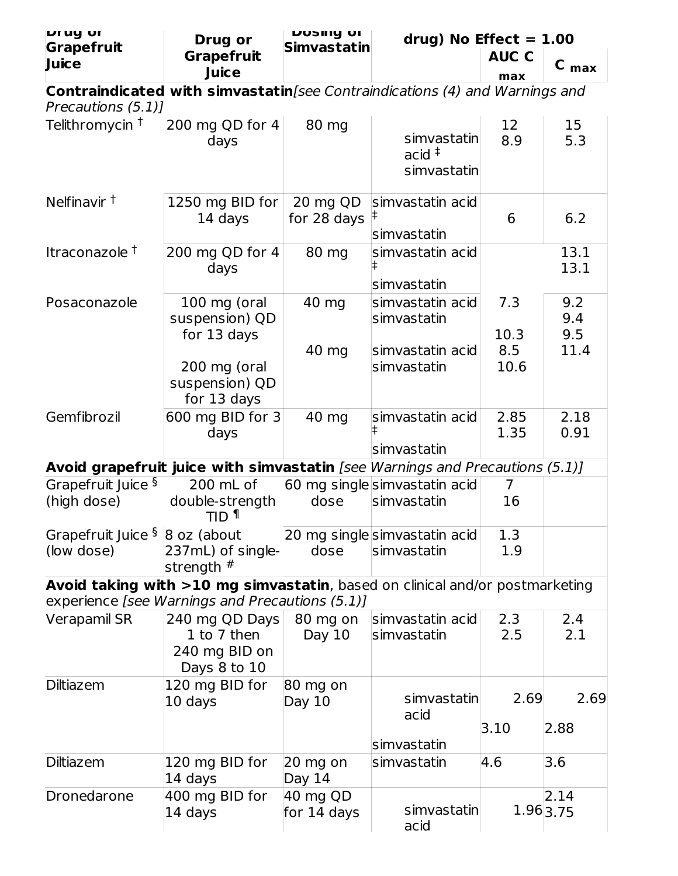| <b>Prug</b> or                                           | <b>Drug or</b>                                                                                                                  | <b>DOSITY OF</b>        |                                                                       | drug) No Effect = $1.00$ |                          |  |
|----------------------------------------------------------|---------------------------------------------------------------------------------------------------------------------------------|-------------------------|-----------------------------------------------------------------------|--------------------------|--------------------------|--|
| Grapefruit<br>Juice                                      | <b>Grapefruit</b><br>Juice                                                                                                      | <b>Simvastatin</b>      |                                                                       | <b>AUC C</b><br>max      | $C_{max}$                |  |
|                                                          | Contraindicated with simvastatin [see Contraindications (4) and Warnings and                                                    |                         |                                                                       |                          |                          |  |
| Precautions (5.1)]                                       |                                                                                                                                 |                         |                                                                       |                          |                          |  |
| Telithromycin <sup>†</sup>                               | 200 mg QD for 4<br>days                                                                                                         | 80 mg                   | simvastatin<br>$acid$ <sup><math>\ddagger</math></sup><br>simvastatin | 12<br>8.9                | 15<br>5.3                |  |
| Nelfinavir <sup>t</sup>                                  | 1250 mg BID for<br>14 days                                                                                                      | 20 mg QD<br>for 28 days | simvastatin acid<br>ŧ<br>simvastatin                                  | 6                        | 6.2                      |  |
| Itraconazole <sup>†</sup>                                | 200 mg QD for 4<br>days                                                                                                         | 80 mg                   | simvastatin acid<br>simvastatin                                       |                          | 13.1<br>13.1             |  |
| Posaconazole                                             | 100 mg (oral<br>suspension) QD<br>for 13 days                                                                                   | 40 mg                   | simvastatin acid<br>simvastatin                                       | 7.3<br>10.3              | 9.2<br>9.4<br>9.5        |  |
|                                                          | 200 mg (oral<br>suspension) QD<br>for 13 days                                                                                   | 40 mg                   | simvastatin acid<br>simvastatin                                       | 8.5<br>10.6              | 11.4                     |  |
| Gemfibrozil                                              | 600 mg BID for 3<br>days                                                                                                        | 40 mg                   | simvastatin acid<br>simvastatin                                       | 2.85<br>1.35             | 2.18<br>0.91             |  |
|                                                          | Avoid grapefruit juice with simvastatin [see Warnings and Precautions (5.1)]                                                    |                         |                                                                       |                          |                          |  |
| Grapefruit Juice §                                       | 200 mL of                                                                                                                       |                         | 60 mg singlesimvastatin acid                                          | 7                        |                          |  |
| (high dose)                                              | double-strength<br>TID <sup>1</sup>                                                                                             | dose                    | simvastatin                                                           | 16                       |                          |  |
| Grapefruit Juice $\frac{5}{8}$ 8 oz (about<br>(low dose) | 237mL) of single-<br>strength $#$                                                                                               | dose                    | 20 mg singlesimvastatin acid<br>simvastatin                           | 1.3<br>1.9               |                          |  |
|                                                          | Avoid taking with >10 mg simvastatin, based on clinical and/or postmarketing<br>experience [see Warnings and Precautions (5.1)] |                         |                                                                       |                          |                          |  |
| Verapamil SR                                             | 240 mg QD Days<br>1 to 7 then<br>240 mg BID on<br>Days 8 to 10                                                                  | 80 mg on<br>Day 10      | simvastatin acid<br>simvastatin                                       | 2.3<br>2.5               | 2.4<br>2.1               |  |
| <b>Diltiazem</b>                                         | 120 mg BID for<br>10 days                                                                                                       | $80$ mg on<br>Day $10$  | simvastatin<br>acid<br>simvastatin                                    | 2.69<br>3.10             | 2.69<br>2.88             |  |
| <b>Diltiazem</b>                                         | 120 mg BID for<br>14 days                                                                                                       | $20$ mg on<br>Day 14    | simvastatin                                                           | 4.6                      | 3.6                      |  |
| Dronedarone                                              | 400 mg BID for<br>14 days                                                                                                       | 40 mg QD<br>for 14 days | simvastatin<br>acid                                                   |                          | 2.14<br>$1.96 \mid 3.75$ |  |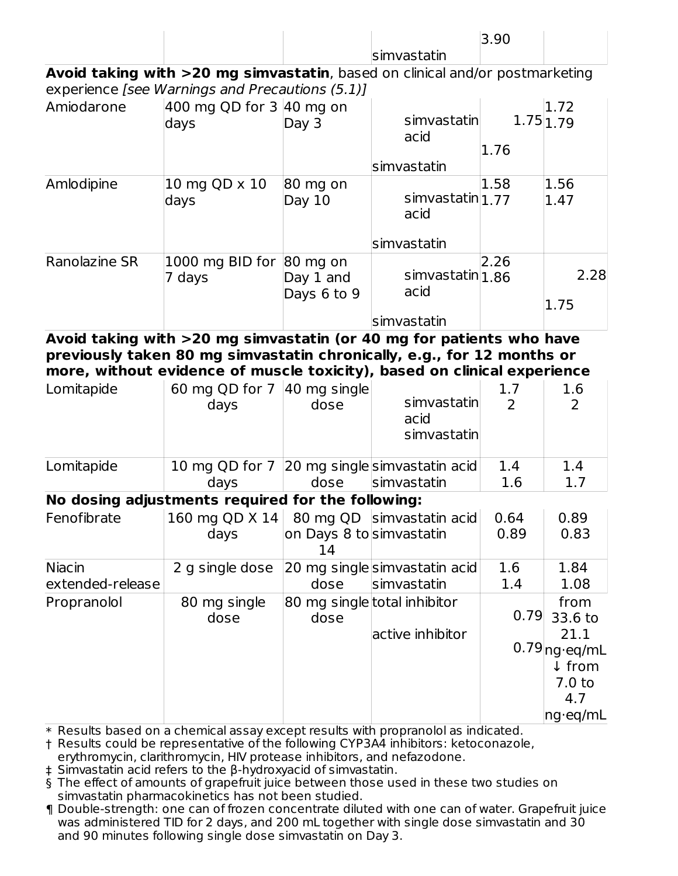|                                                                                                                                                                                                                            |                                                     |                                | simvastatin                                 | 3.90                            |                                                                                        |
|----------------------------------------------------------------------------------------------------------------------------------------------------------------------------------------------------------------------------|-----------------------------------------------------|--------------------------------|---------------------------------------------|---------------------------------|----------------------------------------------------------------------------------------|
| Avoid taking with >20 mg simvastatin, based on clinical and/or postmarketing                                                                                                                                               |                                                     |                                |                                             |                                 |                                                                                        |
| experience [see Warnings and Precautions (5.1)]                                                                                                                                                                            |                                                     |                                |                                             |                                 |                                                                                        |
| Amiodarone                                                                                                                                                                                                                 | 400 mg QD for 3 40 mg on<br>days                    | Day 3                          | simvastatin<br>acid                         | 1.76                            | 1.72<br>1.75 1.79                                                                      |
|                                                                                                                                                                                                                            |                                                     |                                | simvastatin                                 |                                 |                                                                                        |
| Amlodipine                                                                                                                                                                                                                 | 10 mg QD x 10<br>days                               | 80 mg on<br>Day 10             | simvastatin 1.77<br>acid                    | 1.58                            | 1.56<br>1.47                                                                           |
|                                                                                                                                                                                                                            |                                                     |                                | simvastatin                                 |                                 |                                                                                        |
| <b>Ranolazine SR</b>                                                                                                                                                                                                       | $1000$ mg BID for $ 80$ mg on<br>7 days             | Day 1 and<br>Days 6 to 9       | simvastatin 1.86<br>acid                    | 2.26                            | 2.28<br>1.75                                                                           |
|                                                                                                                                                                                                                            |                                                     |                                | simvastatin                                 |                                 |                                                                                        |
| Avoid taking with >20 mg simvastatin (or 40 mg for patients who have<br>previously taken 80 mg simvastatin chronically, e.g., for 12 months or<br>more, without evidence of muscle toxicity), based on clinical experience |                                                     |                                |                                             |                                 |                                                                                        |
| Lomitapide                                                                                                                                                                                                                 | 60 mg QD for 7 40 mg single<br>days                 | dose                           | simvastatin<br>acid<br>simvastatin          | 1.7<br>$\overline{\phantom{0}}$ | 1.6<br>2                                                                               |
| Lomitapide                                                                                                                                                                                                                 | 10 mg QD for 7 20 mg singlesimvastatin acid<br>days | dose                           | simvastatin                                 | 1.4<br>1.6                      | 1.4<br>1.7                                                                             |
| No dosing adjustments required for the following:                                                                                                                                                                          |                                                     |                                |                                             |                                 |                                                                                        |
| Fenofibrate $\vert$ 160 mg QD X 14   80 mg QD simvastatin acid   0.64                                                                                                                                                      | days                                                | on Days 8 to simvastatin<br>14 |                                             | 0.89                            | 0.89<br>0.83                                                                           |
| <b>Niacin</b><br>extended-release                                                                                                                                                                                          | 2 g single dose                                     | dose                           | 20 mg singlesimvastatin acid<br>simvastatin | 1.6<br>1.4                      | 1.84<br>1.08                                                                           |
| Propranolol                                                                                                                                                                                                                | 80 mg single<br>dose                                | dose                           | 80 mg single total inhibitor                | 0.79                            | from<br>33.6 to                                                                        |
|                                                                                                                                                                                                                            |                                                     |                                | active inhibitor                            |                                 | 21.1<br>$0.79$ <sub>ng</sub> .eq/mL<br>↓ from<br>7.0 <sub>to</sub><br>4.7<br> ng∙eq/mL |

 $\ast$  Results based on a chemical assay except results with propranolol as indicated.

† Results could be representative of the following CYP3A4 inhibitors: ketoconazole,

erythromycin, clarithromycin, HIV protease inhibitors, and nefazodone.

‡ Simvastatin acid refers to the β-hydroxyacid of simvastatin.

§ The effect of amounts of grapefruit juice between those used in these two studies on simvastatin pharmacokinetics has not been studied.

¶ Double-strength: one can of frozen concentrate diluted with one can of water. Grapefruit juice was administered TID for 2 days, and 200 mL together with single dose simvastatin and 30 and 90 minutes following single dose simvastatin on Day 3.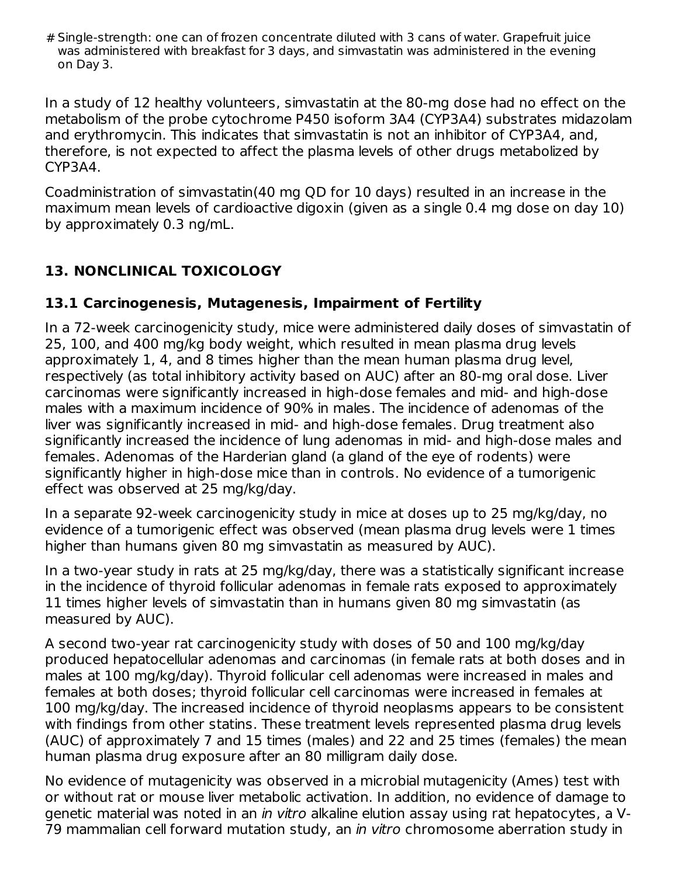# Single-strength: one can of frozen concentrate diluted with 3 cans of water. Grapefruit juice was administered with breakfast for 3 days, and simvastatin was administered in the evening on Day 3.

In a study of 12 healthy volunteers, simvastatin at the 80-mg dose had no effect on the metabolism of the probe cytochrome P450 isoform 3A4 (CYP3A4) substrates midazolam and erythromycin. This indicates that simvastatin is not an inhibitor of CYP3A4, and, therefore, is not expected to affect the plasma levels of other drugs metabolized by CYP3A4.

Coadministration of simvastatin(40 mg QD for 10 days) resulted in an increase in the maximum mean levels of cardioactive digoxin (given as a single 0.4 mg dose on day 10) by approximately 0.3 ng/mL.

# **13. NONCLINICAL TOXICOLOGY**

### **13.1 Carcinogenesis, Mutagenesis, Impairment of Fertility**

In a 72-week carcinogenicity study, mice were administered daily doses of simvastatin of 25, 100, and 400 mg/kg body weight, which resulted in mean plasma drug levels approximately 1, 4, and 8 times higher than the mean human plasma drug level, respectively (as total inhibitory activity based on AUC) after an 80-mg oral dose. Liver carcinomas were significantly increased in high-dose females and mid- and high-dose males with a maximum incidence of 90% in males. The incidence of adenomas of the liver was significantly increased in mid- and high-dose females. Drug treatment also significantly increased the incidence of lung adenomas in mid- and high-dose males and females. Adenomas of the Harderian gland (a gland of the eye of rodents) were significantly higher in high-dose mice than in controls. No evidence of a tumorigenic effect was observed at 25 mg/kg/day.

In a separate 92-week carcinogenicity study in mice at doses up to 25 mg/kg/day, no evidence of a tumorigenic effect was observed (mean plasma drug levels were 1 times higher than humans given 80 mg simvastatin as measured by AUC).

In a two-year study in rats at 25 mg/kg/day, there was a statistically significant increase in the incidence of thyroid follicular adenomas in female rats exposed to approximately 11 times higher levels of simvastatin than in humans given 80 mg simvastatin (as measured by AUC).

A second two-year rat carcinogenicity study with doses of 50 and 100 mg/kg/day produced hepatocellular adenomas and carcinomas (in female rats at both doses and in males at 100 mg/kg/day). Thyroid follicular cell adenomas were increased in males and females at both doses; thyroid follicular cell carcinomas were increased in females at 100 mg/kg/day. The increased incidence of thyroid neoplasms appears to be consistent with findings from other statins. These treatment levels represented plasma drug levels (AUC) of approximately 7 and 15 times (males) and 22 and 25 times (females) the mean human plasma drug exposure after an 80 milligram daily dose.

No evidence of mutagenicity was observed in a microbial mutagenicity (Ames) test with or without rat or mouse liver metabolic activation. In addition, no evidence of damage to genetic material was noted in an in vitro alkaline elution assay using rat hepatocytes, a V-79 mammalian cell forward mutation study, an in vitro chromosome aberration study in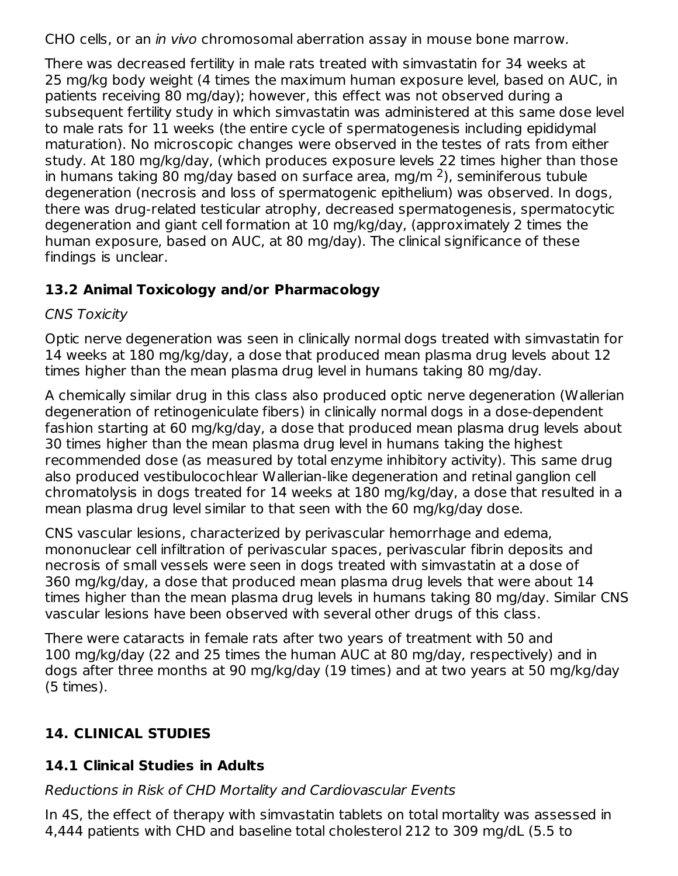CHO cells, or an in vivo chromosomal aberration assay in mouse bone marrow.

There was decreased fertility in male rats treated with simvastatin for 34 weeks at 25 mg/kg body weight (4 times the maximum human exposure level, based on AUC, in patients receiving 80 mg/day); however, this effect was not observed during a subsequent fertility study in which simvastatin was administered at this same dose level to male rats for 11 weeks (the entire cycle of spermatogenesis including epididymal maturation). No microscopic changes were observed in the testes of rats from either study. At 180 mg/kg/day, (which produces exposure levels 22 times higher than those in humans taking 80 mg/day based on surface area, mg/m  $^2$ ), seminiferous tubule degeneration (necrosis and loss of spermatogenic epithelium) was observed. In dogs, there was drug-related testicular atrophy, decreased spermatogenesis, spermatocytic degeneration and giant cell formation at 10 mg/kg/day, (approximately 2 times the human exposure, based on AUC, at 80 mg/day). The clinical significance of these findings is unclear.

# **13.2 Animal Toxicology and/or Pharmacology**

### CNS Toxicity

Optic nerve degeneration was seen in clinically normal dogs treated with simvastatin for 14 weeks at 180 mg/kg/day, a dose that produced mean plasma drug levels about 12 times higher than the mean plasma drug level in humans taking 80 mg/day.

A chemically similar drug in this class also produced optic nerve degeneration (Wallerian degeneration of retinogeniculate fibers) in clinically normal dogs in a dose-dependent fashion starting at 60 mg/kg/day, a dose that produced mean plasma drug levels about 30 times higher than the mean plasma drug level in humans taking the highest recommended dose (as measured by total enzyme inhibitory activity). This same drug also produced vestibulocochlear Wallerian-like degeneration and retinal ganglion cell chromatolysis in dogs treated for 14 weeks at 180 mg/kg/day, a dose that resulted in a mean plasma drug level similar to that seen with the 60 mg/kg/day dose.

CNS vascular lesions, characterized by perivascular hemorrhage and edema, mononuclear cell infiltration of perivascular spaces, perivascular fibrin deposits and necrosis of small vessels were seen in dogs treated with simvastatin at a dose of 360 mg/kg/day, a dose that produced mean plasma drug levels that were about 14 times higher than the mean plasma drug levels in humans taking 80 mg/day. Similar CNS vascular lesions have been observed with several other drugs of this class.

There were cataracts in female rats after two years of treatment with 50 and 100 mg/kg/day (22 and 25 times the human AUC at 80 mg/day, respectively) and in dogs after three months at 90 mg/kg/day (19 times) and at two years at 50 mg/kg/day (5 times).

# **14. CLINICAL STUDIES**

# **14.1 Clinical Studies in Adults**

# Reductions in Risk of CHD Mortality and Cardiovascular Events

In 4S, the effect of therapy with simvastatin tablets on total mortality was assessed in 4,444 patients with CHD and baseline total cholesterol 212 to 309 mg/dL (5.5 to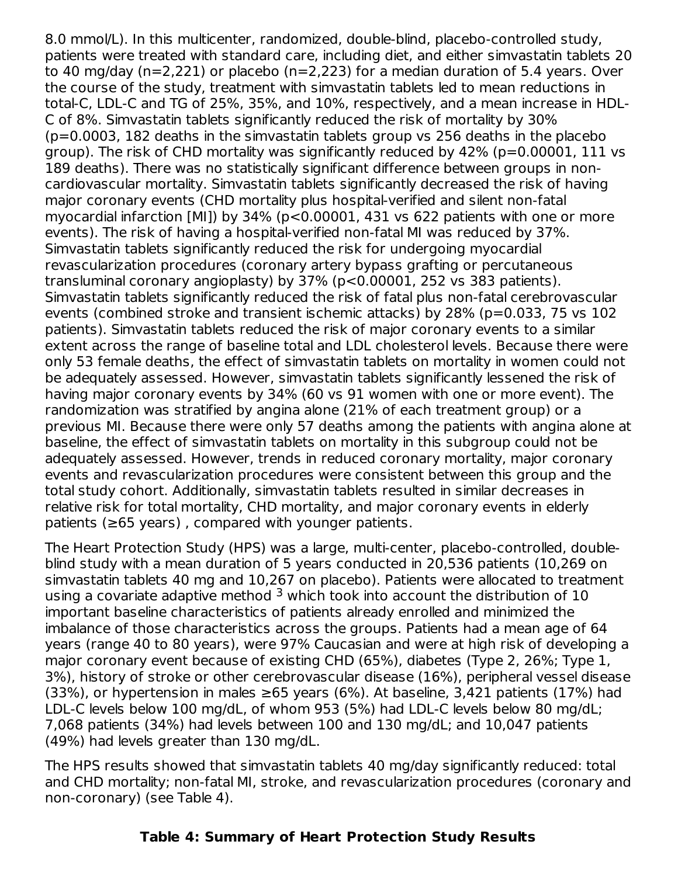8.0 mmol/L). In this multicenter, randomized, double-blind, placebo-controlled study, patients were treated with standard care, including diet, and either simvastatin tablets 20 to 40 mg/day (n=2,221) or placebo (n=2,223) for a median duration of 5.4 years. Over the course of the study, treatment with simvastatin tablets led to mean reductions in total-C, LDL-C and TG of 25%, 35%, and 10%, respectively, and a mean increase in HDL-C of 8%. Simvastatin tablets significantly reduced the risk of mortality by 30% (p=0.0003, 182 deaths in the simvastatin tablets group vs 256 deaths in the placebo group). The risk of CHD mortality was significantly reduced by 42% (p=0.00001, 111 vs 189 deaths). There was no statistically significant difference between groups in noncardiovascular mortality. Simvastatin tablets significantly decreased the risk of having major coronary events (CHD mortality plus hospital-verified and silent non-fatal myocardial infarction [MI]) by 34% (p<0.00001, 431 vs 622 patients with one or more events). The risk of having a hospital-verified non-fatal MI was reduced by 37%. Simvastatin tablets significantly reduced the risk for undergoing myocardial revascularization procedures (coronary artery bypass grafting or percutaneous transluminal coronary angioplasty) by 37% (p<0.00001, 252 vs 383 patients). Simvastatin tablets significantly reduced the risk of fatal plus non-fatal cerebrovascular events (combined stroke and transient ischemic attacks) by 28% (p=0.033, 75 vs 102 patients). Simvastatin tablets reduced the risk of major coronary events to a similar extent across the range of baseline total and LDL cholesterol levels. Because there were only 53 female deaths, the effect of simvastatin tablets on mortality in women could not be adequately assessed. However, simvastatin tablets significantly lessened the risk of having major coronary events by 34% (60 vs 91 women with one or more event). The randomization was stratified by angina alone (21% of each treatment group) or a previous MI. Because there were only 57 deaths among the patients with angina alone at baseline, the effect of simvastatin tablets on mortality in this subgroup could not be adequately assessed. However, trends in reduced coronary mortality, major coronary events and revascularization procedures were consistent between this group and the total study cohort. Additionally, simvastatin tablets resulted in similar decreases in relative risk for total mortality, CHD mortality, and major coronary events in elderly patients (≥65 years) , compared with younger patients.

The Heart Protection Study (HPS) was a large, multi-center, placebo-controlled, doubleblind study with a mean duration of 5 years conducted in 20,536 patients (10,269 on simvastatin tablets 40 mg and 10,267 on placebo). Patients were allocated to treatment using a covariate adaptive method  $3$  which took into account the distribution of  $10$ important baseline characteristics of patients already enrolled and minimized the imbalance of those characteristics across the groups. Patients had a mean age of 64 years (range 40 to 80 years), were 97% Caucasian and were at high risk of developing a major coronary event because of existing CHD (65%), diabetes (Type 2, 26%; Type 1, 3%), history of stroke or other cerebrovascular disease (16%), peripheral vessel disease (33%), or hypertension in males  $\geq 65$  years (6%). At baseline, 3,421 patients (17%) had LDL-C levels below 100 mg/dL, of whom 953 (5%) had LDL-C levels below 80 mg/dL; 7,068 patients (34%) had levels between 100 and 130 mg/dL; and 10,047 patients (49%) had levels greater than 130 mg/dL.

The HPS results showed that simvastatin tablets 40 mg/day significantly reduced: total and CHD mortality; non-fatal MI, stroke, and revascularization procedures (coronary and non-coronary) (see Table 4).

#### **Table 4: Summary of Heart Protection Study Results**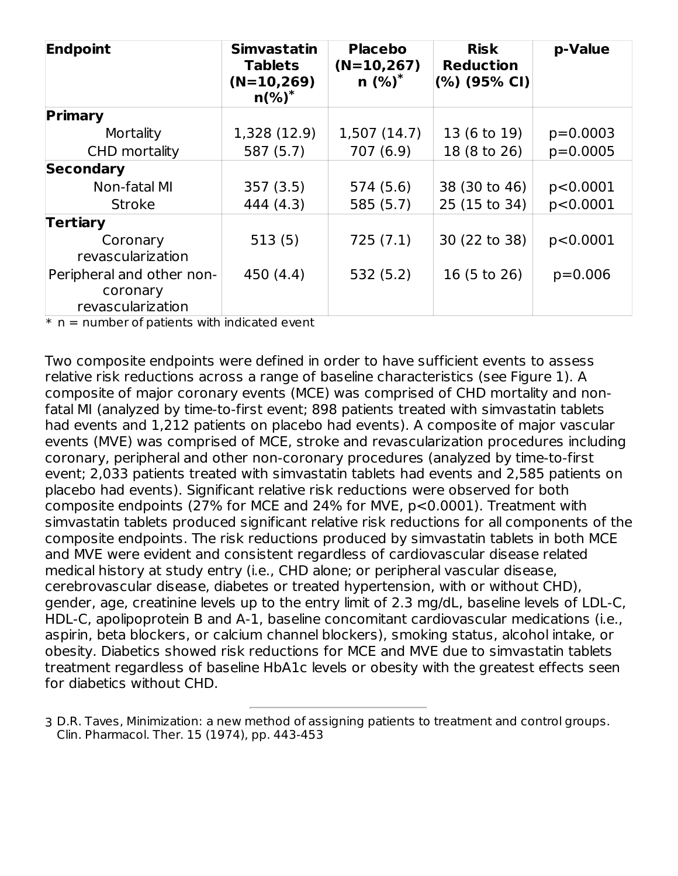| Endpoint                  | <b>Simvastatin</b><br><b>Tablets</b><br>$(N=10,269)$<br>$n$ (%) <sup>*</sup> | <b>Placebo</b><br>$(N=10,267)$<br>$n$ (%) <sup>*</sup> | <b>Risk</b><br><b>Reduction</b><br>$(%)$ (95% CI) | p-Value    |
|---------------------------|------------------------------------------------------------------------------|--------------------------------------------------------|---------------------------------------------------|------------|
| Primary                   |                                                                              |                                                        |                                                   |            |
| Mortality                 | 1,328 (12.9)                                                                 | 1,507(14.7)                                            | 13 (6 to 19)                                      | $p=0.0003$ |
| CHD mortality             | 587 (5.7)                                                                    | 707 (6.9)                                              | 18 (8 to 26)                                      | $p=0.0005$ |
| Secondary                 |                                                                              |                                                        |                                                   |            |
| Non-fatal MI              | 357(3.5)                                                                     | 574 (5.6)                                              | 38 (30 to 46)                                     | p<0.0001   |
| <b>Stroke</b>             | 444 (4.3)                                                                    | 585(5.7)                                               | 25 (15 to 34)                                     | p<0.0001   |
| <b>Tertiary</b>           |                                                                              |                                                        |                                                   |            |
| Coronary                  | 513(5)                                                                       | 725(7.1)                                               | 30 (22 to 38)                                     | p<0.0001   |
| revascularization         |                                                                              |                                                        |                                                   |            |
| Peripheral and other non- | 450 (4.4)                                                                    | 532(5.2)                                               | 16 (5 to 26)                                      | $p=0.006$  |
| coronary                  |                                                                              |                                                        |                                                   |            |
| revascularization         |                                                                              |                                                        |                                                   |            |

 $*$   $\boldsymbol{\mathsf{n}}$  = number of patients with indicated event

Two composite endpoints were defined in order to have sufficient events to assess relative risk reductions across a range of baseline characteristics (see Figure 1). A composite of major coronary events (MCE) was comprised of CHD mortality and nonfatal MI (analyzed by time-to-first event; 898 patients treated with simvastatin tablets had events and 1,212 patients on placebo had events). A composite of major vascular events (MVE) was comprised of MCE, stroke and revascularization procedures including coronary, peripheral and other non-coronary procedures (analyzed by time-to-first event; 2,033 patients treated with simvastatin tablets had events and 2,585 patients on placebo had events). Significant relative risk reductions were observed for both composite endpoints (27% for MCE and 24% for MVE, p<0.0001). Treatment with simvastatin tablets produced significant relative risk reductions for all components of the composite endpoints. The risk reductions produced by simvastatin tablets in both MCE and MVE were evident and consistent regardless of cardiovascular disease related medical history at study entry (i.e., CHD alone; or peripheral vascular disease, cerebrovascular disease, diabetes or treated hypertension, with or without CHD), gender, age, creatinine levels up to the entry limit of 2.3 mg/dL, baseline levels of LDL-C, HDL-C, apolipoprotein B and A-1, baseline concomitant cardiovascular medications (i.e., aspirin, beta blockers, or calcium channel blockers), smoking status, alcohol intake, or obesity. Diabetics showed risk reductions for MCE and MVE due to simvastatin tablets treatment regardless of baseline HbA1c levels or obesity with the greatest effects seen for diabetics without CHD.

3 D.R. Taves, Minimization: a new method of assigning patients to treatment and control groups. Clin. Pharmacol. Ther. 15 (1974), pp. 443-453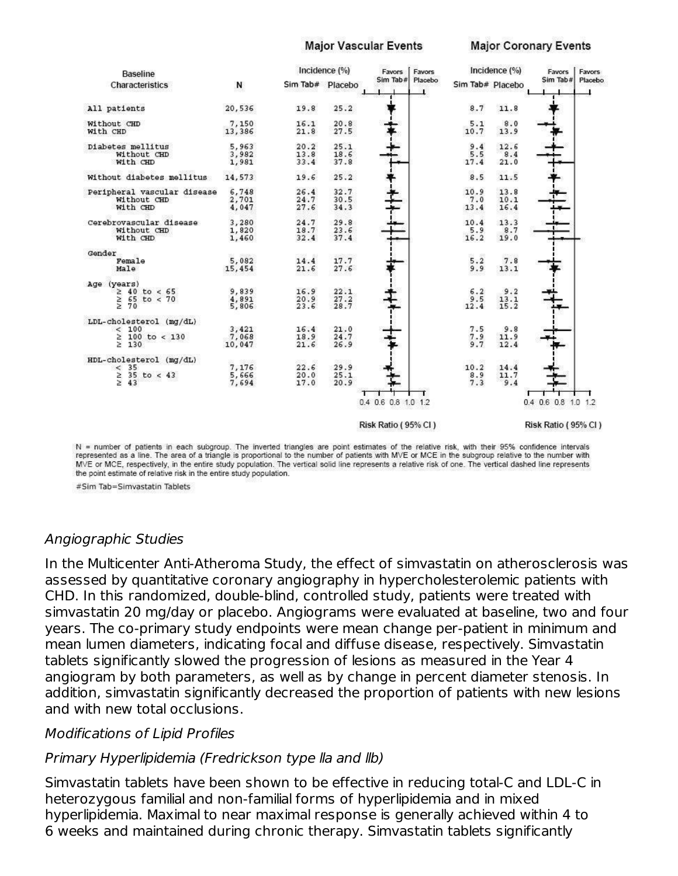#### **Major Vascular Events**

#### **Major Coronary Events**



N = number of patients in each subgroup. The inverted triangles are point estimates of the relative risk, with their 95% confidence intervals represented as a line. The area of a triangle is proportional to the number of patients with MVE or MCE in the subgroup relative to the number with MVE or MCE, respectively, in the entire study population. The vertical solid line represents a relative risk of one. The vertical dashed line represents the point estimate of relative risk in the entire study population.

#Sim Tab=Simvastatin Tablets

#### Angiographic Studies

In the Multicenter Anti-Atheroma Study, the effect of simvastatin on atherosclerosis was assessed by quantitative coronary angiography in hypercholesterolemic patients with CHD. In this randomized, double-blind, controlled study, patients were treated with simvastatin 20 mg/day or placebo. Angiograms were evaluated at baseline, two and four years. The co-primary study endpoints were mean change per-patient in minimum and mean lumen diameters, indicating focal and diffuse disease, respectively. Simvastatin tablets significantly slowed the progression of lesions as measured in the Year 4 angiogram by both parameters, as well as by change in percent diameter stenosis. In addition, simvastatin significantly decreased the proportion of patients with new lesions and with new total occlusions.

#### Modifications of Lipid Profiles

#### Primary Hyperlipidemia (Fredrickson type lla and llb)

Simvastatin tablets have been shown to be effective in reducing total-C and LDL-C in heterozygous familial and non-familial forms of hyperlipidemia and in mixed hyperlipidemia. Maximal to near maximal response is generally achieved within 4 to 6 weeks and maintained during chronic therapy. Simvastatin tablets significantly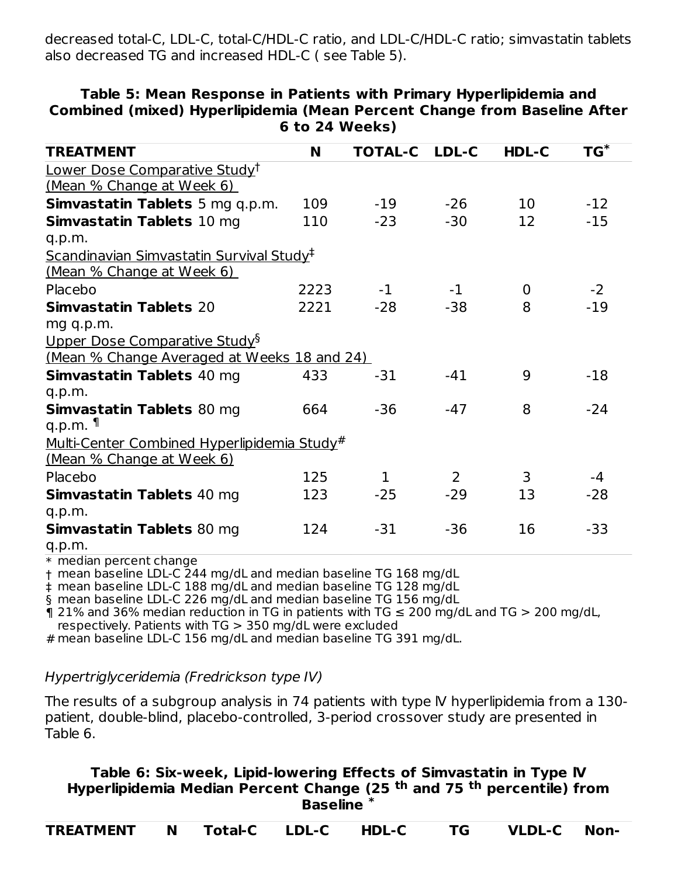decreased total-C, LDL-C, total-C/HDL-C ratio, and LDL-C/HDL-C ratio; simvastatin tablets also decreased TG and increased HDL-C ( see Table 5).

| <b>TREATMENT</b>                                            | N    | <b>TOTAL-C</b> | <b>LDL-C</b> | <b>HDL-C</b> | $TG^*$ |
|-------------------------------------------------------------|------|----------------|--------------|--------------|--------|
| Lower Dose Comparative Study <sup>†</sup>                   |      |                |              |              |        |
| (Mean % Change at Week 6)                                   |      |                |              |              |        |
| Simvastatin Tablets 5 mg q.p.m.                             | 109  | $-19$          | $-26$        | 10           | $-12$  |
| Simvastatin Tablets 10 mg                                   | 110  | $-23$          | $-30$        | 12           | $-15$  |
| q.p.m.                                                      |      |                |              |              |        |
| <u>Scandinavian Simvastatin Survival Study</u> <sup>‡</sup> |      |                |              |              |        |
| <u>(Mean % Change at Week 6)</u>                            |      |                |              |              |        |
| Placebo                                                     | 2223 | $-1$           | $-1$         | $\Omega$     | $-2$   |
| <b>Simvastatin Tablets 20</b>                               | 2221 | $-28$          | $-38$        | 8            | $-19$  |
| mg q.p.m.                                                   |      |                |              |              |        |
| Upper Dose Comparative Study <sup>§</sup>                   |      |                |              |              |        |
| (Mean % Change Averaged at Weeks 18 and 24)                 |      |                |              |              |        |
| Simvastatin Tablets 40 mg                                   | 433  | $-31$          | $-41$        | 9            | $-18$  |
| q.p.m.                                                      |      |                |              |              |        |
| <b>Simvastatin Tablets 80 mg</b>                            | 664  | $-36$          | $-47$        | 8            | $-24$  |
| q.p.m. $\P$                                                 |      |                |              |              |        |
| <u>Multi-Center Combined Hyperlipidemia Study#</u>          |      |                |              |              |        |
| <u>(Mean % Change at Week 6)</u>                            |      |                |              |              |        |
| Placebo                                                     | 125  | $\mathbf{1}$   | 2            | 3            | $-4$   |
| <b>Simvastatin Tablets 40 mg</b>                            | 123  | $-25$          | $-29$        | 13           | $-28$  |
| q.p.m.                                                      |      |                |              |              |        |
| <b>Simvastatin Tablets 80 mg</b>                            | 124  | -31            | $-36$        | 16           | $-33$  |
| q.p.m.                                                      |      |                |              |              |        |

#### **Table 5: Mean Response in Patients with Primary Hyperlipidemia and Combined (mixed) Hyperlipidemia (Mean Percent Change from Baseline After 6 to 24 Weeks)**

\* median percent change

† mean baseline LDL-C 244 mg/dL and median baseline TG 168 mg/dL

‡ mean baseline LDL-C 188 mg/dL and median baseline TG 128 mg/dL

§ mean baseline LDL-C 226 mg/dL and median baseline TG 156 mg/dL

 $\eta$  21% and 36% median reduction in TG in patients with TG  $\leq$  200 mg/dL and TG  $>$  200 mg/dL, respectively. Patients with TG > 350 mg/dL were excluded

# mean baseline LDL-C 156 mg/dL and median baseline TG 391 mg/dL.

#### Hypertriglyceridemia (Fredrickson type IV)

The results of a subgroup analysis in 74 patients with type lV hyperlipidemia from a 130 patient, double-blind, placebo-controlled, 3-period crossover study are presented in Table 6.

#### **Table 6: Six-week, Lipid-lowering Effects of Simvastatin in Type lV Hyperlipidemia Median Percent Change (25 <sup>th</sup> and 75 <sup>th</sup> percentile) from Baseline \***

| <b>TREATMENT</b><br>VLDL-C '<br><b>Example 1 Total-C</b> LDL-C<br>HDL-C | Non- |
|-------------------------------------------------------------------------|------|
|-------------------------------------------------------------------------|------|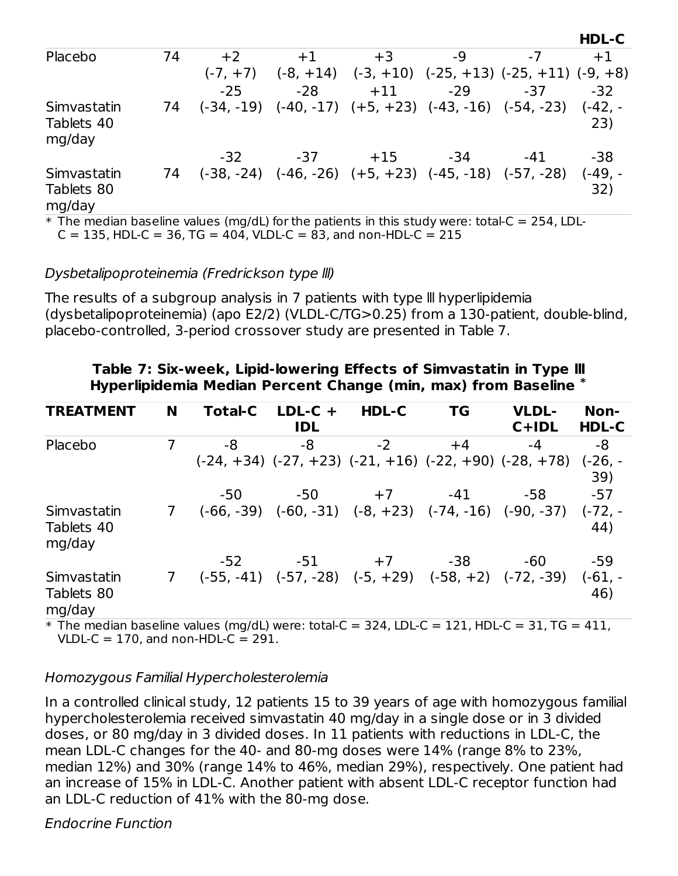| Placebo                                                                                                  | 74 | $+2$       | $+1$  | $+3$                                                            | -9    |            | $+1$             |
|----------------------------------------------------------------------------------------------------------|----|------------|-------|-----------------------------------------------------------------|-------|------------|------------------|
|                                                                                                          |    | $(-7, +7)$ |       | $(-8, +14)$ $(-3, +10)$ $(-25, +13)$ $(-25, +11)$ $(-9, +8)$    |       |            |                  |
|                                                                                                          |    | $-25$      | $-28$ | $+11$                                                           | $-29$ | -37        | $-32$            |
| Simvastatin<br>Tablets 40<br>mg/day                                                                      | 74 |            |       | $(-34, -19)$ $(-40, -17)$ $(+5, +23)$ $(-43, -16)$ $(-54, -23)$ |       |            | $(-42, -$<br>23) |
|                                                                                                          |    | $-32$      | $-37$ | $+15$                                                           | -34   | -41        | -38              |
| Simvastatin<br>Tablets 80<br>mg/day                                                                      | 74 |            |       | $(-38, -24)$ $(-46, -26)$ $(+5, +23)$ $(-45, -18)$ $(-57, -28)$ |       |            | $(-49, -$<br>32) |
| $\psi$ . The president besiding column (presidi) fourthes position to be this study consumer to talk $C$ |    |            |       |                                                                 |       | $2F A + F$ |                  |

**HDL-C**

 $\,^*$  The median baseline values (mg/dL) for the patients in this study were: total-C = 254, LDL-

 $C = 135$ , HDL-C = 36, TG = 404, VLDL-C = 83, and non-HDL-C = 215

#### Dysbetalipoproteinemia (Fredrickson type lll)

The results of a subgroup analysis in 7 patients with type lll hyperlipidemia (dysbetalipoproteinemia) (apo E2/2) (VLDL-C/TG>0.25) from a 130-patient, double-blind, placebo-controlled, 3-period crossover study are presented in Table 7.

| <b>TREATMENT</b>                    | N | <b>Total-C</b> | $LDL-C +$<br><b>IDL</b> | HDL-C                                                           | <b>TG</b> | <b>VLDL-</b><br>$C+IDL$                                          | Non-<br>HDL-C    |
|-------------------------------------|---|----------------|-------------------------|-----------------------------------------------------------------|-----------|------------------------------------------------------------------|------------------|
| Placebo                             | 7 | -8             | -8                      | $-2$                                                            | $+4$      | -4                                                               | -8               |
|                                     |   |                |                         |                                                                 |           | $(-24, +34)$ $(-27, +23)$ $(-21, +16)$ $(-22, +90)$ $(-28, +78)$ | $(-26, -$<br>39) |
|                                     |   | -50            | -50                     | $+7$                                                            | $-41$     | -58                                                              | $-57$            |
| Simvastatin<br>Tablets 40<br>mg/day |   |                |                         | $(-66, -39)$ $(-60, -31)$ $(-8, +23)$ $(-74, -16)$ $(-90, -37)$ |           |                                                                  | $(-72, -$<br>44) |
|                                     |   | $-52$          | $-51$                   | $+7$                                                            | -38       | -60                                                              | -59              |
| Simvastatin<br>Tablets 80<br>mg/day |   |                |                         | $(-55, -41)$ $(-57, -28)$ $(-5, +29)$ $(-58, +2)$ $(-72, -39)$  |           |                                                                  | $(-61, -$<br>46) |

#### **Table 7: Six-week, Lipid-lowering Effects of Simvastatin in Type lll Hyperlipidemia Median Percent Change (min, max) from Baseline \***

 $\text{*}$  The median baseline values (mg/dL) were: total-C = 324, LDL-C = 121, HDL-C = 31, TG = 411, VLDL-C =  $170$ , and non-HDL-C =  $291$ .

#### Homozygous Familial Hypercholesterolemia

In a controlled clinical study, 12 patients 15 to 39 years of age with homozygous familial hypercholesterolemia received simvastatin 40 mg/day in a single dose or in 3 divided doses, or 80 mg/day in 3 divided doses. In 11 patients with reductions in LDL-C, the mean LDL-C changes for the 40- and 80-mg doses were 14% (range 8% to 23%, median 12%) and 30% (range 14% to 46%, median 29%), respectively. One patient had an increase of 15% in LDL-C. Another patient with absent LDL-C receptor function had an LDL-C reduction of 41% with the 80-mg dose.

Endocrine Function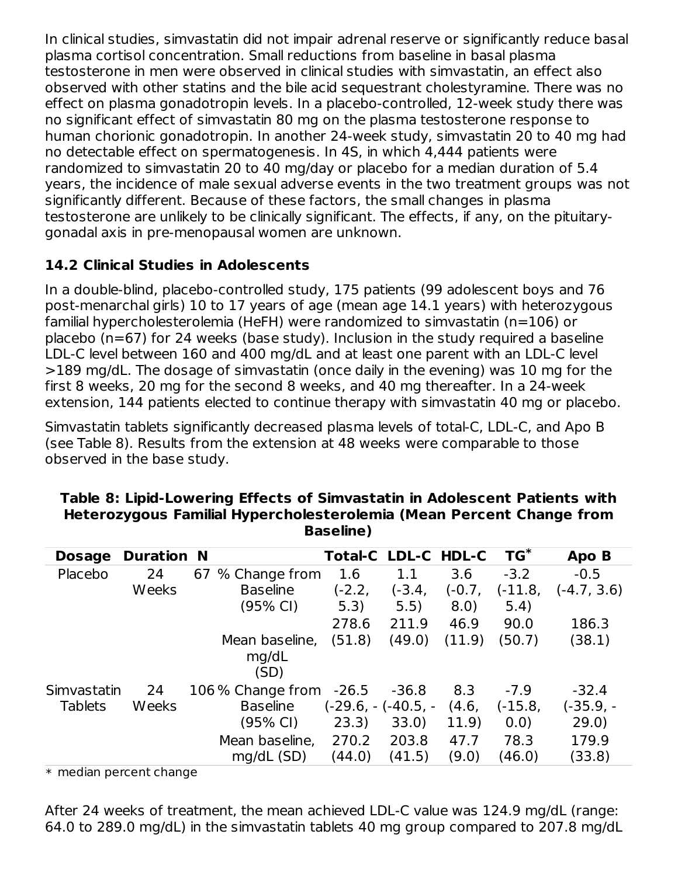In clinical studies, simvastatin did not impair adrenal reserve or significantly reduce basal plasma cortisol concentration. Small reductions from baseline in basal plasma testosterone in men were observed in clinical studies with simvastatin, an effect also observed with other statins and the bile acid sequestrant cholestyramine. There was no effect on plasma gonadotropin levels. In a placebo-controlled, 12-week study there was no significant effect of simvastatin 80 mg on the plasma testosterone response to human chorionic gonadotropin. In another 24-week study, simvastatin 20 to 40 mg had no detectable effect on spermatogenesis. In 4S, in which 4,444 patients were randomized to simvastatin 20 to 40 mg/day or placebo for a median duration of 5.4 years, the incidence of male sexual adverse events in the two treatment groups was not significantly different. Because of these factors, the small changes in plasma testosterone are unlikely to be clinically significant. The effects, if any, on the pituitarygonadal axis in pre-menopausal women are unknown.

# **14.2 Clinical Studies in Adolescents**

In a double-blind, placebo-controlled study, 175 patients (99 adolescent boys and 76 post-menarchal girls) 10 to 17 years of age (mean age 14.1 years) with heterozygous familial hypercholesterolemia (HeFH) were randomized to simvastatin (n=106) or placebo (n=67) for 24 weeks (base study). Inclusion in the study required a baseline LDL-C level between 160 and 400 mg/dL and at least one parent with an LDL-C level >189 mg/dL. The dosage of simvastatin (once daily in the evening) was 10 mg for the first 8 weeks, 20 mg for the second 8 weeks, and 40 mg thereafter. In a 24-week extension, 144 patients elected to continue therapy with simvastatin 40 mg or placebo.

Simvastatin tablets significantly decreased plasma levels of total-C, LDL-C, and Apo B (see Table 8). Results from the extension at 48 weeks were comparable to those observed in the base study.

| <b>Dosage</b>  | <b>Duration N</b> |                   | <b>Total-C LDL-C HDL-C</b> |         |        | $TG^*$    | Apo B         |
|----------------|-------------------|-------------------|----------------------------|---------|--------|-----------|---------------|
| Placebo        | 24                | 67 % Change from  | 1.6                        | 1.1     | 3.6    | $-3.2$    | $-0.5$        |
|                | Weeks             | <b>Baseline</b>   | $(-2.2,$                   | (-3.4,  | (-0.7, | (-11.8,   | $(-4.7, 3.6)$ |
|                |                   | (95% CI)          | 5.3)                       | 5.5)    | 8.0)   | 5.4)      |               |
|                |                   |                   | 278.6                      | 211.9   | 46.9   | 90.0      | 186.3         |
|                |                   | Mean baseline,    | (51.8)                     | (49.0)  | (11.9) | (50.7)    | (38.1)        |
|                |                   | mg/dL<br>(SD)     |                            |         |        |           |               |
| Simvastatin    | 24                | 106 % Change from | $-26.5$                    | $-36.8$ | 8.3    | $-7.9$    | $-32.4$       |
| <b>Tablets</b> | Weeks             | <b>Baseline</b>   | $(-29.6, -(-40.5, -$       |         | (4.6,  | $(-15.8,$ | $(-35.9, -$   |
|                |                   | (95% CI)          | 23.3)                      | 33.0)   | 11.9)  | 0.0)      | 29.0)         |
|                |                   | Mean baseline,    | 270.2                      | 203.8   | 47.7   | 78.3      | 179.9         |
|                |                   | mg/dL (SD)        | (44.0)                     | (41.5)  | (9.0)  | (46.0)    | (33.8)        |

#### **Table 8: Lipid-Lowering Effects of Simvastatin in Adolescent Patients with Heterozygous Familial Hypercholesterolemia (Mean Percent Change from Baseline)**

 $\ast\,$  median percent change

After 24 weeks of treatment, the mean achieved LDL-C value was 124.9 mg/dL (range: 64.0 to 289.0 mg/dL) in the simvastatin tablets 40 mg group compared to 207.8 mg/dL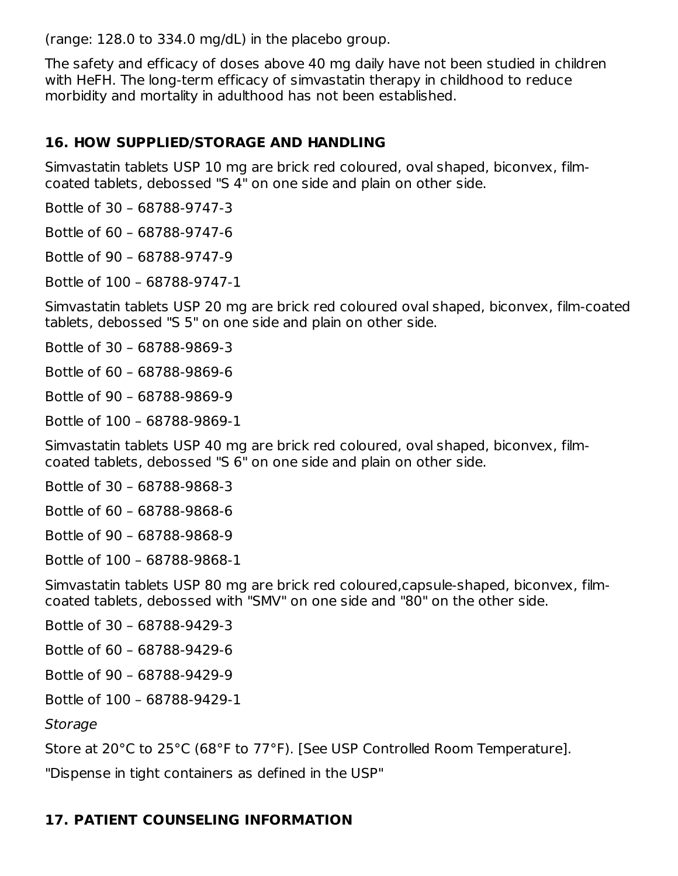(range: 128.0 to 334.0 mg/dL) in the placebo group.

The safety and efficacy of doses above 40 mg daily have not been studied in children with HeFH. The long-term efficacy of simvastatin therapy in childhood to reduce morbidity and mortality in adulthood has not been established.

#### **16. HOW SUPPLIED/STORAGE AND HANDLING**

Simvastatin tablets USP 10 mg are brick red coloured, oval shaped, biconvex, filmcoated tablets, debossed "S 4" on one side and plain on other side.

Bottle of 30 – 68788-9747-3

Bottle of 60 – 68788-9747-6

Bottle of 90 – 68788-9747-9

Bottle of 100 – 68788-9747-1

Simvastatin tablets USP 20 mg are brick red coloured oval shaped, biconvex, film-coated tablets, debossed "S 5" on one side and plain on other side.

Bottle of 30 – 68788-9869-3

Bottle of 60 – 68788-9869-6

Bottle of 90 – 68788-9869-9

Bottle of 100 – 68788-9869-1

Simvastatin tablets USP 40 mg are brick red coloured, oval shaped, biconvex, filmcoated tablets, debossed "S 6" on one side and plain on other side.

Bottle of 30 – 68788-9868-3

Bottle of 60 – 68788-9868-6

Bottle of 90 – 68788-9868-9

Bottle of 100 – 68788-9868-1

Simvastatin tablets USP 80 mg are brick red coloured,capsule-shaped, biconvex, filmcoated tablets, debossed with "SMV" on one side and "80" on the other side.

Bottle of 30 – 68788-9429-3

Bottle of 60 – 68788-9429-6

Bottle of 90 – 68788-9429-9

Bottle of 100 – 68788-9429-1

Storage

Store at 20°C to 25°C (68°F to 77°F). [See USP Controlled Room Temperature].

"Dispense in tight containers as defined in the USP"

# **17. PATIENT COUNSELING INFORMATION**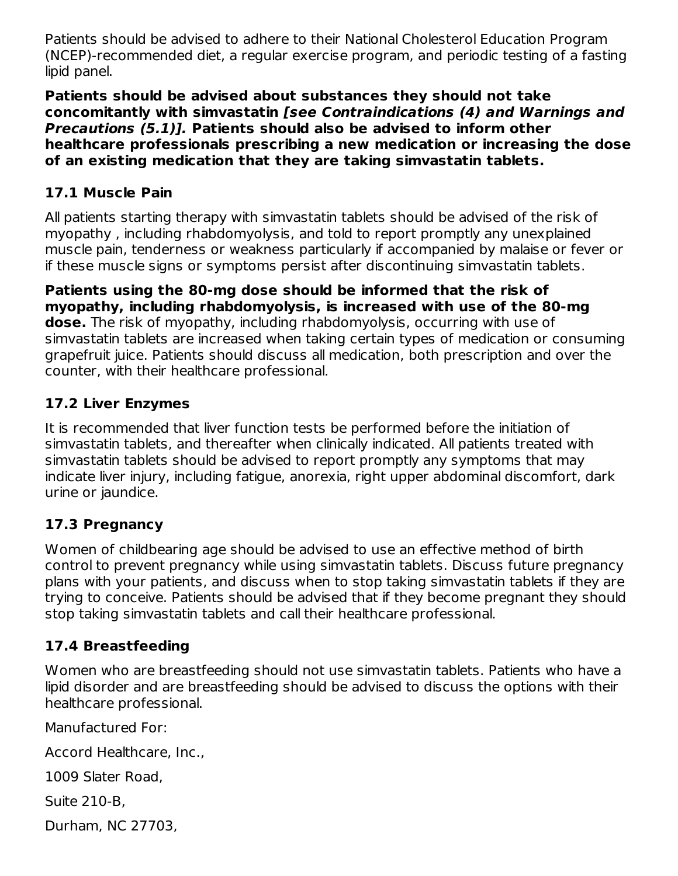Patients should be advised to adhere to their National Cholesterol Education Program (NCEP)-recommended diet, a regular exercise program, and periodic testing of a fasting lipid panel.

**Patients should be advised about substances they should not take concomitantly with simvastatin [see Contraindications (4) and Warnings and Precautions (5.1)]. Patients should also be advised to inform other healthcare professionals prescribing a new medication or increasing the dose of an existing medication that they are taking simvastatin tablets.**

#### **17.1 Muscle Pain**

All patients starting therapy with simvastatin tablets should be advised of the risk of myopathy , including rhabdomyolysis, and told to report promptly any unexplained muscle pain, tenderness or weakness particularly if accompanied by malaise or fever or if these muscle signs or symptoms persist after discontinuing simvastatin tablets.

**Patients using the 80-mg dose should be informed that the risk of myopathy, including rhabdomyolysis, is increased with use of the 80-mg dose.** The risk of myopathy, including rhabdomyolysis, occurring with use of simvastatin tablets are increased when taking certain types of medication or consuming grapefruit juice. Patients should discuss all medication, both prescription and over the counter, with their healthcare professional.

### **17.2 Liver Enzymes**

It is recommended that liver function tests be performed before the initiation of simvastatin tablets, and thereafter when clinically indicated. All patients treated with simvastatin tablets should be advised to report promptly any symptoms that may indicate liver injury, including fatigue, anorexia, right upper abdominal discomfort, dark urine or jaundice.

#### **17.3 Pregnancy**

Women of childbearing age should be advised to use an effective method of birth control to prevent pregnancy while using simvastatin tablets. Discuss future pregnancy plans with your patients, and discuss when to stop taking simvastatin tablets if they are trying to conceive. Patients should be advised that if they become pregnant they should stop taking simvastatin tablets and call their healthcare professional.

# **17.4 Breastfeeding**

Women who are breastfeeding should not use simvastatin tablets. Patients who have a lipid disorder and are breastfeeding should be advised to discuss the options with their healthcare professional.

Manufactured For:

Accord Healthcare, Inc.,

1009 Slater Road,

Suite 210-B,

Durham, NC 27703,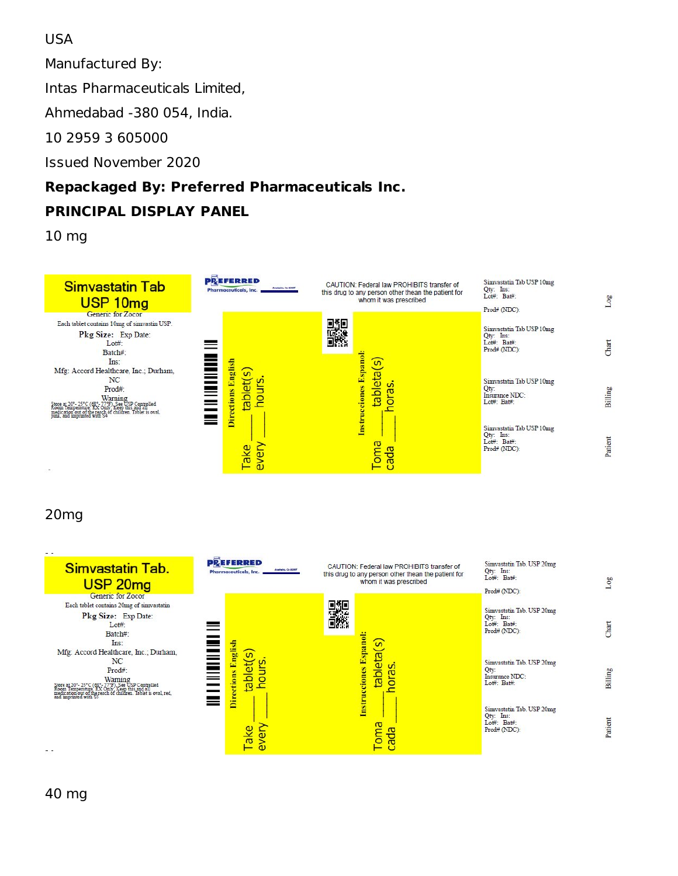#### USA

Manufactured By:

Intas Pharmaceuticals Limited,

Ahmedabad -380 054, India.

10 2959 3 605000

Issued November 2020

# **Repackaged By: Preferred Pharmaceuticals Inc.**

# **PRINCIPAL DISPLAY PANEL**

10 mg



#### 20mg



40 mg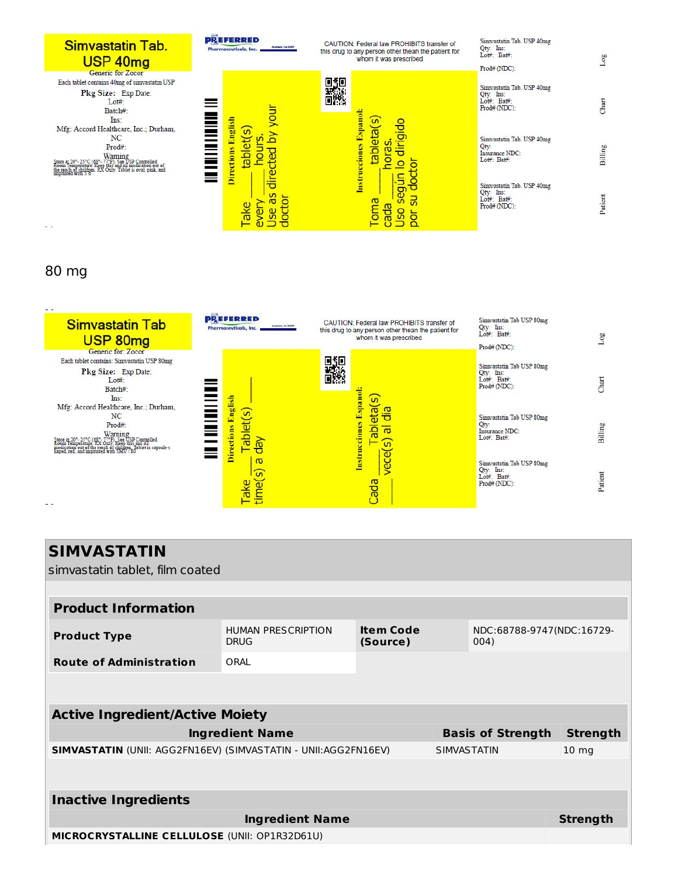| Simvastatin Tab.<br>USP 40mg                                                                                                                                                                                                                            | <b>PREFERRED</b><br>Anaheim, Ca 82807<br><b>Pharmaceuticals, Inc.</b> | CAUTION: Federal law PROHIBITS transfer of<br>this drug to any person other thean the patient for<br>whom it was prescribed | Simvastatin Tab. USP 40mg<br>Qty: Ins:<br>Lot#: Bat#:<br>Prod# (NDC): | OO.     |
|---------------------------------------------------------------------------------------------------------------------------------------------------------------------------------------------------------------------------------------------------------|-----------------------------------------------------------------------|-----------------------------------------------------------------------------------------------------------------------------|-----------------------------------------------------------------------|---------|
| Generic for Zocor<br>Each tablet contains 40mg of simvastatin USP<br>Pkg Size: Exp Date:<br>$Lot#$ :<br>Batch#:<br>Ins:                                                                                                                                 | ă<br>≡                                                                | oge<br>Ō.                                                                                                                   | Simvastatin Tab. USP 40mg<br>Qty: Ins:<br>Lot#: Bat#:<br>Prod# (NDC): | har     |
| Mfg: Accord Healthcare, Inc.; Durham,<br>NC<br>Prod#:<br>Warning<br>Room Temperature New York (1958 Controlled<br>Room Temperature Neep this and all medication out of<br>the reach of childrean RX Only. Tablet is oval, pink, and<br>imprinted with S | English<br>S<br><b>Directions</b><br>≣<br>o<br>ld<br>B                | Instrucciones Espanol:<br>tableta(s)<br>rigido<br>ທົ<br>−<br>ਰ                                                              | Simvastatin Tab. USP 40mg<br>Qty:<br>Insurance NDC:<br>Lot#: Bat#:    | Billing |
| $ -$                                                                                                                                                                                                                                                    | dire<br><u>ທ</u><br>o                                                 | $\Xi$<br>용<br><b>Des</b><br><u>ದ</u><br>oma<br>вbр<br>c                                                                     | Simvastatin Tab. USP 40mg<br>Qty: Ins:<br>Lot#: Bat#:<br>Prod# (NDC): | Parient |

#### 80 mg



| <b>SIMVASTATIN</b>                                                                                              |                                          |                              |  |                                   |                 |
|-----------------------------------------------------------------------------------------------------------------|------------------------------------------|------------------------------|--|-----------------------------------|-----------------|
| simvastatin tablet, film coated                                                                                 |                                          |                              |  |                                   |                 |
|                                                                                                                 |                                          |                              |  |                                   |                 |
| <b>Product Information</b>                                                                                      |                                          |                              |  |                                   |                 |
| <b>Product Type</b>                                                                                             | <b>HUMAN PRESCRIPTION</b><br><b>DRUG</b> | <b>Item Code</b><br>(Source) |  | NDC:68788-9747(NDC:16729-<br>004) |                 |
| <b>Route of Administration</b>                                                                                  | ORAL                                     |                              |  |                                   |                 |
|                                                                                                                 |                                          |                              |  |                                   |                 |
| <b>Active Ingredient/Active Moiety</b>                                                                          |                                          |                              |  |                                   |                 |
|                                                                                                                 | <b>Ingredient Name</b>                   |                              |  | <b>Basis of Strength</b>          | <b>Strength</b> |
| <b>SIMVASTATIN (UNII: AGG2FN16EV) (SIMVASTATIN - UNII: AGG2FN16EV)</b><br><b>SIMVASTATIN</b><br>$10 \text{ mg}$ |                                          |                              |  |                                   |                 |
|                                                                                                                 |                                          |                              |  |                                   |                 |
|                                                                                                                 |                                          |                              |  |                                   |                 |

**Inactive Ingredients Ingredient Name Strength MICROCRYSTALLINE CELLULOSE** (UNII: OP1R32D61U)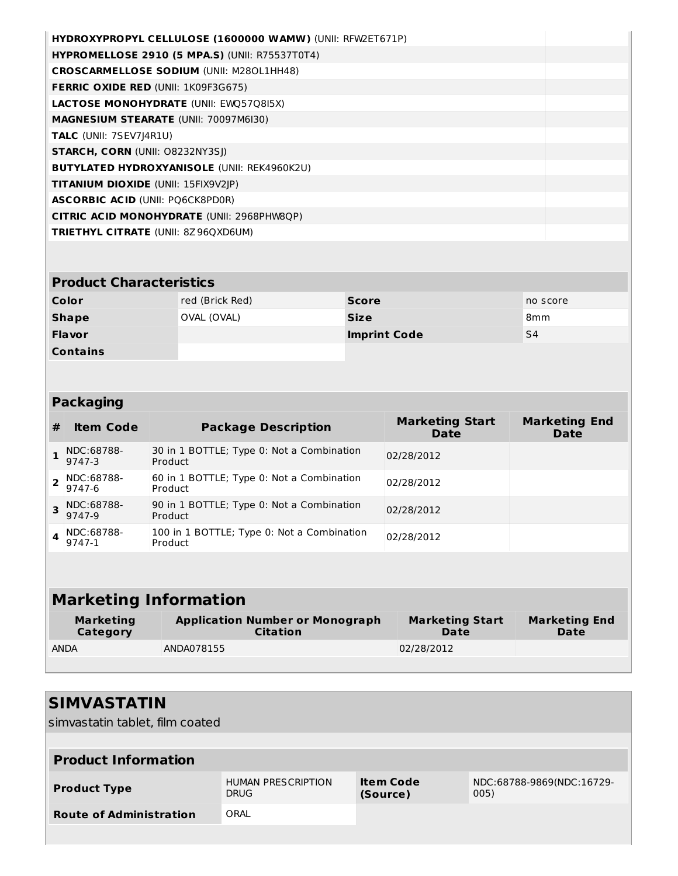| <b>HYDROXYPROPYL CELLULOSE (1600000 WAMW) (UNII: RFW2ET671P)</b> |  |
|------------------------------------------------------------------|--|
| <b>HYPROMELLOSE 2910 (5 MPA.S) (UNII: R75537T0T4)</b>            |  |
| <b>CROSCARMELLOSE SODIUM (UNII: M280L1HH48)</b>                  |  |
| <b>FERRIC OXIDE RED (UNII: 1K09F3G675)</b>                       |  |
| <b>LACTOSE MONOHYDRATE (UNII: EWO5708I5X)</b>                    |  |
| <b>MAGNESIUM STEARATE (UNII: 70097M6I30)</b>                     |  |
| <b>TALC</b> (UNII: 7SEV7J4R1U)                                   |  |
| <b>STARCH, CORN (UNII: 08232NY3SI)</b>                           |  |
| <b>BUTYLATED HYDROXYANISOLE (UNII: REK4960K2U)</b>               |  |
| <b>TITANIUM DIOXIDE (UNII: 15FIX9V2JP)</b>                       |  |
| <b>ASCORBIC ACID (UNII: PO6CK8PD0R)</b>                          |  |
| <b>CITRIC ACID MONOHYDRATE (UNII: 2968PHW8QP)</b>                |  |
| <b>TRIETHYL CITRATE (UNII: 8Z96QXD6UM)</b>                       |  |
|                                                                  |  |

#### **Product Characteristics**

| Color           | red (Brick Red) | <b>Score</b>        | no score        |
|-----------------|-----------------|---------------------|-----------------|
| <b>Shape</b>    | OVAL (OVAL)     | <b>Size</b>         | 8 <sub>mm</sub> |
| <b>Flavor</b>   |                 | <b>Imprint Code</b> | S4              |
| <b>Contains</b> |                 |                     |                 |

### **Packaging**

| # | <b>Item Code</b>         | <b>Package Description</b>                            | <b>Marketing Start</b><br><b>Date</b> | <b>Marketing End</b><br><b>Date</b> |
|---|--------------------------|-------------------------------------------------------|---------------------------------------|-------------------------------------|
|   | NDC:68788-<br>9747-3     | 30 in 1 BOTTLE; Type 0: Not a Combination<br>Product  | 02/28/2012                            |                                     |
|   | $2$ NDC:68788-<br>9747-6 | 60 in 1 BOTTLE; Type 0: Not a Combination<br>Product  | 02/28/2012                            |                                     |
|   | 3 NDC:68788-<br>9747-9   | 90 in 1 BOTTLE; Type 0: Not a Combination<br>Product  | 02/28/2012                            |                                     |
|   | NDC:68788-<br>9747-1     | 100 in 1 BOTTLE; Type 0: Not a Combination<br>Product | 02/28/2012                            |                                     |

| <b>Marketing Information</b>                                                              |            |                                |                              |  |  |  |
|-------------------------------------------------------------------------------------------|------------|--------------------------------|------------------------------|--|--|--|
| <b>Application Number or Monograph</b><br><b>Marketing</b><br>Category<br><b>Citation</b> |            | <b>Marketing Start</b><br>Date | <b>Marketing End</b><br>Date |  |  |  |
| <b>ANDA</b>                                                                               | ANDA078155 | 02/28/2012                     |                              |  |  |  |

# **SIMVASTATIN**

simvastatin tablet, film coated

| <b>Product Information</b>     |                                          |                       |                                   |  |  |  |
|--------------------------------|------------------------------------------|-----------------------|-----------------------------------|--|--|--|
| <b>Product Type</b>            | <b>HUMAN PRESCRIPTION</b><br><b>DRUG</b> | Item Code<br>(Source) | NDC:68788-9869(NDC:16729-<br>005) |  |  |  |
| <b>Route of Administration</b> | ORAL                                     |                       |                                   |  |  |  |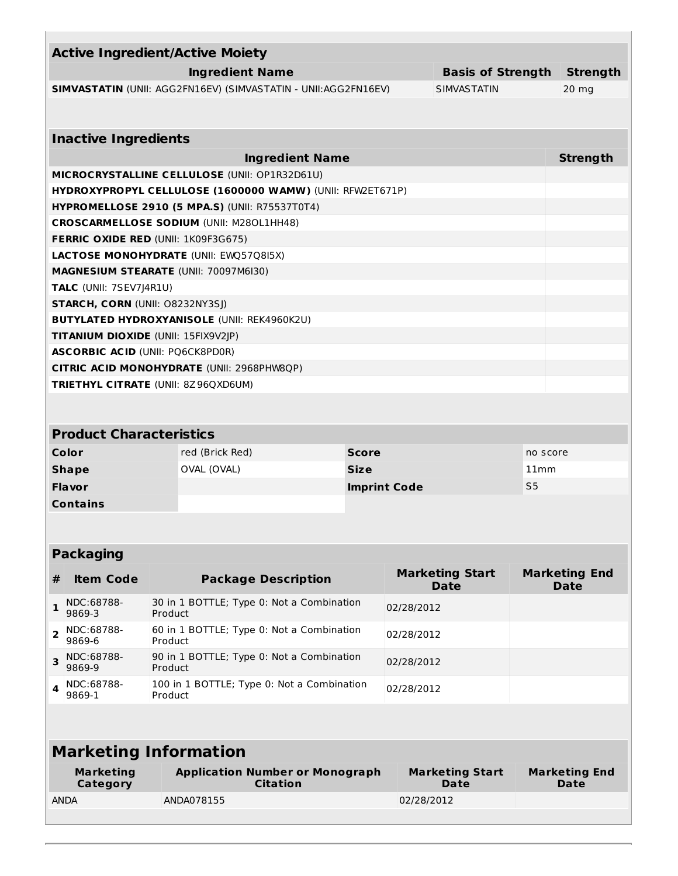| <b>Active Ingredient/Active Moiety</b>                         |                                            |         |                                                           |                     |                    |                                       |                 |                                     |
|----------------------------------------------------------------|--------------------------------------------|---------|-----------------------------------------------------------|---------------------|--------------------|---------------------------------------|-----------------|-------------------------------------|
| <b>Ingredient Name</b><br><b>Basis of Strength</b>             |                                            |         |                                                           |                     |                    |                                       | <b>Strength</b> |                                     |
| SIMVASTATIN (UNII: AGG2FN16EV) (SIMVASTATIN - UNII:AGG2FN16EV) |                                            |         |                                                           |                     | <b>SIMVASTATIN</b> |                                       | $20$ mg         |                                     |
|                                                                |                                            |         |                                                           |                     |                    |                                       |                 |                                     |
|                                                                |                                            |         |                                                           |                     |                    |                                       |                 |                                     |
|                                                                | <b>Inactive Ingredients</b>                |         |                                                           |                     |                    |                                       |                 |                                     |
|                                                                |                                            |         | <b>Ingredient Name</b>                                    |                     |                    |                                       |                 | <b>Strength</b>                     |
|                                                                |                                            |         | MICROCRYSTALLINE CELLULOSE (UNII: OP1R32D61U)             |                     |                    |                                       |                 |                                     |
|                                                                |                                            |         | HYDROXYPROPYL CELLULOSE (1600000 WAMW) (UNII: RFW2ET671P) |                     |                    |                                       |                 |                                     |
|                                                                |                                            |         | <b>HYPROMELLOSE 2910 (5 MPA.S) (UNII: R75537T0T4)</b>     |                     |                    |                                       |                 |                                     |
|                                                                |                                            |         | <b>CROSCARMELLOSE SODIUM (UNII: M280L1HH48)</b>           |                     |                    |                                       |                 |                                     |
|                                                                | <b>FERRIC OXIDE RED (UNII: 1K09F3G675)</b> |         |                                                           |                     |                    |                                       |                 |                                     |
|                                                                |                                            |         | LACTOSE MONOHYDRATE (UNII: EWQ57Q8I5X)                    |                     |                    |                                       |                 |                                     |
|                                                                | MAGNESIUM STEARATE (UNII: 70097M6I30)      |         |                                                           |                     |                    |                                       |                 |                                     |
|                                                                | <b>TALC</b> (UNII: 7SEV7J4R1U)             |         |                                                           |                     |                    |                                       |                 |                                     |
|                                                                | <b>STARCH, CORN (UNII: O8232NY3SJ)</b>     |         |                                                           |                     |                    |                                       |                 |                                     |
|                                                                |                                            |         | <b>BUTYLATED HYDROXYANISOLE (UNII: REK4960K2U)</b>        |                     |                    |                                       |                 |                                     |
|                                                                | TITANIUM DIOXIDE (UNII: 15FIX9V2JP)        |         |                                                           |                     |                    |                                       |                 |                                     |
|                                                                | <b>ASCORBIC ACID (UNII: PQ6CK8PD0R)</b>    |         |                                                           |                     |                    |                                       |                 |                                     |
|                                                                |                                            |         | <b>CITRIC ACID MONOHYDRATE (UNII: 2968PHW8QP)</b>         |                     |                    |                                       |                 |                                     |
|                                                                | <b>TRIETHYL CITRATE (UNII: 8Z96QXD6UM)</b> |         |                                                           |                     |                    |                                       |                 |                                     |
|                                                                |                                            |         |                                                           |                     |                    |                                       |                 |                                     |
|                                                                |                                            |         |                                                           |                     |                    |                                       |                 |                                     |
|                                                                | <b>Product Characteristics</b>             |         |                                                           |                     |                    |                                       |                 |                                     |
|                                                                | Color                                      |         | red (Brick Red)                                           | <b>Score</b>        | no score           |                                       |                 |                                     |
|                                                                | <b>Shape</b>                               |         | OVAL (OVAL)                                               | <b>Size</b>         |                    | 11mm                                  |                 |                                     |
|                                                                | Flavor                                     |         |                                                           | <b>Imprint Code</b> |                    | S <sub>5</sub>                        |                 |                                     |
|                                                                | <b>Contains</b>                            |         |                                                           |                     |                    |                                       |                 |                                     |
|                                                                |                                            |         |                                                           |                     |                    |                                       |                 |                                     |
|                                                                |                                            |         |                                                           |                     |                    |                                       |                 |                                     |
|                                                                | <b>Packaging</b>                           |         |                                                           |                     |                    |                                       |                 |                                     |
| #                                                              | <b>Item Code</b>                           |         | <b>Package Description</b>                                |                     |                    | <b>Marketing Start</b><br><b>Date</b> |                 | <b>Marketing End</b><br><b>Date</b> |
| $\mathbf{1}$                                                   | NDC:68788-<br>9869-3                       | Product | 30 in 1 BOTTLE; Type 0: Not a Combination                 |                     | 02/28/2012         |                                       |                 |                                     |
| 2                                                              | NDC:68788-<br>9869-6                       |         | 60 in 1 BOTTLE; Type 0: Not a Combination<br>Product      |                     | 02/28/2012         |                                       |                 |                                     |
| 3                                                              | NDC:68788-<br>9869-9                       | Product | 90 in 1 BOTTLE; Type 0: Not a Combination                 |                     | 02/28/2012         |                                       |                 |                                     |
| 4                                                              | NDC:68788-<br>9869-1                       | Product | 100 in 1 BOTTLE; Type 0: Not a Combination                |                     | 02/28/2012         |                                       |                 |                                     |
|                                                                |                                            |         |                                                           |                     |                    |                                       |                 |                                     |

# **Marketing Information**

| Marketing<br>Category | <b>Application Number or Monograph</b><br>Citation | <b>Marketing Start</b><br>Date | <b>Marketing End</b><br>Date |
|-----------------------|----------------------------------------------------|--------------------------------|------------------------------|
| <b>ANDA</b>           | ANDA078155                                         | 02/28/2012                     |                              |
|                       |                                                    |                                |                              |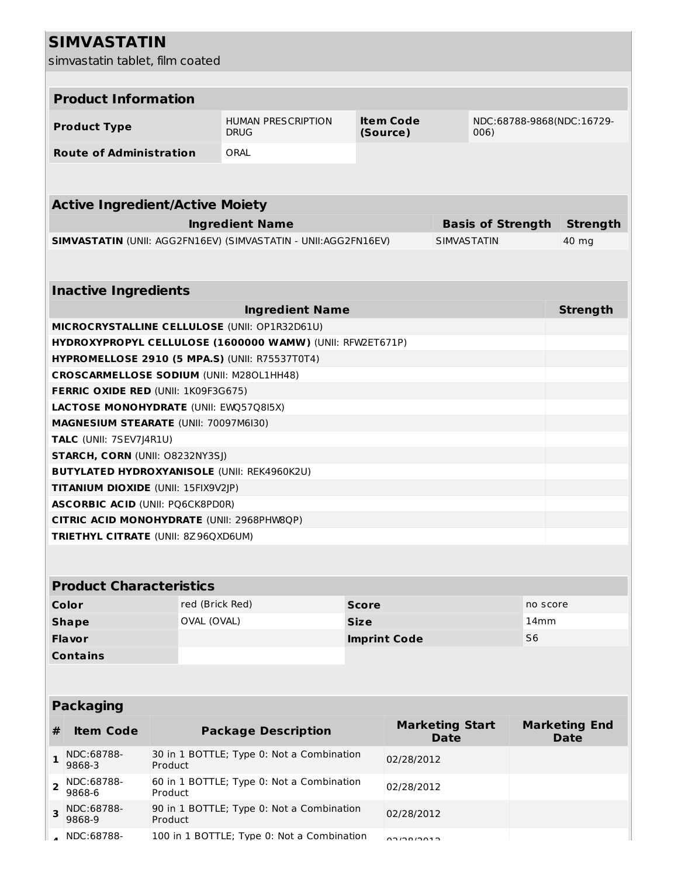# **SIMVASTATIN**

simvastatin tablet, film coated

|              | <b>Product Information</b>                      |                 |                                                                |              |                        |                          |                           |  |
|--------------|-------------------------------------------------|-----------------|----------------------------------------------------------------|--------------|------------------------|--------------------------|---------------------------|--|
|              | <b>Product Type</b>                             |                 | <b>HUMAN PRESCRIPTION</b><br><b>DRUG</b>                       |              | Item Code<br>(Source)  | 006)                     | NDC:68788-9868(NDC:16729- |  |
|              | <b>Route of Administration</b>                  |                 | ORAL                                                           |              |                        |                          |                           |  |
|              |                                                 |                 |                                                                |              |                        |                          |                           |  |
|              |                                                 |                 |                                                                |              |                        |                          |                           |  |
|              | <b>Active Ingredient/Active Moiety</b>          |                 |                                                                |              |                        |                          |                           |  |
|              |                                                 |                 | <b>Ingredient Name</b>                                         |              |                        | <b>Basis of Strength</b> | <b>Strength</b>           |  |
|              |                                                 |                 | SIMVASTATIN (UNII: AGG2FN16EV) (SIMVASTATIN - UNII:AGG2FN16EV) |              |                        | <b>SIMVASTATIN</b>       | 40 mg                     |  |
|              |                                                 |                 |                                                                |              |                        |                          |                           |  |
|              |                                                 |                 |                                                                |              |                        |                          |                           |  |
|              | <b>Inactive Ingredients</b>                     |                 |                                                                |              |                        |                          |                           |  |
|              |                                                 |                 | <b>Ingredient Name</b>                                         |              |                        |                          | <b>Strength</b>           |  |
|              |                                                 |                 | MICROCRYSTALLINE CELLULOSE (UNII: OP1R32D61U)                  |              |                        |                          |                           |  |
|              |                                                 |                 | HYDROXYPROPYL CELLULOSE (1600000 WAMW) (UNII: RFW2ET671P)      |              |                        |                          |                           |  |
|              |                                                 |                 | <b>HYPROMELLOSE 2910 (5 MPA.S) (UNII: R75537T0T4)</b>          |              |                        |                          |                           |  |
|              | <b>CROSCARMELLOSE SODIUM (UNII: M280L1HH48)</b> |                 |                                                                |              |                        |                          |                           |  |
|              | <b>FERRIC OXIDE RED (UNII: 1K09F3G675)</b>      |                 |                                                                |              |                        |                          |                           |  |
|              | <b>LACTOSE MONOHYDRATE (UNII: EWQ57Q8I5X)</b>   |                 |                                                                |              |                        |                          |                           |  |
|              | <b>MAGNESIUM STEARATE (UNII: 70097M6I30)</b>    |                 |                                                                |              |                        |                          |                           |  |
|              | TALC (UNII: 7SEV7J4R1U)                         |                 |                                                                |              |                        |                          |                           |  |
|              | <b>STARCH, CORN (UNII: O8232NY3SJ)</b>          |                 |                                                                |              |                        |                          |                           |  |
|              |                                                 |                 | <b>BUTYLATED HYDROXYANISOLE (UNII: REK4960K2U)</b>             |              |                        |                          |                           |  |
|              | TITANIUM DIOXIDE (UNII: 15FIX9V2JP)             |                 |                                                                |              |                        |                          |                           |  |
|              | <b>ASCORBIC ACID (UNII: PQ6CK8PD0R)</b>         |                 |                                                                |              |                        |                          |                           |  |
|              |                                                 |                 | CITRIC ACID MONOHYDRATE (UNII: 2968PHW8QP)                     |              |                        |                          |                           |  |
|              | <b>TRIETHYL CITRATE (UNII: 8Z96QXD6UM)</b>      |                 |                                                                |              |                        |                          |                           |  |
|              |                                                 |                 |                                                                |              |                        |                          |                           |  |
|              |                                                 |                 |                                                                |              |                        |                          |                           |  |
|              | <b>Product Characteristics</b>                  |                 |                                                                |              |                        |                          |                           |  |
|              | Color                                           | red (Brick Red) |                                                                | <b>Score</b> |                        |                          | no score                  |  |
|              | <b>Shape</b>                                    | OVAL (OVAL)     |                                                                | <b>Size</b>  |                        |                          | 14 <sub>mm</sub>          |  |
|              | <b>Flavor</b>                                   |                 |                                                                |              | <b>Imprint Code</b>    | S <sub>6</sub>           |                           |  |
|              | <b>Contains</b>                                 |                 |                                                                |              |                        |                          |                           |  |
|              |                                                 |                 |                                                                |              |                        |                          |                           |  |
|              | <b>Packaging</b>                                |                 |                                                                |              |                        |                          |                           |  |
|              |                                                 |                 |                                                                |              | <b>Marketing Start</b> |                          | <b>Marketing End</b>      |  |
| #            | <b>Item Code</b>                                |                 | <b>Package Description</b>                                     |              | <b>Date</b>            |                          | <b>Date</b>               |  |
| 1            | NDC:68788-<br>9868-3                            | Product         | 30 in 1 BOTTLE; Type 0: Not a Combination                      |              | 02/28/2012             |                          |                           |  |
| $\mathbf{2}$ | NDC:68788-<br>9868-6                            | Product         | 60 in 1 BOTTLE; Type 0: Not a Combination                      |              | 02/28/2012             |                          |                           |  |
| 3            | NDC:68788-<br>9868-9                            | Product         | 90 in 1 BOTTLE; Type 0: Not a Combination                      |              | 02/28/2012             |                          |                           |  |
|              | NDC:68788-                                      |                 | 100 in 1 BOTTLE; Type 0: Not a Combination                     |              | 0.2000000              |                          |                           |  |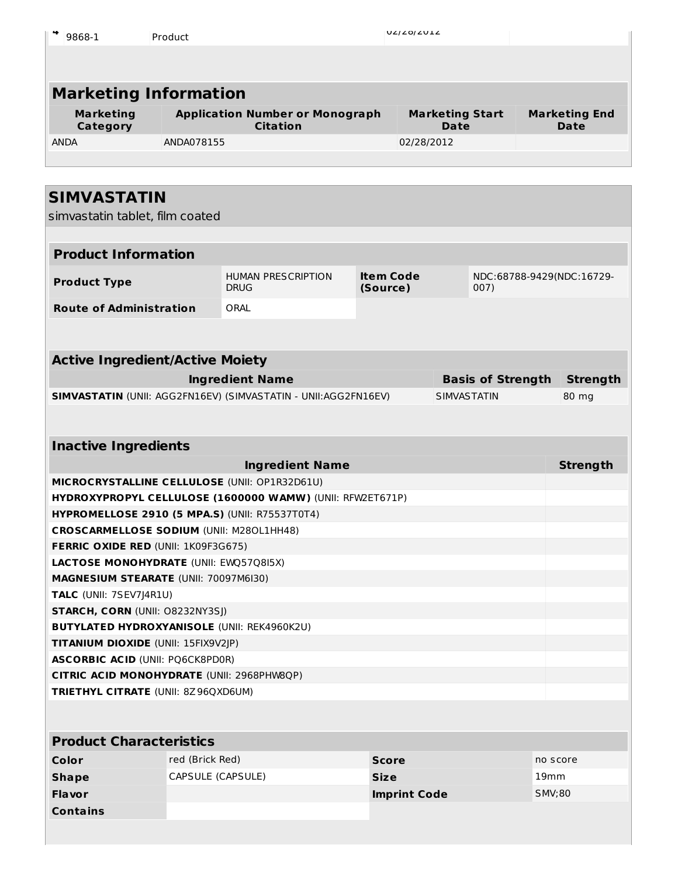| 9868-1                       | Product                                                   | UZIZOIZUIZ                     |                              |
|------------------------------|-----------------------------------------------------------|--------------------------------|------------------------------|
|                              |                                                           |                                |                              |
|                              | <b>Marketing Information</b>                              |                                |                              |
| <b>Marketing</b><br>Category | <b>Application Number or Monograph</b><br><b>Citation</b> | <b>Marketing Start</b><br>Date | <b>Marketing End</b><br>Date |
| <b>ANDA</b>                  | ANDA078155                                                | 02/28/2012                     |                              |
|                              |                                                           |                                |                              |
|                              |                                                           |                                |                              |

# **SIMVASTATIN**

simvastatin tablet, film coated

| <b>Product Information</b>                            |                   |                                                                |                              |                                      |                          |                 |
|-------------------------------------------------------|-------------------|----------------------------------------------------------------|------------------------------|--------------------------------------|--------------------------|-----------------|
| <b>Product Type</b>                                   |                   | <b>HUMAN PRESCRIPTION</b><br><b>DRUG</b>                       | <b>Item Code</b><br>(Source) | NDC:68788-9429(NDC:16729-<br>007)    |                          |                 |
| <b>Route of Administration</b>                        |                   | ORAL                                                           |                              |                                      |                          |                 |
|                                                       |                   |                                                                |                              |                                      |                          |                 |
|                                                       |                   |                                                                |                              |                                      |                          |                 |
| <b>Active Ingredient/Active Moiety</b>                |                   |                                                                |                              |                                      |                          |                 |
|                                                       |                   | <b>Ingredient Name</b>                                         |                              |                                      | <b>Basis of Strength</b> | <b>Strength</b> |
|                                                       |                   | SIMVASTATIN (UNII: AGG2FN16EV) (SIMVASTATIN - UNII:AGG2FN16EV) |                              |                                      | <b>SIMVASTATIN</b>       | 80 mg           |
|                                                       |                   |                                                                |                              |                                      |                          |                 |
| <b>Inactive Ingredients</b>                           |                   |                                                                |                              |                                      |                          |                 |
|                                                       |                   |                                                                |                              |                                      |                          |                 |
| <b>Ingredient Name</b>                                |                   |                                                                |                              |                                      | <b>Strength</b>          |                 |
| MICROCRYSTALLINE CELLULOSE (UNII: OP1R32D61U)         |                   |                                                                |                              |                                      |                          |                 |
|                                                       |                   | HYDROXYPROPYL CELLULOSE (1600000 WAMW) (UNII: RFW2ET671P)      |                              |                                      |                          |                 |
| <b>HYPROMELLOSE 2910 (5 MPA.S) (UNII: R75537T0T4)</b> |                   |                                                                |                              |                                      |                          |                 |
| <b>CROSCARMELLOSE SODIUM (UNII: M280L1HH48)</b>       |                   |                                                                |                              |                                      |                          |                 |
| <b>FERRIC OXIDE RED (UNII: 1K09F3G675)</b>            |                   |                                                                |                              |                                      |                          |                 |
| <b>LACTOSE MONOHYDRATE (UNII: EWQ57Q8I5X)</b>         |                   |                                                                |                              |                                      |                          |                 |
| <b>MAGNESIUM STEARATE (UNII: 70097M6I30)</b>          |                   |                                                                |                              |                                      |                          |                 |
| TALC (UNII: 7SEV7J4R1U)                               |                   |                                                                |                              |                                      |                          |                 |
| <b>STARCH, CORN (UNII: O8232NY3SJ)</b>                |                   |                                                                |                              |                                      |                          |                 |
| <b>BUTYLATED HYDROXYANISOLE (UNII: REK4960K2U)</b>    |                   |                                                                |                              |                                      |                          |                 |
| TITANIUM DIOXIDE (UNII: 15FIX9V2JP)                   |                   |                                                                |                              |                                      |                          |                 |
| <b>ASCORBIC ACID (UNII: PQ6CK8PD0R)</b>               |                   |                                                                |                              |                                      |                          |                 |
| CITRIC ACID MONOHYDRATE (UNII: 2968PHW8QP)            |                   |                                                                |                              |                                      |                          |                 |
| <b>TRIETHYL CITRATE (UNII: 8Z96QXD6UM)</b>            |                   |                                                                |                              |                                      |                          |                 |
|                                                       |                   |                                                                |                              |                                      |                          |                 |
| <b>Product Characteristics</b>                        |                   |                                                                |                              |                                      |                          |                 |
| <b>Color</b>                                          | red (Brick Red)   |                                                                | <b>Score</b>                 | no score                             |                          |                 |
| <b>Shape</b>                                          | CAPSULE (CAPSULE) |                                                                | <b>Size</b>                  | 19 <sub>mm</sub>                     |                          |                 |
| <b>Flavor</b>                                         |                   |                                                                |                              | <b>Imprint Code</b><br><b>SMV;80</b> |                          |                 |
| <b>Contains</b>                                       |                   |                                                                |                              |                                      |                          |                 |
|                                                       |                   |                                                                |                              |                                      |                          |                 |